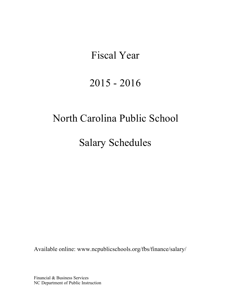# Fiscal Year

# 2015 - 2016

# North Carolina Public School

Salary Schedules

Available online: [www.ncpublicschools.org/fbs/finance/salary/](http://www.ncpublicschools.org/fbs/finance/salary/)

Financial & Business Services NC Department of Public Instruction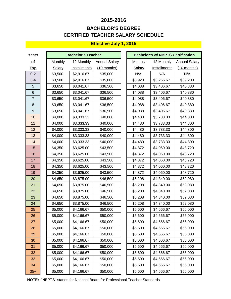## **CERTIFIED TEACHER SALARY SCHEDULE 2015-2016 BACHELOR'S DEGREE**

## **Effective July 1, 2015**

| <b>Years</b>   |         | <b>Bachelor's Teacher</b> |                      | <b>Bachelor's w/ NBPTS Certification</b> |               |              |                      |  |
|----------------|---------|---------------------------|----------------------|------------------------------------------|---------------|--------------|----------------------|--|
| of             | Monthly | 12 Monthly                | <b>Annual Salary</b> |                                          | Monthly       | 12 Monthly   | <b>Annual Salary</b> |  |
| <b>Exp</b>     | Salary  | Installments              | $(10$ months)        |                                          | <b>Salary</b> | Installments | $(10$ months)        |  |
| $0 - 2$        | \$3,500 | \$2,916.67                | \$35,000             |                                          | N/A           | N/A          | N/A                  |  |
| $3 - 4$        | \$3,500 | \$2,916.67                | \$35,000             |                                          | \$3,920       | \$3,266.67   | \$39,200             |  |
| 5              | \$3,650 | \$3,041.67                | \$36,500             |                                          | \$4,088       | \$3,406.67   | \$40,880             |  |
| 6              | \$3,650 | \$3,041.67                | \$36,500             |                                          | \$4,088       | \$3,406.67   | \$40,880             |  |
| $\overline{7}$ | \$3,650 | \$3,041.67                | \$36,500             |                                          | \$4,088       | \$3,406.67   | \$40,880             |  |
| 8              | \$3,650 | \$3,041.67                | \$36,500             |                                          | \$4,088       | \$3,406.67   | \$40,880             |  |
| 9              | \$3,650 | \$3,041.67                | \$36,500             |                                          | \$4,088       | \$3,406.67   | \$40,880             |  |
| 10             | \$4,000 | \$3,333.33                | \$40,000             |                                          | \$4,480       | \$3,733.33   | \$44,800             |  |
| 11             | \$4,000 | \$3,333.33                | \$40,000             |                                          | \$4,480       | \$3,733.33   | \$44,800             |  |
| 12             | \$4,000 | \$3,333.33                | \$40,000             |                                          | \$4,480       | \$3,733.33   | \$44,800             |  |
| 13             | \$4,000 | \$3,333.33                | \$40,000             |                                          | \$4,480       | \$3,733.33   | \$44,800             |  |
| 14             | \$4,000 | \$3,333.33                | \$40,000             |                                          | \$4,480       | \$3,733.33   | \$44,800             |  |
| 15             | \$4,350 | \$3,625.00                | \$43,500             |                                          | \$4,872       | \$4,060.00   | \$48,720             |  |
| 16             | \$4,350 | \$3,625.00                | \$43,500             |                                          | \$4,872       | \$4,060.00   | \$48,720             |  |
| 17             | \$4,350 | \$3,625.00                | \$43,500             |                                          | \$4,872       | \$4,060.00   | \$48,720             |  |
| 18             | \$4,350 | \$3,625.00                | \$43,500             |                                          | \$4,872       | \$4,060.00   | \$48,720             |  |
| 19             | \$4,350 | \$3,625.00                | \$43,500             |                                          | \$4,872       | \$4,060.00   | \$48,720             |  |
| 20             | \$4,650 | \$3,875.00                | \$46,500             |                                          | \$5,208       | \$4,340.00   | \$52,080             |  |
| 21             | \$4,650 | \$3,875.00                | \$46,500             |                                          | \$5,208       | \$4,340.00   | \$52,080             |  |
| 22             | \$4,650 | \$3,875.00                | \$46,500             |                                          | \$5,208       | \$4,340.00   | \$52,080             |  |
| 23             | \$4,650 | \$3,875.00                | \$46,500             |                                          | \$5,208       | \$4,340.00   | \$52,080             |  |
| 24             | \$4,650 | \$3,875.00                | \$46,500             |                                          | \$5,208       | \$4,340.00   | \$52,080             |  |
| 25             | \$5,000 | \$4,166.67                | \$50,000             |                                          | \$5,600       | \$4,666.67   | \$56,000             |  |
| 26             | \$5,000 | \$4,166.67                | \$50,000             |                                          | \$5,600       | \$4,666.67   | \$56,000             |  |
| 27             | \$5,000 | \$4,166.67                | \$50,000             |                                          | \$5,600       | \$4,666.67   | \$56,000             |  |
| 28             | \$5,000 | \$4,166.67                | \$50,000             |                                          | \$5,600       | \$4,666.67   | \$56,000             |  |
| 29             | \$5,000 | \$4,166.67                | \$50,000             |                                          | \$5,600       | \$4,666.67   | \$56,000             |  |
| 30             | \$5,000 | \$4,166.67                | \$50,000             |                                          | \$5,600       | \$4,666.67   | \$56,000             |  |
| 31             | \$5,000 | \$4,166.67                | \$50,000             |                                          | \$5,600       | \$4,666.67   | \$56,000             |  |
| 32             | \$5,000 | \$4,166.67                | \$50,000             |                                          | \$5,600       | \$4,666.67   | \$56,000             |  |
| 33             | \$5,000 | \$4,166.67                | \$50,000             |                                          | \$5,600       | \$4,666.67   | \$56,000             |  |
| 34             | \$5,000 | \$4,166.67                | \$50,000             |                                          | \$5,600       | \$4,666.67   | \$56,000             |  |
| $35+$          | \$5,000 | \$4,166.67                | \$50,000             |                                          | \$5,600       | \$4,666.67   | \$56,000             |  |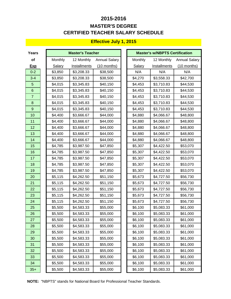## **CERTIFIED TEACHER SALARY SCHEDULE 2015-2016 MASTER'S DEGREE**

### **Effective July 1, 2015**

| <b>Years</b>   |         | <b>Master's Teacher</b> |                      |               | <b>Master's w/NBPTS Certification</b> |                      |
|----------------|---------|-------------------------|----------------------|---------------|---------------------------------------|----------------------|
| of             | Monthly | 12 Monthly              | <b>Annual Salary</b> | Monthly       | 12 Monthly                            | <b>Annual Salary</b> |
| <b>Exp</b>     | Salary  | Installments            | $(10$ months)        | <b>Salary</b> | Installments                          | $(10$ months)        |
| $0 - 2$        | \$3,850 | \$3,208.33              | \$38,500             | N/A           | N/A                                   | N/A                  |
| $3 - 4$        | \$3,850 | \$3,208.33              | \$38,500             | \$4,270       | \$3,558.33                            | \$42,700             |
| 5              | \$4,015 | \$3,345.83              | \$40,150             | \$4,453       | \$3,710.83                            | \$44,530             |
| $\,6$          | \$4,015 | \$3,345.83              | \$40,150             | \$4,453       | \$3,710.83                            | \$44,530             |
| $\overline{7}$ | \$4,015 | \$3,345.83              | \$40,150             | \$4,453       | \$3,710.83                            | \$44,530             |
| $\bf 8$        | \$4,015 | \$3,345.83              | \$40,150             | \$4,453       | \$3,710.83                            | \$44,530             |
| $\overline{9}$ | \$4,015 | \$3,345.83              | \$40,150             | \$4,453       | \$3,710.83                            | \$44,530             |
| 10             | \$4,400 | \$3,666.67              | \$44,000             | \$4,880       | \$4,066.67                            | \$48,800             |
| 11             | \$4,400 | \$3,666.67              | \$44,000             | \$4,880       | \$4,066.67                            | \$48,800             |
| 12             | \$4,400 | \$3,666.67              | \$44,000             | \$4,880       | \$4,066.67                            | \$48,800             |
| 13             | \$4,400 | \$3,666.67              | \$44,000             | \$4,880       | \$4,066.67                            | \$48,800             |
| 14             | \$4,400 | \$3,666.67              | \$44,000             | \$4,880       | \$4,066.67                            | \$48,800             |
| 15             | \$4,785 | \$3,987.50              | \$47,850             | \$5,307       | \$4,422.50                            | \$53,070             |
| 16             | \$4,785 | \$3,987.50              | \$47,850             | \$5,307       | \$4,422.50                            | \$53,070             |
| 17             | \$4,785 | \$3,987.50              | \$47,850             | \$5,307       | \$4,422.50                            | \$53,070             |
| 18             | \$4,785 | \$3,987.50              | \$47,850             | \$5,307       | \$4,422.50                            | \$53,070             |
| 19             | \$4,785 | \$3,987.50              | \$47,850             | \$5,307       | \$4,422.50                            | \$53,070             |
| 20             | \$5,115 | \$4,262.50              | \$51,150             | \$5,673       | \$4,727.50                            | \$56,730             |
| 21             | \$5,115 | \$4,262.50              | \$51,150             | \$5,673       | \$4,727.50                            | \$56,730             |
| 22             | \$5,115 | \$4,262.50              | \$51,150             | \$5,673       | \$4,727.50                            | \$56,730             |
| 23             | \$5,115 | \$4,262.50              | \$51,150             | \$5,673       | \$4,727.50                            | \$56,730             |
| 24             | \$5,115 | \$4,262.50              | \$51,150             | \$5,673       | \$4,727.50                            | \$56,730             |
| 25             | \$5,500 | \$4,583.33              | \$55,000             | \$6,100       | \$5,083.33                            | \$61,000             |
| 26             | \$5,500 | \$4,583.33              | \$55,000             | \$6,100       | \$5,083.33                            | \$61,000             |
| 27             | \$5,500 | \$4,583.33              | \$55,000             | \$6,100       | \$5,083.33                            | \$61,000             |
| 28             | \$5,500 | \$4,583.33              | \$55,000             | \$6,100       | \$5,083.33                            | \$61,000             |
| 29             | \$5,500 | \$4,583.33              | \$55,000             | \$6,100       | \$5,083.33                            | \$61,000             |
| 30             | \$5,500 | \$4,583.33              | \$55,000             | \$6,100       | \$5,083.33                            | \$61,000             |
| 31             | \$5,500 | \$4,583.33              | \$55,000             | \$6,100       | \$5,083.33                            | \$61,000             |
| 32             | \$5,500 | \$4,583.33              | \$55,000             | \$6,100       | \$5,083.33                            | \$61,000             |
| 33             | \$5,500 | \$4,583.33              | \$55,000             | \$6,100       | \$5,083.33                            | \$61,000             |
| 34             | \$5,500 | \$4,583.33              | \$55,000             | \$6,100       | \$5,083.33                            | \$61,000             |
| $35+$          | \$5,500 | \$4,583.33              | \$55,000             | \$6,100       | \$5,083.33                            | \$61,000             |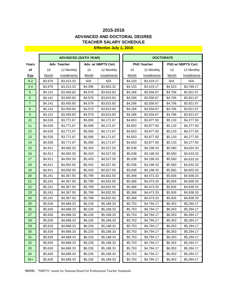### **Effective July 1, 2015 TEACHER SALARY SCHEDULE 2015-2016 ADVANCED AND DOCTORAL DEGREE**

- -

|                  |         | <b>ADVANCED (SIXTH YEAR)</b> |         |                     |         | <b>DOCTORATE</b>   |              |                    |
|------------------|---------|------------------------------|---------|---------------------|---------|--------------------|--------------|--------------------|
| Years            |         | Adv. Teacher                 |         | Adv. w/ NBPTS Cert. |         | <b>PhD Teacher</b> |              | PhD w/ NBPTS Cert. |
| of               | 10      | 12 Monthly                   | 10      | 12 Monthly          | $10$    | 12 Monthly         | 10           | 12 Monthly         |
| <u>Exp</u>       | Month   | <b>Installments</b>          | Month   | Installments        | Month   | Installments       | <b>Month</b> | Installments       |
| $0 - 2$          | \$3,976 | \$3,313.33                   | N/A     | N/A                 | \$4,103 | \$3,419.17         | N/A          | N/A                |
| $3 - 4$          | \$3,976 | \$3,313.33                   | \$4,396 | \$3,663.33          | \$4,103 | \$3,419.17         | \$4,523      | \$3,769.17         |
| 5                | \$4,141 | \$3,450.83                   | \$4,579 | \$3,815.83          | \$4,268 | \$3,556.67         | \$4,706      | \$3,921.67         |
| $\,6\,$          | \$4,141 | \$3,450.83                   | \$4,579 | \$3,815.83          | \$4,268 | \$3,556.67         | \$4,706      | \$3,921.67         |
| $\overline{7}$   | \$4,141 | \$3,450.83                   | \$4,579 | \$3,815.83          | \$4,268 | \$3,556.67         | \$4,706      | \$3,921.67         |
| $\bf 8$          | \$4,141 | \$3,450.83                   | \$4,579 | \$3,815.83          | \$4,268 | \$3,556.67         | \$4,706      | \$3,921.67         |
| $\boldsymbol{9}$ | \$4,141 | \$3,450.83                   | \$4,579 | \$3,815.83          | \$4,268 | \$3,556.67         | \$4,706      | \$3,921.67         |
| 10               | \$4,526 | \$3,771.67                   | \$5,006 | \$4,171.67          | \$4,653 | \$3,877.50         | \$5,133      | \$4,277.50         |
| 11               | \$4,526 | \$3,771.67                   | \$5,006 | \$4,171.67          | \$4,653 | \$3,877.50         | \$5,133      | \$4,277.50         |
| 12               | \$4,526 | \$3,771.67                   | \$5,006 | \$4,171.67          | \$4,653 | \$3,877.50         | \$5,133      | \$4,277.50         |
| 13               | \$4,526 | \$3,771.67                   | \$5,006 | \$4,171.67          | \$4,653 | \$3,877.50         | \$5,133      | \$4,277.50         |
| 14               | \$4,526 | \$3,771.67                   | \$5,006 | \$4,171.67          | \$4,653 | \$3,877.50         | \$5,133      | \$4,277.50         |
| 15               | \$4,911 | \$4,092.50                   | \$5,433 | \$4,527.50          | \$5,038 | \$4,198.33         | \$5,560      | \$4,633.33         |
| 16               | \$4,911 | \$4,092.50                   | \$5,433 | \$4,527.50          | \$5,038 | \$4,198.33         | \$5,560      | \$4,633.33         |
| 17               | \$4,911 | \$4,092.50                   | \$5,433 | \$4,527.50          | \$5,038 | \$4,198.33         | \$5,560      | \$4,633.33         |
| 18               | \$4,911 | \$4,092.50                   | \$5,433 | \$4,527.50          | \$5,038 | \$4,198.33         | \$5,560      | \$4,633.33         |
| 19               | \$4,911 | \$4,092.50                   | \$5,433 | \$4,527.50          | \$5,038 | \$4,198.33         | \$5,560      | \$4,633.33         |
| 20               | \$5,241 | \$4,367.50                   | \$5,799 | \$4,832.50          | \$5,368 | \$4,473.33         | \$5,926      | \$4,938.33         |
| 21               | \$5,241 | \$4,367.50                   | \$5,799 | \$4,832.50          | \$5,368 | \$4,473.33         | \$5,926      | \$4,938.33         |
| 22               | \$5,241 | \$4,367.50                   | \$5,799 | \$4,832.50          | \$5,368 | \$4,473.33         | \$5,926      | \$4,938.33         |
| 23               | \$5,241 | \$4,367.50                   | \$5,799 | \$4,832.50          | \$5,368 | \$4,473.33         | \$5,926      | \$4,938.33         |
| 24               | \$5,241 | \$4,367.50                   | \$5,799 | \$4,832.50          | \$5,368 | \$4,473.33         | \$5,926      | \$4,938.33         |
| 25               | \$5,626 | \$4,688.33                   | \$6,226 | \$5,188.33          | \$5,753 | \$4,794.17         | \$6,353      | \$5,294.17         |
| 26               | \$5,626 | \$4,688.33                   | \$6,226 | \$5,188.33          | \$5,753 | \$4,794.17         | \$6,353      | \$5,294.17         |
| 27               | \$5,626 | \$4,688.33                   | \$6,226 | \$5,188.33          | \$5,753 | \$4,794.17         | \$6,353      | \$5,294.17         |
| 28               | \$5,626 | \$4,688.33                   | \$6,226 | \$5,188.33          | \$5,753 | \$4,794.17         | \$6,353      | \$5,294.17         |
| 29               | \$5,626 | \$4,688.33                   | \$6,226 | \$5,188.33          | \$5,753 | \$4,794.17         | \$6,353      | \$5,294.17         |
| 30               | \$5,626 | \$4,688.33                   | \$6,226 | \$5,188.33          | \$5,753 | \$4,794.17         | \$6,353      | \$5,294.17         |
| 31               | \$5,626 | \$4,688.33                   | \$6,226 | \$5,188.33          | \$5,753 | \$4,794.17         | \$6,353      | \$5,294.17         |
| 32               | \$5,626 | \$4,688.33                   | \$6,226 | \$5,188.33          | \$5,753 | \$4,794.17         | \$6,353      | \$5,294.17         |
| 33               | \$5,626 | \$4,688.33                   | \$6,226 | \$5,188.33          | \$5,753 | \$4,794.17         | \$6,353      | \$5,294.17         |
| 34               | \$5,626 | \$4,688.33                   | \$6,226 | \$5,188.33          | \$5,753 | \$4,794.17         | \$6,353      | \$5,294.17         |
| $35+$            | \$5,626 | \$4,688.33                   | \$6,226 | \$5,188.33          | \$5,753 | \$4,794.17         | \$6,353      | \$5,294.17         |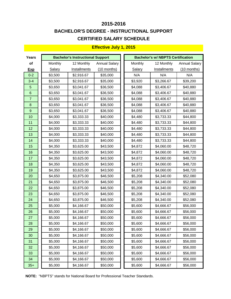## **CERTIFIED SALARY SCHEDULE 2015-2016 BACHELOR'S DEGREE - INSTRUCTIONAL SUPPORT**

#### **Effective July 1, 2015**

| Years          |               | <b>Bachelor's Instructional Support</b> |                      | <b>Bachelor's w/ NBPTS Certification</b> |         |              |                      |  |
|----------------|---------------|-----------------------------------------|----------------------|------------------------------------------|---------|--------------|----------------------|--|
| of             | Monthly       | 12 Monthly                              | <b>Annual Salary</b> |                                          | Monthly | 12 Monthly   | <b>Annual Salary</b> |  |
| <b>Exp</b>     | <b>Salary</b> | Installments                            | $(10$ months)        |                                          | Salary  | Installments | $(10$ months)        |  |
| $0 - 2$        | \$3,500       | \$2,916.67                              | \$35,000             |                                          | N/A     | N/A          | N/A                  |  |
| $3 - 4$        | \$3,500       | \$2,916.67                              | \$35,000             |                                          | \$3,920 | \$3,266.67   | \$39,200             |  |
| 5              | \$3,650       | \$3,041.67                              | \$36,500             |                                          | \$4,088 | \$3,406.67   | \$40,880             |  |
| 6              | \$3,650       | \$3,041.67                              | \$36,500             |                                          | \$4,088 | \$3,406.67   | \$40,880             |  |
| $\overline{7}$ | \$3,650       | \$3,041.67                              | \$36,500             |                                          | \$4,088 | \$3,406.67   | \$40,880             |  |
| 8              | \$3,650       | \$3,041.67                              | \$36,500             |                                          | \$4,088 | \$3,406.67   | \$40,880             |  |
| $9\,$          | \$3,650       | \$3,041.67                              | \$36,500             |                                          | \$4,088 | \$3,406.67   | \$40,880             |  |
| 10             | \$4,000       | \$3,333.33                              | \$40,000             |                                          | \$4,480 | \$3,733.33   | \$44,800             |  |
| 11             | \$4,000       | \$3,333.33                              | \$40,000             |                                          | \$4,480 | \$3,733.33   | \$44,800             |  |
| 12             | \$4,000       | \$3,333.33                              | \$40,000             |                                          | \$4,480 | \$3,733.33   | \$44,800             |  |
| 13             | \$4,000       | \$3,333.33                              | \$40,000             |                                          | \$4,480 | \$3,733.33   | \$44,800             |  |
| 14             | \$4,000       | \$3,333.33                              | \$40,000             |                                          | \$4,480 | \$3,733.33   | \$44,800             |  |
| 15             | \$4,350       | \$3,625.00                              | \$43,500             |                                          | \$4,872 | \$4,060.00   | \$48,720             |  |
| 16             | \$4,350       | \$3,625.00                              | \$43,500             |                                          | \$4,872 | \$4,060.00   | \$48,720             |  |
| 17             | \$4,350       | \$3,625.00                              | \$43,500             |                                          | \$4,872 | \$4,060.00   | \$48,720             |  |
| 18             | \$4,350       | \$3,625.00                              | \$43,500             |                                          | \$4,872 | \$4,060.00   | \$48,720             |  |
| 19             | \$4,350       | \$3,625.00                              | \$43,500             |                                          | \$4,872 | \$4,060.00   | \$48,720             |  |
| 20             | \$4,650       | \$3,875.00                              | \$46,500             |                                          | \$5,208 | \$4,340.00   | \$52,080             |  |
| 21             | \$4,650       | \$3,875.00                              | \$46,500             |                                          | \$5,208 | \$4,340.00   | \$52,080             |  |
| 22             | \$4,650       | \$3,875.00                              | \$46,500             |                                          | \$5,208 | \$4,340.00   | \$52,080             |  |
| 23             | \$4,650       | \$3,875.00                              | \$46,500             |                                          | \$5,208 | \$4,340.00   | \$52,080             |  |
| 24             | \$4,650       | \$3,875.00                              | \$46,500             |                                          | \$5,208 | \$4,340.00   | \$52,080             |  |
| 25             | \$5,000       | \$4,166.67                              | \$50,000             |                                          | \$5,600 | \$4,666.67   | \$56,000             |  |
| 26             | \$5,000       | \$4,166.67                              | \$50,000             |                                          | \$5,600 | \$4,666.67   | \$56,000             |  |
| 27             | \$5,000       | \$4,166.67                              | \$50,000             |                                          | \$5,600 | \$4,666.67   | \$56,000             |  |
| 28             | \$5,000       | \$4,166.67                              | \$50,000             |                                          | \$5,600 | \$4,666.67   | \$56,000             |  |
| 29             | \$5,000       | \$4,166.67                              | \$50,000             |                                          | \$5,600 | \$4,666.67   | \$56,000             |  |
| 30             | \$5,000       | \$4,166.67                              | \$50,000             |                                          | \$5,600 | \$4,666.67   | \$56,000             |  |
| 31             | \$5,000       | \$4,166.67                              | \$50,000             |                                          | \$5,600 | \$4,666.67   | \$56,000             |  |
| 32             | \$5,000       | \$4,166.67                              | \$50,000             |                                          | \$5,600 | \$4,666.67   | \$56,000             |  |
| 33             | \$5,000       | \$4,166.67                              | \$50,000             |                                          | \$5,600 | \$4,666.67   | \$56,000             |  |
| 34             | \$5,000       | \$4,166.67                              | \$50,000             |                                          | \$5,600 | \$4,666.67   | \$56,000             |  |
| $35+$          | \$5,000       | \$4,166.67                              | \$50,000             |                                          | \$5,600 | \$4,666.67   | \$56,000             |  |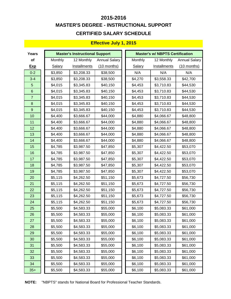## **MASTER'S DEGREE - INSTRUCTIONAL SUPPORT CERTIFIED SALARY SCHEDULE 2015-2016**

## **Effective July 1, 2015**

| <b>Years</b>     |               | <b>Master's Instructional Support</b> |                      |               | <b>Master's w/ NBPTS Certification</b> |                      |  |  |
|------------------|---------------|---------------------------------------|----------------------|---------------|----------------------------------------|----------------------|--|--|
| of               | Monthly       | 12 Monthly                            | <b>Annual Salary</b> | Monthly       | 12 Monthly                             | <b>Annual Salary</b> |  |  |
| <u>Exp</u>       | <b>Salary</b> | <b>Installments</b>                   | $(10$ months)        | <b>Salary</b> | <b>Installments</b>                    | $(10$ months)        |  |  |
| $0 - 2$          | \$3,850       | \$3,208.33                            | \$38,500             | N/A           | N/A                                    | N/A                  |  |  |
| $3 - 4$          | \$3,850       | \$3,208.33                            | \$38,500             | \$4,270       | \$3,558.33                             | \$42,700             |  |  |
| 5                | \$4,015       | \$3,345.83                            | \$40,150             | \$4,453       | \$3,710.83                             | \$44,530             |  |  |
| $\,6\,$          | \$4,015       | \$3,345.83                            | \$40,150             | \$4,453       | \$3,710.83                             | \$44,530             |  |  |
| $\overline{7}$   | \$4,015       | \$3,345.83                            | \$40,150             | \$4,453       | \$3,710.83                             | \$44,530             |  |  |
| $\bf 8$          | \$4,015       | \$3,345.83                            | \$40,150             | \$4,453       | \$3,710.83                             | \$44,530             |  |  |
| $\boldsymbol{9}$ | \$4,015       | \$3,345.83                            | \$40,150             | \$4,453       | \$3,710.83                             | \$44,530             |  |  |
| 10               | \$4,400       | \$3,666.67                            | \$44,000             | \$4,880       | \$4,066.67                             | \$48,800             |  |  |
| 11               | \$4,400       | \$3,666.67                            | \$44,000             | \$4,880       | \$4,066.67                             | \$48,800             |  |  |
| 12               | \$4,400       | \$3,666.67                            | \$44,000             | \$4,880       | \$4,066.67                             | \$48,800             |  |  |
| 13               | \$4,400       | \$3,666.67                            | \$44,000             | \$4,880       | \$4,066.67                             | \$48,800             |  |  |
| 14               | \$4,400       | \$3,666.67                            | \$44,000             | \$4,880       | \$4,066.67                             | \$48,800             |  |  |
| 15               | \$4,785       | \$3,987.50                            | \$47,850             | \$5,307       | \$4,422.50                             | \$53,070             |  |  |
| 16               | \$4,785       | \$3,987.50                            | \$47,850             | \$5,307       | \$4,422.50                             | \$53,070             |  |  |
| 17               | \$4,785       | \$3,987.50                            | \$47,850             | \$5,307       | \$4,422.50                             | \$53,070             |  |  |
| 18               | \$4,785       | \$3,987.50                            | \$47,850             | \$5,307       | \$4,422.50                             | \$53,070             |  |  |
| 19               | \$4,785       | \$3,987.50                            | \$47,850             | \$5,307       | \$4,422.50                             | \$53,070             |  |  |
| 20               | \$5,115       | \$4,262.50                            | \$51,150             | \$5,673       | \$4,727.50                             | \$56,730             |  |  |
| 21               | \$5,115       | \$4,262.50                            | \$51,150             | \$5,673       | \$4,727.50                             | \$56,730             |  |  |
| 22               | \$5,115       | \$4,262.50                            | \$51,150             | \$5,673       | \$4,727.50                             | \$56,730             |  |  |
| 23               | \$5,115       | \$4,262.50                            | \$51,150             | \$5,673       | \$4,727.50                             | \$56,730             |  |  |
| 24               | \$5,115       | \$4,262.50                            | \$51,150             | \$5,673       | \$4,727.50                             | \$56,730             |  |  |
| 25               | \$5,500       | \$4,583.33                            | \$55,000             | \$6,100       | \$5,083.33                             | \$61,000             |  |  |
| 26               | \$5,500       | \$4,583.33                            | \$55,000             | \$6,100       | \$5,083.33                             | \$61,000             |  |  |
| 27               | \$5,500       | \$4,583.33                            | \$55,000             | \$6,100       | \$5,083.33                             | \$61,000             |  |  |
| 28               | \$5,500       | \$4,583.33                            | \$55,000             | \$6,100       | \$5,083.33                             | \$61,000             |  |  |
| 29               | \$5,500       | \$4,583.33                            | \$55,000             | \$6,100       | \$5,083.33                             | \$61,000             |  |  |
| 30               | \$5,500       | \$4,583.33                            | \$55,000             | \$6,100       | \$5,083.33                             | \$61,000             |  |  |
| 31               | \$5,500       | \$4,583.33                            | \$55,000             | \$6,100       | \$5,083.33                             | \$61,000             |  |  |
| 32               | \$5,500       | \$4,583.33                            | \$55,000             | \$6,100       | \$5,083.33                             | \$61,000             |  |  |
| 33               | \$5,500       | \$4,583.33                            | \$55,000             | \$6,100       | \$5,083.33                             | \$61,000             |  |  |
| 34               | \$5,500       | \$4,583.33                            | \$55,000             | \$6,100       | \$5,083.33                             | \$61,000             |  |  |
| $35+$            | \$5,500       | \$4,583.33                            | \$55,000             | \$6,100       | \$5,083.33                             | \$61,000             |  |  |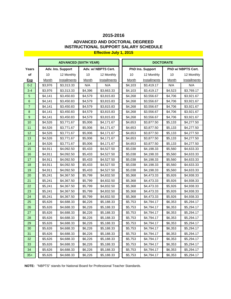### **ADVANCED AND DOCTORAL DEGREED INSTRUCTIONAL SUPPORT SALARY SCHEDULE**

|                  |         | <b>ADVANCED (SIXTH YEAR)</b> |              |                     | <b>DOCTORATE</b> |                         |              |                    |  |
|------------------|---------|------------------------------|--------------|---------------------|------------------|-------------------------|--------------|--------------------|--|
| Years            |         | Adv. Ins. Support            |              | Adv. w/ NBPTS Cert. |                  | <b>PhD Ins. Support</b> |              | PhD w/ NBPTS Cert. |  |
| of               | 10      | 12 Monthly                   | 10           | 12 Monthly          | 10               | 12 Monthly              | 10           | 12 Monthly         |  |
| <u>Exp</u>       | Month   | <b>Installments</b>          | <b>Month</b> | Installments        | <b>Month</b>     | Installments            | <b>Month</b> | Installments       |  |
| $0 - 2$          | \$3,976 | \$3,313.33                   | N/A          | N/A                 | \$4,103          | \$3,419.17              | N/A          | N/A                |  |
| $3 - 4$          | \$3,976 | \$3,313.33                   | \$4,396      | \$3,663.33          | \$4,103          | \$3,419.17              | \$4,523      | \$3,769.17         |  |
| $\overline{5}$   | \$4,141 | \$3,450.83                   | \$4,579      | \$3,815.83          | \$4,268          | \$3,556.67              | \$4,706      | \$3,921.67         |  |
| $\,6$            | \$4,141 | \$3,450.83                   | \$4,579      | \$3,815.83          | \$4,268          | \$3,556.67              | \$4,706      | \$3,921.67         |  |
| $\overline{7}$   | \$4,141 | \$3,450.83                   | \$4,579      | \$3,815.83          | \$4,268          | \$3,556.67              | \$4,706      | \$3,921.67         |  |
| $\bf 8$          | \$4,141 | \$3,450.83                   | \$4,579      | \$3,815.83          | \$4,268          | \$3,556.67              | \$4,706      | \$3,921.67         |  |
| $\boldsymbol{9}$ | \$4,141 | \$3,450.83                   | \$4,579      | \$3,815.83          | \$4,268          | \$3,556.67              | \$4,706      | \$3,921.67         |  |
| 10               | \$4,526 | \$3,771.67                   | \$5,006      | \$4,171.67          | \$4,653          | \$3,877.50              | \$5,133      | \$4,277.50         |  |
| 11               | \$4,526 | \$3,771.67                   | \$5,006      | \$4,171.67          | \$4,653          | \$3,877.50              | \$5,133      | \$4,277.50         |  |
| 12               | \$4,526 | \$3,771.67                   | \$5,006      | \$4,171.67          | \$4,653          | \$3,877.50              | \$5,133      | \$4,277.50         |  |
| 13               | \$4,526 | \$3,771.67                   | \$5,006      | \$4,171.67          | \$4,653          | \$3,877.50              | \$5,133      | \$4,277.50         |  |
| 14               | \$4,526 | \$3,771.67                   | \$5,006      | \$4,171.67          | \$4,653          | \$3,877.50              | \$5,133      | \$4,277.50         |  |
| 15               | \$4,911 | \$4,092.50                   | \$5,433      | \$4,527.50          | \$5,038          | \$4,198.33              | \$5,560      | \$4,633.33         |  |
| 16               | \$4,911 | \$4,092.50                   | \$5,433      | \$4,527.50          | \$5,038          | \$4,198.33              | \$5,560      | \$4,633.33         |  |
| 17               | \$4,911 | \$4,092.50                   | \$5,433      | \$4,527.50          | \$5,038          | \$4,198.33              | \$5,560      | \$4,633.33         |  |
| 18               | \$4,911 | \$4,092.50                   | \$5,433      | \$4,527.50          | \$5,038          | \$4,198.33              | \$5,560      | \$4,633.33         |  |
| 19               | \$4,911 | \$4,092.50                   | \$5,433      | \$4,527.50          | \$5,038          | \$4,198.33              | \$5,560      | \$4,633.33         |  |
| 20               | \$5,241 | \$4,367.50                   | \$5,799      | \$4,832.50          | \$5,368          | \$4,473.33              | \$5,926      | \$4,938.33         |  |
| 21               | \$5,241 | \$4,367.50                   | \$5,799      | \$4,832.50          | \$5,368          | \$4,473.33              | \$5,926      | \$4,938.33         |  |
| 22               | \$5,241 | \$4,367.50                   | \$5,799      | \$4,832.50          | \$5,368          | \$4,473.33              | \$5,926      | \$4,938.33         |  |
| 23               | \$5,241 | \$4,367.50                   | \$5,799      | \$4,832.50          | \$5,368          | \$4,473.33              | \$5,926      | \$4,938.33         |  |
| 24               | \$5,241 | \$4,367.50                   | \$5,799      | \$4,832.50          | \$5,368          | \$4,473.33              | \$5,926      | \$4,938.33         |  |
| 25               | \$5,626 | \$4,688.33                   | \$6,226      | \$5,188.33          | \$5,753          | \$4,794.17              | \$6,353      | \$5,294.17         |  |
| 26               | \$5,626 | \$4,688.33                   | \$6,226      | \$5,188.33          | \$5,753          | \$4,794.17              | \$6,353      | \$5,294.17         |  |
| 27               | \$5,626 | \$4,688.33                   | \$6,226      | \$5,188.33          | \$5,753          | \$4,794.17              | \$6,353      | \$5,294.17         |  |
| 28               | \$5,626 | \$4,688.33                   | \$6,226      | \$5,188.33          | \$5,753          | \$4,794.17              | \$6,353      | \$5,294.17         |  |
| 29               | \$5,626 | \$4,688.33                   | \$6,226      | \$5,188.33          | \$5,753          | \$4,794.17              | \$6,353      | \$5,294.17         |  |
| 30               | \$5,626 | \$4,688.33                   | \$6,226      | \$5,188.33          | \$5,753          | \$4,794.17              | \$6,353      | \$5,294.17         |  |
| 31               | \$5,626 | \$4,688.33                   | \$6,226      | \$5,188.33          | \$5,753          | \$4,794.17              | \$6,353      | \$5,294.17         |  |
| 32               | \$5,626 | \$4,688.33                   | \$6,226      | \$5,188.33          | \$5,753          | \$4,794.17              | \$6,353      | \$5,294.17         |  |
| 33               | \$5,626 | \$4,688.33                   | \$6,226      | \$5,188.33          | \$5,753          | \$4,794.17              | \$6,353      | \$5,294.17         |  |
| 34               | \$5,626 | \$4,688.33                   | \$6,226      | \$5,188.33          | \$5,753          | \$4,794.17              | \$6,353      | \$5,294.17         |  |
| $35+$            | \$5,626 | \$4,688.33                   | \$6,226      | \$5,188.33          | \$5,753          | \$4,794.17              | \$6,353      | \$5,294.17         |  |

**NOTE:** "NBPTS" stands for National Board for Professional Teacher Standards.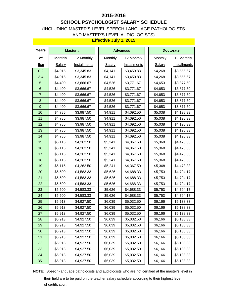## **SCHOOL PSYCHOLOGIST SALARY SCHEDULE**

### (INCLUDING MASTER'S LEVEL SPEECH-LANGUAGE PATHOLOGISTS AND MASTER'S LEVEL AUDIOLOGISTS)

#### **Effective July 1, 2015**

| Years            |               | <b>Master's</b>     |               | <b>Advanced</b>     |               | <b>Doctorate</b>    |
|------------------|---------------|---------------------|---------------|---------------------|---------------|---------------------|
| of               | Monthly       | 12 Monthly          | Monthly       | 12 Monthly          | Monthly       | 12 Monthly          |
| <b>Exp</b>       | <b>Salary</b> | <b>Installments</b> | <b>Salary</b> | <b>Installments</b> | <b>Salary</b> | <b>Installments</b> |
| $0 - 2$          | \$4,015       | \$3,345.83          | \$4,141       | \$3,450.83          | \$4,268       | \$3,556.67          |
| $3 - 4$          | \$4,015       | \$3,345.83          | \$4,141       | \$3,450.83          | \$4,268       | \$3,556.67          |
| $\sqrt{5}$       | \$4,400       | \$3,666.67          | \$4,526       | \$3,771.67          | \$4,653       | \$3,877.50          |
| $\,$ 6 $\,$      | \$4,400       | \$3,666.67          | \$4,526       | \$3,771.67          | \$4,653       | \$3,877.50          |
| $\overline{7}$   | \$4,400       | \$3,666.67          | \$4,526       | \$3,771.67          | \$4,653       | \$3,877.50          |
| $\bf 8$          | \$4,400       | \$3,666.67          | \$4,526       | \$3,771.67          | \$4,653       | \$3,877.50          |
| $\boldsymbol{9}$ | \$4,400       | \$3,666.67          | \$4,526       | \$3,771.67          | \$4,653       | \$3,877.50          |
| 10               | \$4,785       | \$3,987.50          | \$4,911       | \$4,092.50          | \$5,038       | \$4,198.33          |
| 11               | \$4,785       | \$3,987.50          | \$4,911       | \$4,092.50          | \$5,038       | \$4,198.33          |
| 12               | \$4,785       | \$3,987.50          | \$4,911       | \$4,092.50          | \$5,038       | \$4,198.33          |
| 13               | \$4,785       | \$3,987.50          | \$4,911       | \$4,092.50          | \$5,038       | \$4,198.33          |
| 14               | \$4,785       | \$3,987.50          | \$4,911       | \$4,092.50          | \$5,038       | \$4,198.33          |
| 15               | \$5,115       | \$4,262.50          | \$5,241       | \$4,367.50          | \$5,368       | \$4,473.33          |
| 16               | \$5,115       | \$4,262.50          | \$5,241       | \$4,367.50          | \$5,368       | \$4,473.33          |
| 17               | \$5,115       | \$4,262.50          | \$5,241       | \$4,367.50          | \$5,368       | \$4,473.33          |
| 18               | \$5,115       | \$4,262.50          | \$5,241       | \$4,367.50          | \$5,368       | \$4,473.33          |
| 19               | \$5,115       | \$4,262.50          | \$5,241       | \$4,367.50          | \$5,368       | \$4,473.33          |
| 20               | \$5,500       | \$4,583.33          | \$5,626       | \$4,688.33          | \$5,753       | \$4,794.17          |
| 21               | \$5,500       | \$4,583.33          | \$5,626       | \$4,688.33          | \$5,753       | \$4,794.17          |
| 22               | \$5,500       | \$4,583.33          | \$5,626       | \$4,688.33          | \$5,753       | \$4,794.17          |
| 23               | \$5,500       | \$4,583.33          | \$5,626       | \$4,688.33          | \$5,753       | \$4,794.17          |
| 24               | \$5,500       | \$4,583.33          | \$5,626       | \$4,688.33          | \$5,753       | \$4,794.17          |
| 25               | \$5,913       | \$4,927.50          | \$6,039       | \$5,032.50          | \$6,166       | \$5,138.33          |
| 26               | \$5,913       | \$4,927.50          | \$6,039       | \$5,032.50          | \$6,166       | \$5,138.33          |
| 27               | \$5,913       | \$4,927.50          | \$6,039       | \$5,032.50          | \$6,166       | \$5,138.33          |
| 28               | \$5,913       | \$4,927.50          | \$6,039       | \$5,032.50          | \$6,166       | \$5,138.33          |
| 29               | \$5,913       | \$4,927.50          | \$6,039       | \$5,032.50          | \$6,166       | \$5,138.33          |
| 30               | \$5,913       | \$4,927.50          | \$6,039       | \$5,032.50          | \$6,166       | \$5,138.33          |
| 31               | \$5,913       | \$4,927.50          | \$6,039       | \$5,032.50          | \$6,166       | \$5,138.33          |
| 32               | \$5,913       | \$4,927.50          | \$6,039       | \$5,032.50          | \$6,166       | \$5,138.33          |
| 33               | \$5,913       | \$4,927.50          | \$6,039       | \$5,032.50          | \$6,166       | \$5,138.33          |
| 34               | \$5,913       | \$4,927.50          | \$6,039       | \$5,032.50          | \$6,166       | \$5,138.33          |
| $35+$            | \$5,913       | \$4,927.50          | \$6,039       | \$5,032.50          | \$6,166       | \$5,138.33          |

**NOTE:** Speech-language pathologists and audiologists who are not certified at the master's level in

 their field are to be paid on the teacher salary schedule according to their highest level of certification.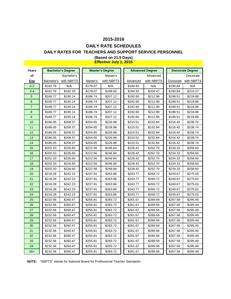## **DAILY RATE SCHEDULES**

### **DAILY RATES FOR TEACHERS AND SUPPORT SERVICE PERSONNEL**

| Years          |          | <b>Bachelor's Degree</b> |          | <b>Master's Degree</b> |          | <b>Advanced Degree</b> |           | <b>Doctorate Degree</b> |
|----------------|----------|--------------------------|----------|------------------------|----------|------------------------|-----------|-------------------------|
| of             |          | Bachelor's               |          | Master's               |          | Advanced               |           | Doctorate               |
| Exp            |          | Bachelor's with NBPTS    | Master's | with NBPTS             | Advanced | with NBPTS             | Doctorate | with NBPTS              |
| $0 - 2$        | \$162.79 | N/A                      | \$179.07 | N/A                    | \$184.93 | N/A                    | \$190.84  | N/A                     |
| $3 - 4$        | \$162.79 | \$182.33                 | \$179.07 | \$198.60               | \$184.93 | \$204.47               | \$190.84  | \$210.37                |
| 5              | \$169.77 | \$190.14                 | \$186.74 | \$207.12               | \$192.60 | \$212.98               | \$198.51  | \$218.88                |
| 6              | \$169.77 | \$190.14                 | \$186.74 | \$207.12               | \$192.60 | \$212.98               | \$198.51  | \$218.88                |
| $\overline{7}$ | \$169.77 | \$190.14                 | \$186.74 | \$207.12               | \$192.60 | \$212.98               | \$198.51  | \$218.88                |
| 8              | \$169.77 | \$190.14                 | \$186.74 | \$207.12               | \$192.60 | \$212.98               | \$198.51  | \$218.88                |
| 9              | \$169.77 | \$190.14                 | \$186.74 | \$207.12               | \$192.60 | \$212.98               | \$198.51  | \$218.88                |
| 10             | \$186.05 | \$208.37                 | \$204.65 | \$226.98               | \$210.51 | \$232.84               | \$216.42  | \$238.74                |
| 11             | \$186.05 | \$208.37                 | \$204.65 | \$226.98               | \$210.51 | \$232.84               | \$216.42  | \$238.74                |
| 12             | \$186.05 | \$208.37                 | \$204.65 | \$226.98               | \$210.51 | \$232.84               | \$216.42  | \$238.74                |
| 13             | \$186.05 | \$208.37                 | \$204.65 | \$226.98               | \$210.51 | \$232.84               | \$216.42  | \$238.74                |
| 14             | \$186.05 | \$208.37                 | \$204.65 | \$226.98               | \$210.51 | \$232.84               | \$216.42  | \$238.74                |
| 15             | \$202.33 | \$226.60                 | \$222.56 | \$246.84               | \$228.42 | \$252.70               | \$234.33  | \$258.60                |
| 16             | \$202.33 | \$226.60                 | \$222.56 | \$246.84               | \$228.42 | \$252.70               | \$234.33  | \$258.60                |
| 17             | \$202.33 | \$226.60                 | \$222.56 | \$246.84               | \$228.42 | \$252.70               | \$234.33  | \$258.60                |
| 18             | \$202.33 | \$226.60                 | \$222.56 | \$246.84               | \$228.42 | \$252.70               | \$234.33  | \$258.60                |
| 19             | \$202.33 | \$226.60                 | \$222.56 | \$246.84               | \$228.42 | \$252.70               | \$234.33  | \$258.60                |
| 20             | \$216.28 | \$242.23                 | \$237.91 | \$263.86               | \$243.77 | \$269.72               | \$249.67  | \$275.63                |
| 21             | \$216.28 | \$242.23                 | \$237.91 | \$263.86               | \$243.77 | \$269.72               | \$249.67  | \$275.63                |
| 22             | \$216.28 | \$242.23                 | \$237.91 | \$263.86               | \$243.77 | \$269.72               | \$249.67  | \$275.63                |
| 23             | \$216.28 | \$242.23                 | \$237.91 | \$263.86               | \$243.77 | \$269.72               | \$249.67  | \$275.63                |
| 24             | \$216.28 | \$242.23                 | \$237.91 | \$263.86               | \$243.77 | \$269.72               | \$249.67  | \$275.63                |
| 25             | \$232.56 | \$260.47                 | \$255.81 | \$283.72               | \$261.67 | \$289.58               | \$267.58  | \$295.49                |
| 26             | \$232.56 | \$260.47                 | \$255.81 | \$283.72               | \$261.67 | \$289.58               | \$267.58  | \$295.49                |
| 27             | \$232.56 | \$260.47                 | \$255.81 | \$283.72               | \$261.67 | \$289.58               | \$267.58  | \$295.49                |
| 28             | \$232.56 | \$260.47                 | \$255.81 | \$283.72               | \$261.67 | \$289.58               | \$267.58  | \$295.49                |
| 29             | \$232.56 | \$260.47                 | \$255.81 | \$283.72               | \$261.67 | \$289.58               | \$267.58  | \$295.49                |
| 30             | \$232.56 | \$260.47                 | \$255.81 | \$283.72               | \$261.67 | \$289.58               | \$267.58  | \$295.49                |
| 31             | \$232.56 | \$260.47                 | \$255.81 | \$283.72               | \$261.67 | \$289.58               | \$267.58  | \$295.49                |
| 32             | \$232.56 | \$260.47                 | \$255.81 | \$283.72               | \$261.67 | \$289.58               | \$267.58  | \$295.49                |
| 33             | \$232.56 | \$260.47                 | \$255.81 | \$283.72               | \$261.67 | \$289.58               | \$267.58  | \$295.49                |
| 34             | \$232.56 | \$260.47                 | \$255.81 | \$283.72               | \$261.67 | \$289.58               | \$267.58  | \$295.49                |
| $35+$          | \$232.56 | \$260.47                 | \$255.81 | \$283.72               | \$261.67 | \$289.58               | \$267.58  | \$295.49                |

#### **(Based on 21.5 Days) Effective July 1, 2015**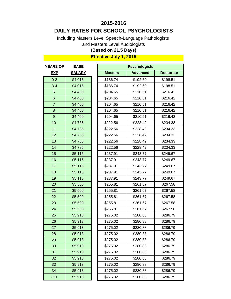## **DAILY RATES FOR SCHOOL PSYCHOLOGISTS**

Including Masters Level Speech-Language Pathologists

and Masters Level Audiologists

## **(Based on 21.5 Days)**

| <b>EXP</b>     |               |                |                 |                  |
|----------------|---------------|----------------|-----------------|------------------|
|                | <b>SALARY</b> | <b>Masters</b> | <b>Advanced</b> | <b>Doctorate</b> |
| $0 - 2$        | \$4,015       | \$186.74       | \$192.60        | \$198.51         |
| $3 - 4$        | \$4,015       | \$186.74       | \$192.60        | \$198.51         |
| 5              | \$4,400       | \$204.65       | \$210.51        | \$216.42         |
| $6\phantom{1}$ | \$4,400       | \$204.65       | \$210.51        | \$216.42         |
| $\overline{7}$ | \$4,400       | \$204.65       | \$210.51        | \$216.42         |
| 8              | \$4,400       | \$204.65       | \$210.51        | \$216.42         |
| $\mathsf g$    | \$4,400       | \$204.65       | \$210.51        | \$216.42         |
| 10             | \$4,785       | \$222.56       | \$228.42        | \$234.33         |
| 11             | \$4,785       | \$222.56       | \$228.42        | \$234.33         |
| 12             | \$4,785       | \$222.56       | \$228.42        | \$234.33         |
| 13             | \$4,785       | \$222.56       | \$228.42        | \$234.33         |
| 14             | \$4,785       | \$222.56       | \$228.42        | \$234.33         |
| 15             | \$5,115       | \$237.91       | \$243.77        | \$249.67         |
| 16             | \$5,115       | \$237.91       | \$243.77        | \$249.67         |
| 17             | \$5,115       | \$237.91       | \$243.77        | \$249.67         |
| 18             | \$5,115       | \$237.91       | \$243.77        | \$249.67         |
| 19             | \$5,115       | \$237.91       | \$243.77        | \$249.67         |
| 20             | \$5,500       | \$255.81       | \$261.67        | \$267.58         |
| 21             | \$5,500       | \$255.81       | \$261.67        | \$267.58         |
| 22             | \$5,500       | \$255.81       | \$261.67        | \$267.58         |
| 23             | \$5,500       | \$255.81       | \$261.67        | \$267.58         |
| 24             | \$5,500       | \$255.81       | \$261.67        | \$267.58         |
| 25             | \$5,913       | \$275.02       | \$280.88        | \$286.79         |
| 26             | \$5,913       | \$275.02       | \$280.88        | \$286.79         |
| 27             | \$5,913       | \$275.02       | \$280.88        | \$286.79         |
| 28             | \$5,913       | \$275.02       | \$280.88        | \$286.79         |
| 29             | \$5,913       | \$275.02       | \$280.88        | \$286.79         |
| 30             | \$5,913       | \$275.02       | \$280.88        | \$286.79         |
| 31             | \$5,913       | \$275.02       | \$280.88        | \$286.79         |
| 32             | \$5,913       | \$275.02       | \$280.88        | \$286.79         |
| 33             | \$5,913       | \$275.02       | \$280.88        | \$286.79         |
| 34             | \$5,913       | \$275.02       | \$280.88        | \$286.79         |
| $35+$          | \$5,913       | \$275.02       | \$280.88        | \$286.79         |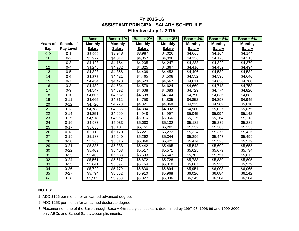### **FY 2015-16 ASSISTANT PRINCIPAL SALARY SCHEDULE Effective July 1, 2015**

|                 |                  | <b>Base</b>    | <b>Base + 1%</b> | <b>Base + 2%</b> | <b>Base + 3%</b> | Base + $4\%$   | <b>Base + 5%</b> | <b>Base + 6%</b> |
|-----------------|------------------|----------------|------------------|------------------|------------------|----------------|------------------|------------------|
| <b>Years of</b> | Schedule/        | <b>Monthly</b> | <b>Monthly</b>   | <b>Monthly</b>   | <b>Monthly</b>   | <b>Monthly</b> | <b>Monthly</b>   | <b>Monthly</b>   |
| Exp             | <b>Pay Level</b> | <b>Salary</b>  | <b>Salary</b>    | <b>Salary</b>    | <b>Salary</b>    | <b>Salary</b>  | <b>Salary</b>    | <b>Salary</b>    |
| $0 - 9$         | $0 - 1$          | \$3,909        | \$3,948          | \$3,987          | \$4,026          | \$4,065        | \$4,104          | \$4,144          |
| 10              | $0 - 2$          | \$3,977        | \$4,017          | \$4,057          | \$4,096          | \$4,136        | \$4,176          | \$4,216          |
| 11              | $0 - 3$          | \$4,123        | \$4,164          | \$4,205          | \$4,247          | \$4,288        | \$4,329          | \$4,370          |
| 12              | $0 - 4$          | \$4,240        | \$4,282          | \$4,325          | \$4,367          | \$4,410        | \$4,452          | \$4,494          |
| 13              | $0 - 5$          | \$4,323        | \$4,366          | \$4,409          | \$4,453          | \$4,496        | \$4,539          | \$4,582          |
| 14              | $0-6$            | \$4,377        | \$4,421          | \$4,465          | \$4,508          | \$4,552        | \$4,596          | \$4,640          |
| 15              | $0 - 7$          | \$4,434        | \$4,478          | \$4,523          | \$4,567          | \$4,611        | \$4,656          | \$4,700          |
| 16              | $0 - 8$          | \$4,489        | \$4,534          | \$4,579          | \$4,624          | \$4,669        | \$4,713          | \$4,758          |
| 17              | $0-9$            | \$4,547        | \$4,592          | \$4,638          | \$4,683          | \$4,729        | \$4,774          | \$4,820          |
| 18              | $0 - 10$         | \$4,606        | \$4,652          | \$4,698          | \$4,744          | \$4,790        | \$4,836          | \$4,882          |
| 19              | $0 - 11$         | \$4,665        | \$4,712          | \$4,758          | \$4,805          | \$4,852        | \$4,898          | \$4,945          |
| 20              | $0 - 12$         | \$4,726        | \$4,773          | \$4,821          | \$4,868          | \$4,915        | \$4,962          | \$5,010          |
| 21              | $0 - 13$         | \$4,788        | \$4,836          | \$4,884          | \$4,932          | \$4,980        | \$5,027          | \$5,075          |
| 22              | $0 - 14$         | \$4,851        | \$4,900          | \$4,948          | \$4,997          | \$5,045        | \$5,094          | \$5,142          |
| 23              | $0 - 15$         | \$4,918        | \$4,967          | \$5,016          | \$5,066          | \$5,115        | \$5,164          | \$5,213          |
| 24              | $0 - 16$         | \$4,983        | \$5,033          | \$5,083          | \$5,132          | \$5,182        | \$5,232          | \$5,282          |
| 25              | $0 - 17$         | \$5,050        | \$5,101          | \$5,151          | \$5,202          | \$5,252        | \$5,303          | \$5,353          |
| 26              | $0 - 18$         | \$5,119        | \$5,170          | \$5,221          | \$5,273          | \$5,324        | \$5,375          | \$5,426          |
| 27              | $0 - 19$         | \$5,188        | \$5,240          | \$5,292          | \$5,344          | \$5,396        | \$5,447          | \$5,499          |
| 28              | $0 - 20$         | \$5,263        | \$5,316          | \$5,368          | \$5,421          | \$5,474        | \$5,526          | \$5,579          |
| 29              | $0 - 21$         | \$5,335        | \$5,388          | \$5,442          | \$5,495          | \$5,548        | \$5,602          | \$5,655          |
| 30              | $0 - 22$         | \$5,409        | \$5,463          | \$5,517          | \$5,571          | \$5,625        | \$5,679          | \$5,734          |
| 31              | $0 - 23$         | \$5,483        | \$5,538          | \$5,593          | \$5,647          | \$5,702        | \$5,757          | \$5,812          |
| 32              | $0 - 24$         | \$5,561        | \$5,617          | \$5,672          | \$5,728          | \$5,783        | \$5,839          | \$5,895          |
| 33              | $0 - 25$         | \$5,641        | \$5,697          | \$5,754          | \$5,810          | \$5,867        | \$5,923          | \$5,979          |
| 34              | $0 - 26$         | \$5,722        | \$5,779          | \$5,836          | \$5,894          | \$5,951        | \$6,008          | \$6,065          |
| 35              | $0 - 27$         | \$5,794        | \$5,852          | \$5,910          | \$5,968          | \$6,026        | \$6,084          | \$6,142          |
| $36+$           | $0 - 28$         | \$5,909        | \$5,968          | \$6,027          | \$6,086          | \$6,145        | \$6,204          | \$6,264          |

#### **NOTES:**

- 1. ADD \$126 per month for an earned advanced degree.
- 2. ADD \$253 per month for an earned doctorate degree.
- 3. Placement on one of the Base through Base + 6% salary schedules is determined by 1997-98, 1998-99 and 1999-2000 only ABCs and School Safety accomplishments.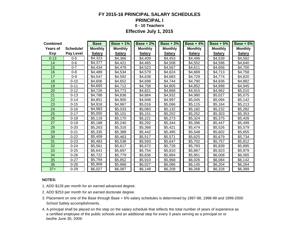### **FY 2015-16 PRINCIPAL SALARY SCHEDULES PRINCIPAL I 0 - 10 Teachers Effective July 1, 2015**

| <b>Combined</b> |                  | <b>Base</b>    | <b>Base + 1%</b> | <b>Base + 2%</b> | <b>Base + 3%</b> | <b>Base + 4%</b> | <b>Base + 5%</b> | Base $+6%$     |
|-----------------|------------------|----------------|------------------|------------------|------------------|------------------|------------------|----------------|
| <b>Years of</b> | Schedule/        | <b>Monthly</b> | <b>Monthly</b>   | <b>Monthly</b>   | <b>Monthly</b>   | <b>Monthly</b>   | <b>Monthly</b>   | <b>Monthly</b> |
| Exp             | <b>Pay Level</b> | <b>Salary</b>  | <b>Salary</b>    | <b>Salary</b>    | <b>Salary</b>    | <b>Salary</b>    | <b>Salary</b>    | <b>Salary</b>  |
| $0 - 13$        | $0 - 5$          | \$4,323        | \$4,366          | \$4,409          | \$4,453          | \$4,496          | \$4,539          | \$4,582        |
| 14              | $0-6$            | \$4,377        | \$4,421          | \$4,465          | \$4,508          | \$4,552          | \$4,596          | \$4,640        |
| 15              | $0 - 7$          | \$4,434        | \$4,478          | \$4,523          | \$4,567          | \$4,611          | \$4,656          | \$4,700        |
| 16              | $0 - 8$          | \$4,489        | \$4,534          | \$4,579          | \$4,624          | \$4,669          | \$4,713          | \$4,758        |
| 17              | $0 - 9$          | \$4,547        | \$4,592          | \$4,638          | \$4,683          | \$4,729          | \$4,774          | \$4,820        |
| 18              | $0 - 10$         | \$4,606        | \$4,652          | \$4,698          | \$4,744          | \$4,790          | \$4,836          | \$4,882        |
| 19              | $0 - 11$         | \$4,665        | \$4,712          | \$4,758          | \$4,805          | \$4,852          | \$4,898          | \$4,945        |
| 20              | $0 - 12$         | \$4,726        | \$4,773          | \$4,821          | \$4,868          | \$4,915          | \$4,962          | \$5,010        |
| 21              | $0 - 13$         | \$4,788        | \$4,836          | \$4,884          | \$4,932          | \$4,980          | \$5,027          | \$5,075        |
| 22              | $0 - 14$         | \$4,851        | \$4,900          | \$4,948          | \$4,997          | \$5,045          | \$5,094          | \$5,142        |
| 23              | $0 - 15$         | \$4,918        | \$4,967          | \$5,016          | \$5,066          | \$5,115          | \$5,164          | \$5,213        |
| 24              | $0 - 16$         | \$4,983        | \$5,033          | \$5,083          | \$5,132          | \$5,182          | \$5,232          | \$5,282        |
| 25              | $0 - 17$         | \$5,050        | \$5,101          | \$5,151          | \$5,202          | \$5,252          | \$5,303          | \$5,353        |
| 26              | $0 - 18$         | \$5,119        | \$5,170          | \$5,221          | \$5,273          | \$5,324          | \$5,375          | \$5,426        |
| 27              | $0 - 19$         | \$5,188        | \$5,240          | \$5,292          | \$5,344          | \$5,396          | \$5,447          | \$5,499        |
| 28              | $0 - 20$         | \$5,263        | \$5,316          | \$5,368          | \$5,421          | \$5,474          | \$5,526          | \$5,579        |
| 29              | $0 - 21$         | \$5,335        | \$5,388          | \$5,442          | \$5,495          | \$5,548          | \$5,602          | \$5,655        |
| 30              | $0 - 22$         | \$5,409        | \$5,463          | \$5,517          | \$5,571          | \$5,625          | \$5,679          | \$5,734        |
| 31              | $0 - 23$         | \$5,483        | \$5,538          | \$5,593          | \$5,647          | \$5,702          | \$5,757          | \$5,812        |
| 32              | $0 - 24$         | \$5,561        | \$5,617          | \$5,672          | \$5,728          | \$5,783          | \$5,839          | \$5,895        |
| 33              | $0 - 25$         | \$5,641        | \$5,697          | \$5,754          | \$5,810          | \$5,867          | \$5,923          | \$5,979        |
| 34              | $0 - 26$         | \$5,722        | \$5,779          | \$5,836          | \$5,894          | \$5,951          | \$6,008          | \$6,065        |
| 35              | $0 - 27$         | \$5,794        | \$5,852          | \$5,910          | \$5,968          | \$6,026          | \$6,084          | \$6,142        |
| 36              | $0 - 28$         | \$5,909        | \$5,968          | \$6,027          | \$6,086          | \$6,145          | \$6,204          | \$6,264        |
| $37+$           | $0 - 29$         | \$6,027        | \$6,087          | \$6,148          | \$6,208          | \$6,268          | \$6,328          | \$6,389        |

#### **NOTES:**

- 1. ADD \$126 per month for an earned advanced degree.
- 2. ADD \$253 per month for an earned doctorate degree.
- 3. Placement on one of the Base through Base + 6% salary schedules is determined by 1997-98, 1998-99 and 1999-2000 School Safety accomplishments.
- 4. A principal shall be placed on the step on the salary schedule that reflects the total number of years of experience as a certified employee of the public schools and an additional step for every 3 years serving as a principal on or beofre June 30, 2009.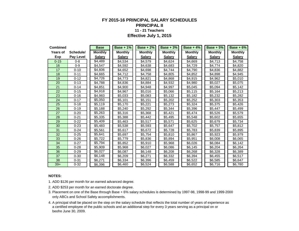#### **FY 2015-16 PRINCIPAL SALARY SCHEDULES PRINCIPAL II 11 - 21 Teachers Effective July 1, 2015**

| <b>Combined</b> |           | <b>Base</b>    | Base + $1\%$   | <b>Base + 2%</b> | Base $+3%$     | Base + $4\%$   | Base + $5\%$   | Base $+6%$     |
|-----------------|-----------|----------------|----------------|------------------|----------------|----------------|----------------|----------------|
| Years of        | Schedule/ | <b>Monthly</b> | <b>Monthly</b> | <b>Monthly</b>   | <b>Monthly</b> | <b>Monthly</b> | <b>Monthly</b> | <b>Monthly</b> |
| Exp             | Pay Level | <b>Salary</b>  | <b>Salary</b>  | <b>Salary</b>    | <b>Salary</b>  | <b>Salary</b>  | <b>Salary</b>  | <b>Salary</b>  |
| $0 - 15$        | $0 - 8$   | \$4.489        | \$4.534        | \$4.579          | \$4.624        | \$4.669        | \$4.713        | \$4.758        |
| 16              | $0-9$     | \$4,547        | \$4.592        | \$4,638          | \$4,683        | \$4,729        | \$4,774        | \$4,820        |
| 17              | $0 - 10$  | \$4,606        | \$4,652        | \$4,698          | \$4,744        | \$4,790        | \$4,836        | \$4,882        |
| 18              | $0 - 11$  | \$4,665        | \$4,712        | \$4,758          | \$4,805        | \$4,852        | \$4,898        | \$4,945        |
| 19              | $0 - 12$  | \$4,726        | \$4.773        | \$4,821          | \$4,868        | \$4,915        | \$4,962        | \$5,010        |
| 20              | $0 - 13$  | \$4,788        | \$4,836        | \$4,884          | \$4,932        | \$4,980        | \$5,027        | \$5,075        |
| 21              | $0 - 14$  | \$4,851        | \$4,900        | \$4.948          | \$4,997        | \$5,045        | \$5,094        | \$5,142        |
| 22              | $0 - 15$  | \$4,918        | \$4,967        | \$5,016          | \$5,066        | \$5,115        | \$5,164        | \$5,213        |
| 23              | $0 - 16$  | \$4.983        | \$5,033        | \$5,083          | \$5,132        | \$5,182        | \$5,232        | \$5,282        |
| 24              | $0 - 17$  | \$5,050        | \$5,101        | \$5,151          | \$5,202        | \$5,252        | \$5,303        | \$5,353        |
| 25              | $0 - 18$  | \$5,119        | \$5,170        | \$5,221          | \$5,273        | \$5,324        | \$5,375        | \$5,426        |
| 26              | $0 - 19$  | \$5,188        | \$5,240        | \$5,292          | \$5,344        | \$5,396        | \$5,447        | \$5,499        |
| 27              | $0 - 20$  | \$5,263        | \$5,316        | \$5,368          | \$5,421        | \$5,474        | \$5,526        | \$5,579        |
| 28              | $0 - 21$  | \$5,335        | \$5,388        | \$5,442          | \$5,495        | \$5,548        | \$5,602        | \$5,655        |
| 29              | $0 - 22$  | \$5,409        | \$5,463        | \$5,517          | \$5,571        | \$5,625        | \$5,679        | \$5,734        |
| 30              | $0 - 23$  | \$5,483        | \$5,538        | \$5,593          | \$5,647        | \$5,702        | \$5,757        | \$5,812        |
| 31              | $0 - 24$  | \$5,561        | \$5,617        | \$5,672          | \$5,728        | \$5,783        | \$5,839        | \$5,895        |
| 32              | $0 - 25$  | \$5,641        | \$5,697        | \$5,754          | \$5,810        | \$5,867        | \$5,923        | \$5,979        |
| 33              | $0 - 26$  | \$5,722        | \$5,779        | \$5,836          | \$5,894        | \$5,951        | \$6,008        | \$6,065        |
| 34              | $0 - 27$  | \$5,794        | \$5,852        | \$5,910          | \$5.968        | \$6,026        | \$6,084        | \$6.142        |
| 35              | $0 - 28$  | \$5,909        | \$5,968        | \$6,027          | \$6,086        | \$6,145        | \$6,204        | \$6,264        |
| 36              | $0 - 29$  | \$6,027        | \$6,087        | \$6,148          | \$6,208        | \$6,268        | \$6,328        | \$6,389        |
| 37              | $0 - 30$  | \$6,148        | \$6,209        | \$6.271          | \$6,332        | \$6,394        | \$6.455        | \$6.517        |
| 38              | $0 - 31$  | \$6,271        | \$6,334        | \$6,396          | \$6,459        | \$6,522        | \$6,585        | \$6,647        |
| $39+$           | $0 - 32$  | \$6,396        | \$6,460        | \$6,524          | \$6,588        | \$6,652        | \$6,716        | \$6,780        |

#### **NOTES:**

1. ADD \$126 per month for an earned advanced degree.

- 3. Placement on one of the Base through Base + 6% salary schedules is determined by 1997-98, 1998-99 and 1999-2000 only ABCs and School Safety accomplishments.
- 4. A principal shall be placed on the step on the salary schedule that reflects the total number of years of experience as a certified employee of the public schools and an additional step for every 3 years serving as a principal on or beofre June 30, 2009.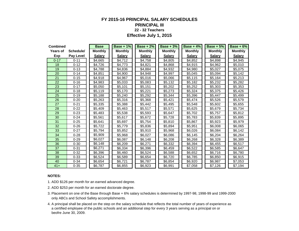#### **FY 2015-16 PRINCIPAL SALARY SCHEDULES PRINCIPAL III 22 - 32 Teachers**

**Effective July 1, 2015**

| <b>Combined</b> |                  | <b>Base</b>    | <b>Base + 1%</b> | Base $+2\%$    | $Base + 3%$    | Base + $4\%$   | Base $+5%$     | Base $+6%$     |
|-----------------|------------------|----------------|------------------|----------------|----------------|----------------|----------------|----------------|
| <b>Years of</b> | Schedule/        | <b>Monthly</b> | <b>Monthly</b>   | <b>Monthly</b> | <b>Monthly</b> | <b>Monthly</b> | <b>Monthly</b> | <b>Monthly</b> |
| Exp             | <b>Pay Level</b> | <b>Salary</b>  | <b>Salary</b>    | <b>Salary</b>  | <b>Salary</b>  | <b>Salary</b>  | <b>Salary</b>  | <b>Salary</b>  |
| $0 - 17$        | $0 - 11$         | \$4,665        | \$4,712          | \$4,758        | \$4,805        | \$4,852        | \$4,898        | \$4,945        |
| 18              | $0 - 12$         | \$4,726        | \$4,773          | \$4,821        | \$4,868        | \$4,915        | \$4,962        | \$5,010        |
| 19              | $0 - 13$         | \$4,788        | \$4,836          | \$4,884        | \$4,932        | \$4,980        | \$5,027        | \$5,075        |
| 20              | $0 - 14$         | \$4,851        | \$4,900          | \$4.948        | \$4,997        | \$5,045        | \$5,094        | \$5,142        |
| 21              | $0 - 15$         | \$4,918        | \$4,967          | \$5,016        | \$5,066        | \$5,115        | \$5,164        | \$5,213        |
| 22              | $0 - 16$         | \$4,983        | \$5,033          | \$5,083        | \$5,132        | \$5,182        | \$5,232        | \$5,282        |
| 23              | $0 - 17$         | \$5,050        | \$5,101          | \$5,151        | \$5,202        | \$5,252        | \$5,303        | \$5,353        |
| 24              | $0 - 18$         | \$5,119        | \$5,170          | \$5,221        | \$5,273        | \$5,324        | \$5,375        | \$5,426        |
| 25              | $0 - 19$         | \$5,188        | \$5,240          | \$5.292        | \$5,344        | \$5,396        | \$5,447        | \$5,499        |
| 26              | $0 - 20$         | \$5,263        | \$5,316          | \$5,368        | \$5,421        | \$5,474        | \$5,526        | \$5,579        |
| 27              | $0 - 21$         | \$5,335        | \$5,388          | \$5,442        | \$5,495        | \$5,548        | \$5,602        | \$5,655        |
| 28              | $0 - 22$         | \$5,409        | \$5,463          | \$5,517        | \$5,571        | \$5,625        | \$5,679        | \$5,734        |
| 29              | $0 - 23$         | \$5,483        | \$5,538          | \$5,593        | \$5,647        | \$5,702        | \$5,757        | \$5,812        |
| 30              | $0 - 24$         | \$5,561        | \$5,617          | \$5,672        | \$5,728        | \$5,783        | \$5,839        | \$5,895        |
| 31              | $0 - 25$         | \$5,641        | \$5,697          | \$5,754        | \$5,810        | \$5,867        | \$5,923        | \$5,979        |
| 32              | $0 - 26$         | \$5,722        | \$5,779          | \$5,836        | \$5,894        | \$5,951        | \$6,008        | \$6,065        |
| 33              | $0 - 27$         | \$5,794        | \$5,852          | \$5,910        | \$5,968        | \$6,026        | \$6,084        | \$6,142        |
| 34              | $0 - 28$         | \$5,909        | \$5,968          | \$6,027        | \$6,086        | \$6,145        | \$6,204        | \$6,264        |
| 35              | $0 - 29$         | \$6,027        | \$6,087          | \$6,148        | \$6,208        | \$6,268        | \$6,328        | \$6,389        |
| 36              | $0 - 30$         | \$6,148        | \$6,209          | \$6,271        | \$6,332        | \$6,394        | \$6,455        | \$6,517        |
| 37              | $0 - 31$         | \$6,271        | \$6,334          | \$6,396        | \$6,459        | \$6,522        | \$6,585        | \$6,647        |
| 38              | $0 - 32$         | \$6,396        | \$6,460          | \$6,524        | \$6,588        | \$6,652        | \$6,716        | \$6,780        |
| 39              | $0 - 33$         | \$6,524        | \$6,589          | \$6,654        | \$6,720        | \$6,785        | \$6,850        | \$6,915        |
| 40              | $0 - 34$         | \$6,654        | \$6,721          | \$6,787        | \$6,854        | \$6,920        | \$6,987        | \$7,053        |
| $41+$           | $0 - 35$         | \$6.787        | \$6,855          | \$6,923        | \$6,991        | \$7,058        | \$7,126        | \$7,194        |

#### **NOTES:**

1. ADD \$126 per month for an earned advanced degree.

- 3. Placement on one of the Base through Base + 6% salary schedules is determined by 1997-98, 1998-99 and 1999-2000 only ABCs and School Safety accomplishments.
- 4. A principal shall be placed on the step on the salary schedule that reflects the total number of years of experience as a certified employee of the public schools and an additional step for every 3 years serving as a principal on or beofre June 30, 2009.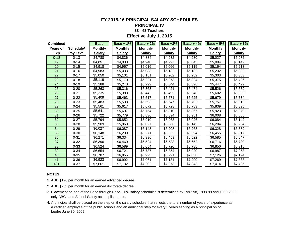### **FY 2015-16 PRINCIPAL SALARY SCHEDULES**

#### **PRINCIPAL IV**

#### **33 - 43 Teachers**

#### **Effective July 1, 2015**

| <b>Combined</b> |           | <b>Base</b>    | <b>Base + 1%</b> | $Base + 2%$    | <b>Base +3%</b> | <b>Base + 4%</b> | Base $+5%$     | Base $+6%$     |
|-----------------|-----------|----------------|------------------|----------------|-----------------|------------------|----------------|----------------|
| <b>Years of</b> | Schedule/ | <b>Monthly</b> | <b>Monthly</b>   | <b>Monthly</b> | <b>Monthly</b>  | <b>Monthly</b>   | <b>Monthly</b> | <b>Monthly</b> |
| Exp             | Pay Level | <b>Salary</b>  | <b>Salary</b>    | <b>Salary</b>  | <b>Salary</b>   | <b>Salary</b>    | <b>Salary</b>  | <b>Salary</b>  |
| $0 - 18$        | $0 - 13$  | \$4,788        | \$4,836          | \$4,884        | \$4,932         | \$4,980          | \$5,027        | \$5,075        |
| 19              | $0 - 14$  | \$4,851        | \$4,900          | \$4,948        | \$4,997         | \$5,045          | \$5,094        | \$5,142        |
| 20              | $0 - 15$  | \$4,918        | \$4,967          | \$5,016        | \$5,066         | \$5,115          | \$5,164        | \$5,213        |
| 21              | $0 - 16$  | \$4,983        | \$5,033          | \$5,083        | \$5,132         | \$5,182          | \$5,232        | \$5,282        |
| 22              | $0 - 17$  | \$5,050        | \$5,101          | \$5,151        | \$5,202         | \$5,252          | \$5,303        | \$5,353        |
| 23              | $0 - 18$  | \$5,119        | \$5,170          | \$5,221        | \$5,273         | \$5,324          | \$5,375        | \$5,426        |
| 24              | $0 - 19$  | \$5,188        | \$5,240          | \$5,292        | \$5,344         | \$5,396          | \$5,447        | \$5,499        |
| 25              | $0 - 20$  | \$5,263        | \$5,316          | \$5,368        | \$5,421         | \$5,474          | \$5,526        | \$5,579        |
| 26              | $0 - 21$  | \$5,335        | \$5,388          | \$5,442        | \$5,495         | \$5,548          | \$5,602        | \$5,655        |
| 27              | $0 - 22$  | \$5,409        | \$5,463          | \$5,517        | \$5,571         | \$5,625          | \$5,679        | \$5,734        |
| 28              | $0 - 23$  | \$5,483        | \$5,538          | \$5,593        | \$5,647         | \$5,702          | \$5,757        | \$5,812        |
| 29              | $0 - 24$  | \$5,561        | \$5,617          | \$5,672        | \$5,728         | \$5,783          | \$5,839        | \$5,895        |
| 30              | $0 - 25$  | \$5,641        | \$5,697          | \$5,754        | \$5,810         | \$5,867          | \$5,923        | \$5,979        |
| 31              | $0 - 26$  | \$5,722        | \$5,779          | \$5,836        | \$5,894         | \$5,951          | \$6,008        | \$6,065        |
| 32              | $0 - 27$  | \$5,794        | \$5,852          | \$5,910        | \$5,968         | \$6,026          | \$6,084        | \$6,142        |
| 33              | $0 - 28$  | \$5,909        | \$5,968          | \$6,027        | \$6,086         | \$6,145          | \$6,204        | \$6,264        |
| 34              | $0 - 29$  | \$6,027        | \$6,087          | \$6,148        | \$6,208         | \$6,268          | \$6,328        | \$6,389        |
| 35              | $0 - 30$  | \$6,148        | \$6,209          | \$6,271        | \$6,332         | \$6,394          | \$6,455        | \$6,517        |
| 36              | $0 - 31$  | \$6,271        | \$6,334          | \$6,396        | \$6,459         | \$6,522          | \$6,585        | \$6,647        |
| 37              | $0 - 32$  | \$6,396        | \$6,460          | \$6,524        | \$6,588         | \$6,652          | \$6,716        | \$6,780        |
| 38              | $0 - 33$  | \$6,524        | \$6,589          | \$6,654        | \$6,720         | \$6,785          | \$6,850        | \$6,915        |
| 39              | $0 - 34$  | \$6,654        | \$6,721          | \$6,787        | \$6,854         | \$6,920          | \$6,987        | \$7,053        |
| 40              | $0 - 35$  | \$6,787        | \$6,855          | \$6,923        | \$6,991         | \$7,058          | \$7,126        | \$7,194        |
| 41              | $0 - 36$  | \$6,923        | \$6,992          | \$7,061        | \$7,131         | \$7,200          | \$7,269        | \$7,338        |
| $42+$           | $0 - 37$  | \$7,061        | \$7,132          | \$7,202        | \$7,273         | \$7,343          | \$7,414        | \$7,485        |

#### **NOTES:**

1. ADD \$126 per month for an earned advanced degree.

- 2. ADD \$253 per month for an earned doctorate degree.
- 3. Placement on one of the Base through Base + 6% salary schedules is determined by 1997-98, 1998-99 and 1999-2000 only ABCs and School Safety accomplishments.
- 4. A principal shall be placed on the step on the salary schedule that reflects the total number of years of experience as a certified employee of the public schools and an additional step for every 3 years serving as a principal on or beofre June 30, 2009.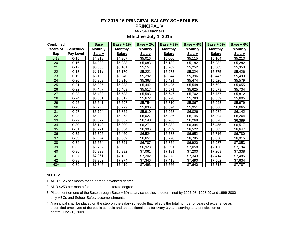#### **FY 2015-16 PRINCIPAL SALARY SCHEDULES PRINCIPAL V**

### **44 - 54 Teachers**

**Effective July 1, 2015**

| <b>Combined</b> |           | <b>Base</b>    | Base + $1\%$   | <b>Base + 2%</b> | Base $+3\%$    | Base + $4\%$   | <b>Base + 5%</b> | $Base + 6%$    |
|-----------------|-----------|----------------|----------------|------------------|----------------|----------------|------------------|----------------|
| Years of        | Schedule/ | <b>Monthly</b> | <b>Monthly</b> | <b>Monthly</b>   | <b>Monthly</b> | <b>Monthly</b> | <b>Monthly</b>   | <b>Monthly</b> |
| Exp             | Pay Level | <b>Salary</b>  | <b>Salary</b>  | <b>Salary</b>    | <b>Salary</b>  | <b>Salary</b>  | <b>Salary</b>    | <b>Salary</b>  |
| $0 - 19$        | $0 - 15$  | \$4,918        | \$4,967        | \$5,016          | \$5,066        | \$5,115        | \$5,164          | \$5,213        |
| 20              | $0 - 16$  | \$4,983        | \$5.033        | \$5,083          | \$5,132        | \$5,182        | \$5,232          | \$5,282        |
| 21              | $0 - 17$  | \$5,050        | \$5,101        | \$5,151          | \$5,202        | \$5,252        | \$5,303          | \$5,353        |
| 22              | $0 - 18$  | \$5,119        | \$5,170        | \$5,221          | \$5,273        | \$5,324        | \$5,375          | \$5,426        |
| 23              | $0 - 19$  | \$5,188        | \$5,240        | \$5,292          | \$5,344        | \$5,396        | \$5,447          | \$5,499        |
| 24              | $0 - 20$  | \$5,263        | \$5,316        | \$5,368          | \$5,421        | \$5,474        | \$5,526          | \$5,579        |
| 25              | $0 - 21$  | \$5,335        | \$5,388        | \$5,442          | \$5,495        | \$5,548        | \$5,602          | \$5,655        |
| 26              | $0 - 22$  | \$5,409        | \$5,463        | \$5,517          | \$5,571        | \$5,625        | \$5,679          | \$5,734        |
| 27              | $0 - 23$  | \$5,483        | \$5,538        | \$5,593          | \$5,647        | \$5,702        | \$5,757          | \$5,812        |
| 28              | $0 - 24$  | \$5,561        | \$5,617        | \$5,672          | \$5,728        | \$5,783        | \$5,839          | \$5,895        |
| 29              | $0 - 25$  | \$5,641        | \$5,697        | \$5,754          | \$5,810        | \$5,867        | \$5,923          | \$5.979        |
| 30              | $0 - 26$  | \$5,722        | \$5,779        | \$5,836          | \$5,894        | \$5,951        | \$6,008          | \$6,065        |
| 31              | $0 - 27$  | \$5,794        | \$5,852        | \$5,910          | \$5,968        | \$6,026        | \$6,084          | \$6,142        |
| 32              | $0 - 28$  | \$5,909        | \$5,968        | \$6,027          | \$6,086        | \$6,145        | \$6,204          | \$6,264        |
| 33              | $0 - 29$  | \$6,027        | \$6,087        | \$6,148          | \$6,208        | \$6,268        | \$6,328          | \$6,389        |
| 34              | $0 - 30$  | \$6,148        | \$6,209        | \$6,271          | \$6,332        | \$6,394        | \$6,455          | \$6,517        |
| 35              | $0 - 31$  | \$6,271        | \$6,334        | \$6,396          | \$6,459        | \$6,522        | \$6,585          | \$6,647        |
| 36              | $0 - 32$  | \$6,396        | \$6,460        | \$6,524          | \$6,588        | \$6,652        | \$6,716          | \$6,780        |
| 37              | $0 - 33$  | \$6,524        | \$6,589        | \$6,654          | \$6,720        | \$6,785        | \$6,850          | \$6,915        |
| 38              | $0 - 34$  | \$6,654        | \$6,721        | \$6,787          | \$6,854        | \$6,920        | \$6,987          | \$7,053        |
| 39              | $0 - 35$  | \$6,787        | \$6,855        | \$6,923          | \$6,991        | \$7,058        | \$7,126          | \$7,194        |
| 40              | $0 - 36$  | \$6,923        | \$6,992        | \$7,061          | \$7,131        | \$7,200        | \$7,269          | \$7,338        |
| 41              | $0 - 37$  | \$7,061        | \$7,132        | \$7,202          | \$7,273        | \$7,343        | \$7,414          | \$7,485        |
| 42              | $0 - 38$  | \$7,202        | \$7,274        | \$7,346          | \$7,418        | \$7,490        | \$7,562          | \$7,634        |
| $43+$           | $0 - 39$  | \$7,346        | \$7,419        | \$7,493          | \$7,566        | \$7,640        | \$7,713          | \$7,787        |

#### **NOTES:**

1. ADD \$126 per month for an earned advanced degree.

- 3. Placement on one of the Base through Base + 6% salary schedules is determined by 1997-98, 1998-99 and 1999-2000 only ABCs and School Safety accomplishments.
- 4. A principal shall be placed on the step on the salary schedule that reflects the total number of years of experience as a certified employee of the public schools and an additional step for every 3 years serving as a principal on or beofre June 30, 2009.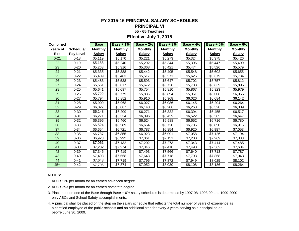#### **FY 2015-16 PRINCIPAL SALARY SCHEDULES PRINCIPAL VI 55 - 65 Teachers Effective July 1, 2015**

| <b>Combined</b> |                  | <b>Base</b>    | Base + $1\%$   | Base $+2\%$    | Base + $3\%$   | Base + $4\%$   | Base $+5%$     | Base $+6%$     |
|-----------------|------------------|----------------|----------------|----------------|----------------|----------------|----------------|----------------|
| Years of        | Schedule/        | <b>Monthly</b> | <b>Monthly</b> | <b>Monthly</b> | <b>Monthly</b> | <b>Monthly</b> | <b>Monthly</b> | <b>Monthly</b> |
| Exp             | <b>Pay Level</b> | <b>Salary</b>  | <b>Salary</b>  | <b>Salary</b>  | <b>Salary</b>  | <b>Salary</b>  | <b>Salary</b>  | <b>Salary</b>  |
| $0 - 21$        | $0 - 18$         | \$5,119        | \$5,170        | \$5,221        | \$5,273        | \$5,324        | \$5,375        | \$5,426        |
| 22              | $0 - 19$         | \$5,188        | \$5,240        | \$5,292        | \$5,344        | \$5,396        | \$5,447        | \$5,499        |
| 23              | $0 - 20$         | \$5,263        | \$5,316        | \$5,368        | \$5,421        | \$5,474        | \$5,526        | \$5,579        |
| 24              | $0 - 21$         | \$5,335        | \$5,388        | \$5,442        | \$5,495        | \$5,548        | \$5,602        | \$5,655        |
| 25              | $0 - 22$         | \$5,409        | \$5,463        | \$5,517        | \$5,571        | \$5,625        | \$5,679        | \$5,734        |
| 26              | $0 - 23$         | \$5,483        | \$5,538        | \$5,593        | \$5,647        | \$5,702        | \$5,757        | \$5,812        |
| 27              | $0 - 24$         | \$5,561        | \$5,617        | \$5,672        | \$5,728        | \$5,783        | \$5,839        | \$5,895        |
| 28              | $0 - 25$         | \$5,641        | \$5,697        | \$5,754        | \$5,810        | \$5,867        | \$5,923        | \$5,979        |
| 29              | $0 - 26$         | \$5,722        | \$5,779        | \$5,836        | \$5,894        | \$5,951        | \$6,008        | \$6,065        |
| 30              | $0 - 27$         | \$5,794        | \$5,852        | \$5,910        | \$5,968        | \$6,026        | \$6,084        | \$6,142        |
| 31              | $0 - 28$         | \$5,909        | \$5,968        | \$6,027        | \$6,086        | \$6,145        | \$6,204        | \$6,264        |
| 32              | $0 - 29$         | \$6,027        | \$6,087        | \$6,148        | \$6,208        | \$6,268        | \$6,328        | \$6,389        |
| 33              | $0 - 30$         | \$6,148        | \$6,209        | \$6,271        | \$6,332        | \$6,394        | \$6,455        | \$6,517        |
| 34              | $0 - 31$         | \$6.271        | \$6,334        | \$6,396        | \$6,459        | \$6,522        | \$6,585        | \$6,647        |
| 35              | $0 - 32$         | \$6,396        | \$6,460        | \$6,524        | \$6,588        | \$6,652        | \$6,716        | \$6,780        |
| 36              | $0 - 33$         | \$6,524        | \$6,589        | \$6,654        | \$6,720        | \$6,785        | \$6,850        | \$6,915        |
| 37              | $0 - 34$         | \$6,654        | \$6,721        | \$6,787        | \$6,854        | \$6,920        | \$6,987        | \$7,053        |
| 38              | $0 - 35$         | \$6,787        | \$6,855        | \$6,923        | \$6,991        | \$7,058        | \$7,126        | \$7,194        |
| 39              | $0 - 36$         | \$6,923        | \$6,992        | \$7,061        | \$7,131        | \$7,200        | \$7,269        | \$7,338        |
| 40              | $0 - 37$         | \$7,061        | \$7,132        | \$7.202        | \$7,273        | \$7,343        | \$7,414        | \$7,485        |
| 41              | $0 - 38$         | \$7,202        | \$7,274        | \$7,346        | \$7,418        | \$7,490        | \$7,562        | \$7,634        |
| 42              | $0 - 39$         | \$7,346        | \$7,419        | \$7,493        | \$7,566        | \$7,640        | \$7,713        | \$7,787        |
| 43              | $0 - 40$         | \$7,493        | \$7,568        | \$7,643        | \$7,718        | \$7,793        | \$7,868        | \$7,943        |
| 44              | $0 - 41$         | \$7,643        | \$7,719        | \$7,796        | \$7,872        | \$7,949        | \$8,025        | \$8,102        |
| $45+$           | $0 - 42$         | \$7,796        | \$7,874        | \$7,952        | \$8,030        | \$8,108        | \$8,186        | \$8,264        |

#### **NOTES:**

1. ADD \$126 per month for an earned advanced degree.

- 3. Placement on one of the Base through Base + 6% salary schedules is determined by 1997-98, 1998-99 and 1999-2000 only ABCs and School Safety accomplishments.
- 4. A principal shall be placed on the step on the salary schedule that reflects the total number of years of experience as a certified employee of the public schools and an additional step for every 3 years serving as a principal on or beofre June 30, 2009.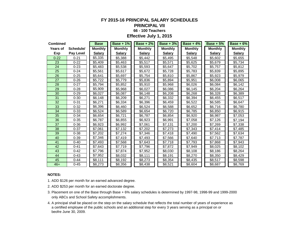### **FY 2015-16 PRINCIPAL SALARY SCHEDULES**

#### **PRINCIPAL VII**

#### **66 - 100 Teachers**

**Effective July 1, 2015**

| <b>Combined</b> |                  | <b>Base</b>    | Base + $1\%$   | Base $+2\%$    | Base $+3%$     | Base + $4\%$   | Base $+5%$     | Base $+6\%$    |
|-----------------|------------------|----------------|----------------|----------------|----------------|----------------|----------------|----------------|
| <b>Years of</b> | Schedule/        | <b>Monthly</b> | <b>Monthly</b> | <b>Monthly</b> | <b>Monthly</b> | <b>Monthly</b> | <b>Monthly</b> | <b>Monthly</b> |
| Exp             | <b>Pay Level</b> | <b>Salary</b>  | <b>Salary</b>  | <b>Salary</b>  | <b>Salary</b>  | <b>Salary</b>  | <b>Salary</b>  | <b>Salary</b>  |
| $0 - 22$        | $0 - 21$         | \$5,335        | \$5,388        | \$5,442        | \$5,495        | \$5,548        | \$5,602        | \$5,655        |
| 23              | $0 - 22$         | \$5,409        | \$5,463        | \$5,517        | \$5,571        | \$5,625        | \$5,679        | \$5.734        |
| 24              | $0 - 23$         | \$5,483        | \$5,538        | \$5,593        | \$5,647        | \$5,702        | \$5,757        | \$5,812        |
| 25              | $0 - 24$         | \$5,561        | \$5,617        | \$5,672        | \$5,728        | \$5,783        | \$5,839        | \$5,895        |
| 26              | $0 - 25$         | \$5,641        | \$5,697        | \$5,754        | \$5,810        | \$5,867        | \$5,923        | \$5,979        |
| 27              | $0 - 26$         | \$5,722        | \$5,779        | \$5,836        | \$5,894        | \$5,951        | \$6,008        | \$6,065        |
| 28              | $0 - 27$         | \$5,794        | \$5,852        | \$5,910        | \$5,968        | \$6,026        | \$6,084        | \$6,142        |
| 29              | $0 - 28$         | \$5,909        | \$5,968        | \$6,027        | \$6,086        | \$6,145        | \$6,204        | \$6,264        |
| 30              | $0 - 29$         | \$6,027        | \$6,087        | \$6,148        | \$6,208        | \$6,268        | \$6,328        | \$6,389        |
| 31              | $0 - 30$         | \$6,148        | \$6,209        | \$6,271        | \$6,332        | \$6,394        | \$6,455        | \$6,517        |
| 32              | $0 - 31$         | \$6,271        | \$6,334        | \$6,396        | \$6,459        | \$6,522        | \$6,585        | \$6,647        |
| 33              | $0 - 32$         | \$6,396        | \$6,460        | \$6,524        | \$6,588        | \$6.652        | \$6,716        | \$6,780        |
| 34              | $0 - 33$         | \$6,524        | \$6,589        | \$6,654        | \$6,720        | \$6,785        | \$6,850        | \$6,915        |
| 35              | $0 - 34$         | \$6,654        | \$6,721        | \$6,787        | \$6,854        | \$6,920        | \$6,987        | \$7,053        |
| 36              | $0 - 35$         | \$6,787        | \$6,855        | \$6,923        | \$6.991        | \$7,058        | \$7,126        | \$7,194        |
| 37              | $0 - 36$         | \$6,923        | \$6,992        | \$7,061        | \$7,131        | \$7,200        | \$7,269        | \$7,338        |
| 38              | $0 - 37$         | \$7,061        | \$7,132        | \$7,202        | \$7,273        | \$7,343        | \$7,414        | \$7,485        |
| 39              | $0 - 38$         | \$7,202        | \$7,274        | \$7,346        | \$7,418        | \$7,490        | \$7,562        | \$7,634        |
| 40              | $0 - 39$         | \$7,346        | \$7,419        | \$7,493        | \$7,566        | \$7,640        | \$7,713        | \$7,787        |
| 41              | $0 - 40$         | \$7,493        | \$7,568        | \$7,643        | \$7,718        | \$7,793        | \$7,868        | \$7,943        |
| 42              | $0 - 41$         | \$7,643        | \$7,719        | \$7,796        | \$7,872        | \$7,949        | \$8,025        | \$8,102        |
| 43              | $0 - 42$         | \$7,796        | \$7,874        | \$7,952        | \$8,030        | \$8,108        | \$8,186        | \$8,264        |
| 44              | $0 - 43$         | \$7,952        | \$8,032        | \$8,111        | \$8,191        | \$8,270        | \$8,350        | \$8,429        |
| 45              | $0 - 44$         | \$8,111        | \$8,192        | \$8,273        | \$8,354        | \$8,435        | \$8,517        | \$8,598        |
| $46+$           | $0 - 45$         | \$8,273        | \$8,356        | \$8,438        | \$8,521        | \$8,604        | \$8,687        | \$8,769        |

#### **NOTES:**

1. ADD \$126 per month for an earned advanced degree.

- 3. Placement on one of the Base through Base + 6% salary schedules is determined by 1997-98, 1998-99 and 1999-2000 only ABCs and School Safety accomplishments.
- 4. A principal shall be placed on the step on the salary schedule that reflects the total number of years of experience as a certified employee of the public schools and an additional step for every 3 years serving as a principal on or beofre June 30, 2009.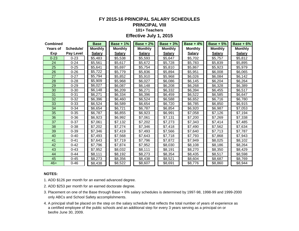## **FY 2015-16 PRINCIPAL SALARY SCHEDULES**

## **PRINCIPAL VIII**

## **101+ Teachers**

#### **Effective July 1, 2015**

| <b>Combined</b> |           | <b>Base</b>    | <b>Base + 1%</b> | <b>Base + 2%</b> | <b>Base + 3%</b> | Base + $4\%$   | <b>Base + 5%</b> | Base $+6%$     |
|-----------------|-----------|----------------|------------------|------------------|------------------|----------------|------------------|----------------|
| <b>Years of</b> | Schedule/ | <b>Monthly</b> | <b>Monthly</b>   | <b>Monthly</b>   | <b>Monthly</b>   | <b>Monthly</b> | <b>Monthly</b>   | <b>Monthly</b> |
| Exp             | Pay Level | <b>Salary</b>  | <b>Salary</b>    | <b>Salary</b>    | <b>Salary</b>    | <b>Salary</b>  | <b>Salary</b>    | <b>Salary</b>  |
| $0 - 23$        | $0 - 23$  | \$5,483        | \$5,538          | \$5,593          | \$5,647          | \$5,702        | \$5,757          | \$5,812        |
| 24              | $0 - 24$  | \$5,561        | \$5,617          | \$5,672          | \$5,728          | \$5,783        | \$5,839          | \$5,895        |
| 25              | $0 - 25$  | \$5,641        | \$5,697          | \$5,754          | \$5,810          | \$5,867        | \$5,923          | \$5,979        |
| 26              | $0 - 26$  | \$5,722        | \$5,779          | \$5,836          | \$5,894          | \$5,951        | \$6,008          | \$6,065        |
| 27              | $0 - 27$  | \$5,794        | \$5,852          | \$5,910          | \$5,968          | \$6,026        | \$6,084          | \$6,142        |
| 28              | $0 - 28$  | \$5,909        | \$5,968          | \$6,027          | \$6,086          | \$6,145        | \$6,204          | \$6,264        |
| 29              | $0 - 29$  | \$6,027        | \$6,087          | \$6,148          | \$6,208          | \$6,268        | \$6,328          | \$6,389        |
| 30              | $0 - 30$  | \$6,148        | \$6,209          | \$6,271          | \$6,332          | \$6,394        | \$6,455          | \$6,517        |
| 31              | $0 - 31$  | \$6,271        | \$6,334          | \$6,396          | \$6,459          | \$6,522        | \$6,585          | \$6,647        |
| 32              | $0 - 32$  | \$6,396        | \$6,460          | \$6,524          | \$6,588          | \$6,652        | \$6,716          | \$6,780        |
| 33              | $0 - 33$  | \$6,524        | \$6,589          | \$6,654          | \$6,720          | \$6,785        | \$6,850          | \$6,915        |
| 34              | $0 - 34$  | \$6,654        | \$6,721          | \$6,787          | \$6,854          | \$6,920        | \$6,987          | \$7,053        |
| 35              | $0 - 35$  | \$6,787        | \$6,855          | \$6,923          | \$6,991          | \$7,058        | \$7,126          | \$7,194        |
| 36              | $0 - 36$  | \$6,923        | \$6,992          | \$7,061          | \$7,131          | \$7,200        | \$7,269          | \$7,338        |
| 37              | $0 - 37$  | \$7,061        | \$7,132          | \$7,202          | \$7,273          | \$7,343        | \$7,414          | \$7,485        |
| 38              | $0 - 38$  | \$7,202        | \$7,274          | \$7,346          | \$7,418          | \$7,490        | \$7,562          | \$7,634        |
| 39              | $0 - 39$  | \$7,346        | \$7,419          | \$7,493          | \$7,566          | \$7,640        | \$7,713          | \$7,787        |
| 40              | $0 - 40$  | \$7,493        | \$7,568          | \$7,643          | \$7,718          | \$7,793        | \$7,868          | \$7,943        |
| 41              | $0 - 41$  | \$7,643        | \$7,719          | \$7,796          | \$7,872          | \$7,949        | \$8,025          | \$8,102        |
| 42              | $0 - 42$  | \$7.796        | \$7,874          | \$7,952          | \$8,030          | \$8,108        | \$8,186          | \$8,264        |
| 43              | $0 - 43$  | \$7,952        | \$8,032          | \$8,111          | \$8,191          | \$8,270        | \$8,350          | \$8,429        |
| 44              | $0 - 44$  | \$8,111        | \$8,192          | \$8,273          | \$8,354          | \$8,435        | \$8,517          | \$8,598        |
| 45              | $0 - 45$  | \$8,273        | \$8,356          | \$8,438          | \$8,521          | \$8,604        | \$8,687          | \$8,769        |
| $46+$           | 0-46      | \$8,438        | \$8,522          | \$8,607          | \$8,691          | \$8,776        | \$8,860          | \$8,944        |

#### **NOTES:**

1. ADD \$126 per month for an earned advanced degree.

- 2. ADD \$253 per month for an earned doctorate degree.
- 3. Placement on one of the Base through Base + 6% salary schedules is determined by 1997-98, 1998-99 and 1999-2000 only ABCs and School Safety accomplishments.
- 4. A principal shall be placed on the step on the salary schedule that reflects the total number of years of experience as a certified employee of the public schools and an additional step for every 3 years serving as a principal on or beofre June 30, 2009.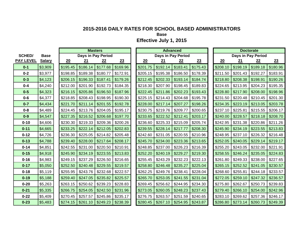**Base**

|                  |               |          |                     | <b>Masters</b>     |          |                  |          | <b>Advanced</b>    |          |          |          | <b>Doctorate</b>   |          |
|------------------|---------------|----------|---------------------|--------------------|----------|------------------|----------|--------------------|----------|----------|----------|--------------------|----------|
| <b>SCHED/</b>    | <b>Base</b>   |          |                     | Days in Pay Period |          |                  |          | Days in Pay Period |          |          |          | Days in Pay Period |          |
| <b>PAY LEVEL</b> | <b>Salary</b> | 20       | 21                  | 22                 | 23       | $\underline{20}$ | 21       | 22                 | 23       | 20       | 21       | 22                 | 23       |
| $0 - 1$          | \$3,909       | \$195.45 | \$186.14            | \$177.68           | \$169.96 | \$201.75         | \$192.14 | \$183.41           | \$175.43 | \$208.10 | \$198.19 | \$189.18           | \$180.96 |
| $0 - 2$          | \$3,977       | \$198.85 | \$189.38            | \$180.77           | \$172.91 | \$205.15         | \$195.38 | \$186.50           | \$178.39 | \$211.50 | \$201.43 | \$192.27           | \$183.91 |
| $0 - 3$          | \$4,123       | \$206.15 | \$196.33            | \$187.41           | \$179.26 | \$212.45         | \$202.33 | \$193.14           | \$184.74 | \$218.80 | \$208.38 | \$198.91           | \$190.26 |
| $0 - 4$          | \$4,240       | \$212.00 | \$201.90            | \$192.73           | \$184.35 | \$218.30         | \$207.90 | \$198.45           | \$189.83 | \$224.65 | \$213.95 | \$204.23           | \$195.35 |
| $0 - 5$          | \$4,323       | \$216.15 | \$205.86            | \$196.50           | \$187.96 | \$222.45         | \$211.86 | \$202.23           | \$193.43 | \$228.80 | \$217.90 | \$208.00           | \$198.96 |
| $0 - 6$          | \$4,377       | \$218.85 | \$208.43            | \$198.95           | \$190.30 | \$225.15         | \$214.43 | \$204.68           | \$195.78 | \$231.50 | \$220.48 | \$210.45           | \$201.30 |
| $0 - 7$          | \$4,434       | \$221.70 | \$211.14            | \$201.55           | \$192.78 | \$228.00         | \$217.14 | \$207.27           | \$198.26 | \$234.35 | \$223.19 | \$213.05           | \$203.78 |
| $0 - 8$          | \$4,489       | \$224.45 | \$213.76            | \$204.05           | \$195.17 | \$230.75         | \$219.76 | \$209.77           | \$200.65 | \$237.10 | \$225.81 | \$215.55           | \$206.17 |
| $0-9$            | \$4,547       | \$227.35 | \$216.52            | \$206.68           | \$197.70 | \$233.65         | \$222.52 | \$212.41           | \$203.17 | \$240.00 | \$228.57 | \$218.18           | \$208.70 |
| $0 - 10$         | \$4,606       | \$230.30 | \$219.33            | \$209.36           | \$200.26 | \$236.60         | \$225.33 | \$215.09           | \$205.74 | \$242.95 | \$231.38 | \$220.86           | \$211.26 |
| $0 - 11$         | \$4,665       | \$233.25 | \$222.14            | \$212.05           | \$202.83 | \$239.55         | \$228.14 | \$217.77           | \$208.30 | \$245.90 | \$234.19 | \$223.55           | \$213.83 |
| $0 - 12$         | \$4,726       | \$236.30 | \$225.05            | \$214.82           | \$205.48 | \$242.60         | \$231.05 | \$220.55           | \$210.96 | \$248.95 | \$237.10 | \$226.32           | \$216.48 |
| $0 - 13$         | \$4,788       | \$239.40 | \$228.00            | \$217.64           | \$208.17 | \$245.70         | \$234.00 | \$223.36           | \$213.65 | \$252.05 | \$240.05 | \$229.14           | \$219.17 |
| $0 - 14$         | \$4,851       | \$242.55 | \$231.00            | \$220.50           | \$210.91 | \$248.85         | \$237.00 | \$226.23           | \$216.39 | \$255.20 | \$243.05 | \$232.00           | \$221.91 |
| $0 - 15$         | \$4,918       | \$245.90 | \$234.19            | \$223.55           | \$213.83 | \$252.20         | \$240.19 | \$229.27           | \$219.30 | \$258.55 | \$246.24 | \$235.05           | \$224.83 |
| $0 - 16$         | \$4,983       | \$249.15 | \$237.29            | \$226.50           | \$216.65 | \$255.45         | \$243.29 | \$232.23           | \$222.13 | \$261.80 | \$249.33 | \$238.00           | \$227.65 |
| $0 - 17$         | \$5,050       | \$252.50 | \$240.48            | \$229.55           | \$219.57 | \$258.80         | \$246.48 | \$235.27           | \$225.04 | \$265.15 | \$252.52 | \$241.05           | \$230.57 |
| $0 - 18$         | \$5,119       | \$255.95 | \$243.76            | \$232.68           | \$222.57 | \$262.25         | \$249.76 | \$238.41           | \$228.04 | \$268.60 | \$255.81 | \$244.18           | \$233.57 |
| $0 - 19$         | \$5,188       | \$259.40 | \$247.05            | \$235.82           | \$225.57 | \$265.70         | \$253.05 | \$241.55           | \$231.04 | \$272.05 | \$259.10 | \$247.32           | \$236.57 |
| $0 - 20$         | \$5,263       | \$263.15 | \$250.62            | \$239.23           | \$228.83 | \$269.45         | \$256.62 | \$244.95           | \$234.30 | \$275.80 | \$262.67 | \$250.73           | \$239.83 |
| $0 - 21$         | \$5,335       | \$266.75 | \$254.05            | \$242.50           | \$231.96 | \$273.05         | \$260.05 | \$248.23           | \$237.43 | \$279.40 | \$266.10 | \$254.00           | \$242.96 |
| $0 - 22$         | \$5,409       | \$270.45 | \$257.57            | \$245.86           | \$235.17 | \$276.75         | \$263.57 | \$251.59           | \$240.65 | \$283.10 | \$269.62 | \$257.36           | \$246.17 |
| $0 - 23$         | \$5,483       |          | $$274.15$ $$261.10$ | \$249.23           | \$238.39 | \$280.45         | \$267.10 | \$254.95           | \$243.87 | \$286.80 | \$273.14 | \$260.73           | \$249.39 |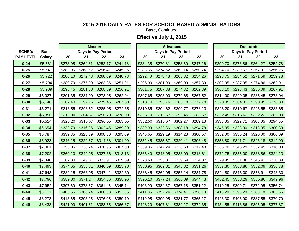**Base**, Continued

|                  |               |          |          | <b>Masters</b>     |          |          |          | <b>Advanced</b>    |          |          |          | <b>Doctorate</b>   |          |
|------------------|---------------|----------|----------|--------------------|----------|----------|----------|--------------------|----------|----------|----------|--------------------|----------|
| <b>SCHED/</b>    | <b>Base</b>   |          |          | Days in Pay Period |          |          |          | Days in Pay Period |          |          |          | Days in Pay Period |          |
| <b>PAY LEVEL</b> | <b>Salary</b> | 20       | 21       | 22                 | 23       | 20       | 21       | 22                 | 23       | 20       | 21       | 22                 | 23       |
| $0 - 24$         | \$5,561       | \$278.05 | \$264.81 | \$252.77           | \$241.78 | \$284.35 | \$270.81 | \$258.50           | \$247.26 | \$290.70 | \$276.86 | \$264.27           | \$252.78 |
| $0 - 25$         | \$5,641       | \$282.05 | \$268.62 | \$256.41           | \$245.26 | \$288.35 | \$274.62 | \$262.14           | \$250.74 | \$294.70 | \$280.67 | \$267.91           | \$256.26 |
| $0 - 26$         | \$5,722       | \$286.10 | \$272.48 | \$260.09           | \$248.78 | \$292.40 | \$278.48 | \$265.82           | \$254.26 | \$298.75 | \$284.52 | \$271.59           | \$259.78 |
| $0 - 27$         | \$5,794       | \$289.70 | \$275.90 | \$263.36           | \$251.91 | \$296.00 | \$281.90 | \$269.09           | \$257.39 | \$302.35 | \$287.95 | \$274.86           | \$262.91 |
| $0 - 28$         | \$5,909       | \$295.45 | \$281.38 | \$268.59           | \$256.91 | \$301.75 | \$287.38 | \$274.32           | \$262.39 | \$308.10 | \$293.43 | \$280.09           | \$267.91 |
| $0 - 29$         | \$6,027       | \$301.35 | \$287.00 | \$273.95           | \$262.04 | \$307.65 | \$293.00 | \$279.68           | \$267.52 | \$314.00 | \$299.05 | \$285.45           | \$273.04 |
| $0 - 30$         | \$6,148       | \$307.40 | \$292.76 | \$279.45           | \$267.30 | \$313.70 | \$298.76 | \$285.18           | \$272.78 | \$320.05 | \$304.81 | \$290.95           | \$278.30 |
| $0 - 31$         | \$6,271       | \$313.55 | \$298.62 | \$285.05           | \$272.65 | \$319.85 | \$304.62 | \$290.77           | \$278.13 | \$326.20 | \$310.67 | \$296.55           | \$283.65 |
| $0 - 32$         | \$6,396       | \$319.80 | \$304.57 | \$290.73           | \$278.09 | \$326.10 | \$310.57 | \$296.45           | \$283.57 | \$332.45 | \$316.62 | \$302.23           | \$289.09 |
| $0 - 33$         | \$6,524       | \$326.20 | \$310.67 | \$296.55           | \$283.65 | \$332.50 | \$316.67 | \$302.27           | \$289.13 | \$338.85 | \$322.71 | \$308.05           | \$294.65 |
| $0 - 34$         | \$6,654       | \$332.70 | \$316.86 | \$302.45           | \$289.30 | \$339.00 | \$322.86 | \$308.18           | \$294.78 | \$345.35 | \$328.90 | \$313.95           | \$300.30 |
| $0 - 35$         | \$6,787       | \$339.35 | \$323.19 | \$308.50           | \$295.09 | \$345.65 | \$329.19 | \$314.23           | \$300.57 | \$352.00 | \$335.24 | \$320.00           | \$306.09 |
| $0 - 36$         | \$6,923       | \$346.15 | \$329.67 | \$314.68           | \$301.00 | \$352.45 | \$335.67 | \$320.41           | \$306.48 | \$358.80 | \$341.71 | \$326.18           | \$312.00 |
| $0 - 37$         | \$7,061       | \$353.05 | \$336.24 | \$320.95           | \$307.00 | \$359.35 | \$342.24 | \$326.68           | \$312.48 | \$365.70 | \$348.29 | \$332.45           | \$318.00 |
| $0 - 38$         | \$7,202       | \$360.10 | \$342.95 | \$327.36           | \$313.13 | \$366.40 | \$348.95 | \$333.09           | \$318.61 | \$372.75 | \$355.00 | \$338.86           | \$324.13 |
| $0 - 39$         | \$7,346       | \$367.30 | \$349.81 | \$333.91           | \$319.39 | \$373.60 | \$355.81 | \$339.64           | \$324.87 | \$379.95 | \$361.86 | \$345.41           | \$330.39 |
| $0 - 40$         | \$7,493       | \$374.65 | \$356.81 | \$340.59           | \$325.78 | \$380.95 | \$362.81 | \$346.32           | \$331.26 | \$387.30 | \$368.86 | \$352.09           | \$336.78 |
| $0 - 41$         | \$7,643       | \$382.15 | \$363.95 | \$347.41           | \$332.30 | \$388.45 | \$369.95 | \$353.14           | \$337.78 | \$394.80 | \$376.00 | \$358.91           | \$343.30 |
| $0 - 42$         | \$7,796       | \$389.80 | \$371.24 | \$354.36           | \$338.96 | \$396.10 | \$377.24 | \$360.09           | \$344.43 | \$402.45 | \$383.29 | \$365.86           | \$349.96 |
| $0 - 43$         | \$7,952       | \$397.60 | \$378.67 | \$361.45           | \$345.74 | \$403.90 | \$384.67 | \$367.18           | \$351.22 | \$410.25 | \$390.71 | \$372.95           | \$356.74 |
| $0 - 44$         | \$8,111       | \$405.55 | \$386.24 | \$368.68           | \$352.65 | \$411.85 | \$392.24 | \$374.41           | \$358.13 | \$418.20 | \$398.29 | \$380.18           | \$363.65 |
| $0 - 45$         | \$8,273       | \$413.65 | \$393.95 | \$376.05           | \$359.70 | \$419.95 | \$399.95 | \$381.77           | \$365.17 | \$426.30 | \$406.00 | \$387.55           | \$370.70 |
| $0 - 46$         | \$8,438       | \$421.90 | \$401.81 | \$383.55           | \$366.87 | \$428.20 | \$407.81 | \$389.27           | \$372.35 | \$434.55 | \$413.86 | \$395.05           | \$377.87 |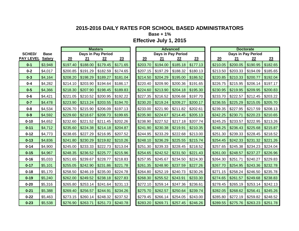**Base + 1%**

|                  |               |          |          | <b>Masters</b>     |          |          |          | <b>Advanced</b>    |          |          |                    | <b>Doctorate</b> |          |
|------------------|---------------|----------|----------|--------------------|----------|----------|----------|--------------------|----------|----------|--------------------|------------------|----------|
| <b>SCHED/</b>    | <b>Base</b>   |          |          | Days in Pay Period |          |          |          | Days in Pay Period |          |          | Days in Pay Period |                  |          |
| <b>PAY LEVEL</b> | <b>Salary</b> | 20       | 21       | 22                 | 23       | 20       | 21       | 22                 | 23       | 20       | 21                 | 22               | 23       |
| $0 - 1$          | \$3,948       | \$197.40 | \$188.00 | \$179.45           | \$171.65 | \$203.70 | \$194.00 | \$185.18           | \$177.13 | \$210.05 | \$200.05           | \$190.95         | \$182.65 |
| $0 - 2$          | \$4,017       | \$200.85 | \$191.29 | \$182.59           | \$174.65 | \$207.15 | \$197.29 | \$188.32           | \$180.13 | \$213.50 | \$203.33           | \$194.09         | \$185.65 |
| $0 - 3$          | \$4,164       | \$208.20 | \$198.29 | \$189.27           | \$181.04 | \$214.50 | \$204.29 | \$195.00           | \$186.52 | \$220.85 | \$210.33           | \$200.77         | \$192.04 |
| $0 - 4$          | \$4,282       | \$214.10 | \$203.90 | \$194.64           | \$186.17 | \$220.40 | \$209.90 | \$200.36           | \$191.65 | \$226.75 | \$215.95           | \$206.14         | \$197.17 |
| $0 - 5$          | \$4,366       | \$218.30 | \$207.90 | \$198.45           | \$189.83 | \$224.60 | \$213.90 | \$204.18           | \$195.30 | \$230.95 | \$219.95           | \$209.95         | \$200.83 |
| $0 - 6$          | \$4,421       | \$221.05 | \$210.52 | \$200.95           | \$192.22 | \$227.35 | \$216.52 | \$206.68           | \$197.70 | \$233.70 | \$222.57           | \$212.45         | \$203.22 |
| $0 - 7$          | \$4,478       | \$223.90 | \$213.24 | \$203.55           | \$194.70 | \$230.20 | \$219.24 | \$209.27           | \$200.17 | \$236.55 | \$225.29           | \$215.05         | \$205.70 |
| $0 - 8$          | \$4,534       | \$226.70 | \$215.90 | \$206.09           | \$197.13 | \$233.00 | \$221.90 | \$211.82           | \$202.61 | \$239.35 | \$227.95           | \$217.59         | \$208.13 |
| $0-9$            | \$4,592       | \$229.60 | \$218.67 | \$208.73           | \$199.65 | \$235.90 | \$224.67 | \$214.45           | \$205.13 | \$242.25 | \$230.71           | \$220.23         | \$210.65 |
| $0 - 10$         | \$4,652       | \$232.60 | \$221.52 | \$211.45           | \$202.26 | \$238.90 | \$227.52 | \$217.18           | \$207.74 | \$245.25 | \$233.57           | \$222.95         | \$213.26 |
| $0 - 11$         | \$4,712       | \$235.60 | \$224.38 | \$214.18           | \$204.87 | \$241.90 | \$230.38 | \$219.91           | \$210.35 | \$248.25 | \$236.43           | \$225.68         | \$215.87 |
| $0 - 12$         | \$4,773       | \$238.65 | \$227.29 | \$216.95           | \$207.52 | \$244.95 | \$233.29 | \$222.68           | \$213.00 | \$251.30 | \$239.33           | \$228.45         | \$218.52 |
| $0 - 13$         | \$4,836       | \$241.80 | \$230.29 | \$219.82           | \$210.26 | \$248.10 | \$236.29 | \$225.55           | \$215.74 | \$254.45 | \$242.33           | \$231.32         | \$221.26 |
| $0 - 14$         | \$4,900       | \$245.00 | \$233.33 | \$222.73           | \$213.04 | \$251.30 | \$239.33 | \$228.45           | \$218.52 | \$257.65 | \$245.38           | \$234.23         | \$224.04 |
| $0 - 15$         | \$4,967       | \$248.35 | \$236.52 | \$225.77           | \$215.96 | \$254.65 | \$242.52 | \$231.50           | \$221.43 | \$261.00 | \$248.57           | \$237.27         | \$226.96 |
| $0 - 16$         | \$5,033       | \$251.65 | \$239.67 | \$228.77           | \$218.83 | \$257.95 | \$245.67 | \$234.50           | \$224.30 | \$264.30 | \$251.71           | \$240.27         | \$229.83 |
| $0 - 17$         | \$5,101       | \$255.05 | \$242.90 | \$231.86           | \$221.78 | \$261.35 | \$248.90 | \$237.59           | \$227.26 | \$267.70 | \$254.95           | \$243.36         | \$232.78 |
| $0 - 18$         | \$5,170       | \$258.50 | \$246.19 | \$235.00           | \$224.78 | \$264.80 | \$252.19 | \$240.73           | \$230.26 | \$271.15 | \$258.24           | \$246.50         | \$235.78 |
| $0 - 19$         | \$5,240       | \$262.00 | \$249.52 | \$238.18           | \$227.83 | \$268.30 | \$255.52 | \$243.91           | \$233.30 | \$274.65 | \$261.57           | \$249.68         | \$238.83 |
| $0 - 20$         | \$5,316       | \$265.80 | \$253.14 | \$241.64           | \$231.13 | \$272.10 | \$259.14 | \$247.36           | \$236.61 | \$278.45 | \$265.19           | \$253.14         | \$242.13 |
| $0 - 21$         | \$5,388       | \$269.40 | \$256.57 | \$244.91           | \$234.26 | \$275.70 | \$262.57 | \$250.64           | \$239.74 | \$282.05 | \$268.62           | \$256.41         | \$245.26 |
| $0 - 22$         | \$5,463       | \$273.15 | \$260.14 | \$248.32           | \$237.52 | \$279.45 | \$266.14 | \$254.05           | \$243.00 | \$285.80 | \$272.19           | \$259.82         | \$248.52 |
| $0 - 23$         | \$5,538       | \$276.90 | \$263.71 | \$251.73           | \$240.78 | \$283.20 | \$269.71 | \$257.45           | \$246.26 | \$289.55 | \$275.76           | \$263.23         | \$251.78 |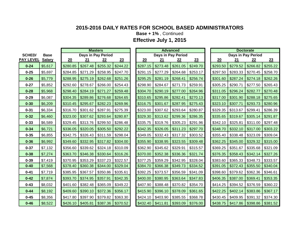**Base + 1%** , Continued

|                  |               |          |          | <b>Masters</b>     |          |          |          | <b>Advanced</b>    |          |          |          | <b>Doctorate</b>          |          |
|------------------|---------------|----------|----------|--------------------|----------|----------|----------|--------------------|----------|----------|----------|---------------------------|----------|
| <b>SCHED/</b>    | <b>Base</b>   |          |          | Days in Pay Period |          |          |          | Days in Pay Period |          |          |          | <b>Days in Pay Period</b> |          |
| <b>PAY LEVEL</b> | <b>Salary</b> | 20       | 21       | 22                 | 23       | 20       | 21       | 22                 | 23       | 20       | 21       | 22                        | 23       |
| $0 - 24$         | \$5,617       | \$280.85 | \$267.48 | \$255.32           | \$244.22 | \$287.15 | \$273.48 | \$261.05           | \$249.70 | \$293.50 | \$279.52 | \$266.82                  | \$255.22 |
| $0 - 25$         | \$5,697       | \$284.85 | \$271.29 | \$258.95           | \$247.70 | \$291.15 | \$277.29 | \$264.68           | \$253.17 | \$297.50 | \$283.33 | \$270.45                  | \$258.70 |
| $0 - 26$         | \$5,779       | \$288.95 | \$275.19 | \$262.68           | \$251.26 | \$295.25 | \$281.19 | \$268.41           | \$256.74 | \$301.60 | \$287.24 | \$274.18                  | \$262.26 |
| $0 - 27$         | \$5,852       | \$292.60 | \$278.67 | \$266.00           | \$254.43 | \$298.90 | \$284.67 | \$271.73           | \$259.91 | \$305.25 | \$290.71 | \$277.50                  | \$265.43 |
| $0 - 28$         | \$5,968       | \$298.40 | \$284.19 | \$271.27           | \$259.48 | \$304.70 | \$290.19 | \$277.00           | \$264.96 | \$311.05 | \$296.24 | \$282.77                  | \$270.48 |
| $0 - 29$         | \$6,087       | \$304.35 | \$289.86 | \$276.68           | \$264.65 | \$310.65 | \$295.86 | \$282.41           | \$270.13 | \$317.00 | \$301.90 | \$288.18                  | \$275.65 |
| $0 - 30$         | \$6,209       | \$310.45 | \$295.67 | \$282.23           | \$269.96 | \$316.75 | \$301.67 | \$287.95           | \$275.43 | \$323.10 | \$307.71 | \$293.73                  | \$280.96 |
| $0 - 31$         | \$6,334       | \$316.70 | \$301.62 | \$287.91           | \$275.39 | \$323.00 | \$307.62 | \$293.64           | \$280.87 | \$329.35 | \$313.67 | \$299.41                  | \$286.39 |
| $0 - 32$         | \$6,460       | \$323.00 | \$307.62 | \$293.64           | \$280.87 | \$329.30 | \$313.62 | \$299.36           | \$286.35 | \$335.65 | \$319.67 | \$305.14                  | \$291.87 |
| $0 - 33$         | \$6,589       | \$329.45 | \$313.76 | \$299.50           | \$286.48 | \$335.75 | \$319.76 | \$305.23           | \$291.96 | \$342.10 | \$325.81 | \$311.00                  | \$297.48 |
| $0 - 34$         | \$6,721       | \$336.05 | \$320.05 | \$305.50           | \$292.22 | \$342.35 | \$326.05 | \$311.23           | \$297.70 | \$348.70 | \$332.10 | \$317.00                  | \$303.22 |
| $0 - 35$         | \$6,855       | \$342.75 | \$326.43 | \$311.59           | \$298.04 | \$349.05 | \$332.43 | \$317.32           | \$303.52 | \$355.40 | \$338.48 | \$323.09                  | \$309.04 |
| $0 - 36$         | \$6,992       | \$349.60 | \$332.95 | \$317.82           | \$304.00 | \$355.90 | \$338.95 | \$323.55           | \$309.48 | \$362.25 | \$345.00 | \$329.32                  | \$315.00 |
| $0 - 37$         | \$7,132       | \$356.60 | \$339.62 | \$324.18           | \$310.09 | \$362.90 | \$345.62 | \$329.91           | \$315.57 | \$369.25 | \$351.67 | \$335.68                  | \$321.09 |
| $0 - 38$         | \$7,274       | \$363.70 | \$346.38 | \$330.64           | \$316.26 | \$370.00 | \$352.38 | \$336.36           | \$321.74 | \$376.35 | \$358.43 | \$342.14                  | \$327.26 |
| $0 - 39$         | \$7,419       | \$370.95 | \$353.29 | \$337.23           | \$322.57 | \$377.25 | \$359.29 | \$342.95           | \$328.04 | \$383.60 | \$365.33 | \$348.73                  | \$333.57 |
| $0 - 40$         | \$7,568       | \$378.40 | \$360.38 | \$344.00           | \$329.04 | \$384.70 | \$366.38 | \$349.73           | \$334.52 | \$391.05 | \$372.43 | \$355.50                  | \$340.04 |
| $0 - 41$         | \$7,719       | \$385.95 | \$367.57 | \$350.86           | \$335.61 | \$392.25 | \$373.57 | \$356.59           | \$341.09 | \$398.60 | \$379.62 | \$362.36                  | \$346.61 |
| $0 - 42$         | \$7,874       | \$393.70 | \$374.95 | \$357.91           | \$342.35 | \$400.00 | \$380.95 | \$363.64           | \$347.83 | \$406.35 | \$387.00 | \$369.41                  | \$353.35 |
| $0 - 43$         | \$8,032       | \$401.60 | \$382.48 | \$365.09           | \$349.22 | \$407.90 | \$388.48 | \$370.82           | \$354.70 | \$414.25 | \$394.52 | \$376.59                  | \$360.22 |
| $0 - 44$         | \$8,192       | \$409.60 | \$390.10 | \$372.36           | \$356.17 | \$415.90 | \$396.10 | \$378.09           | \$361.65 | \$422.25 | \$402.14 | \$383.86                  | \$367.17 |
| $0 - 45$         | \$8,356       | \$417.80 | \$397.90 | \$379.82           | \$363.30 | \$424.10 | \$403.90 | \$385.55           | \$368.78 | \$430.45 | \$409.95 | \$391.32                  | \$374.30 |
| $0 - 46$         | \$8,522       | \$426.10 | \$405.81 | \$387.36           | \$370.52 | \$432.40 | \$411.81 | \$393.09           | \$376.00 | \$438.75 | \$417.86 | \$398.86                  | \$381.52 |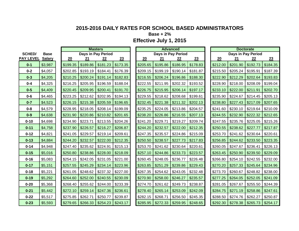**Base + 2%**

|                  |               |          | <b>Masters</b>      |                    |                        |          | <b>Advanced</b>    |                      |          |          |                     | <b>Doctorate</b>   |          |
|------------------|---------------|----------|---------------------|--------------------|------------------------|----------|--------------------|----------------------|----------|----------|---------------------|--------------------|----------|
| <b>SCHED/</b>    | <b>Base</b>   |          |                     | Days in Pay Period |                        |          | Days in Pay Period |                      |          |          |                     | Days in Pay Period |          |
| <b>PAY LEVEL</b> | <b>Salary</b> | 20       | 21                  | 22                 | 23                     | 20       | 21                 | 22                   | 23       | 20       | 21                  | 22                 | 23       |
| $0 - 1$          | \$3,987       | \$199.35 | \$189.86            | \$181.23           | \$173.35               | \$205.65 | \$195.86           | \$186.95             | \$178.83 | \$212.00 | \$201.90            | \$192.73           | \$184.35 |
| $0 - 2$          | \$4,057       | \$202.85 | \$193.19            | \$184.41           | \$176.39               | \$209.15 | \$199.19           | \$190.14             | \$181.87 | \$215.50 | \$205.24            | \$195.91           | \$187.39 |
| $0 - 3$          | \$4,205       | \$210.25 | \$200.24            | \$191.14           | \$182.83               | \$216.55 | \$206.24           | \$196.86             | \$188.30 | \$222.90 | \$212.29            | \$202.64           | \$193.83 |
| $0 - 4$          | \$4,325       | \$216.25 | \$205.95            | \$196.59           | \$188.04               | \$222.55 | \$211.95           | \$202.32             | \$193.52 | \$228.90 | \$218.00            | \$208.09           | \$199.04 |
| $0-5$            | \$4,409       | \$220.45 | \$209.95            | \$200.41           | \$191.70               | \$226.75 | \$215.95           | \$206.14             | \$197.17 | \$233.10 | \$222.00            | \$211.91           | \$202.70 |
| $0 - 6$          | \$4,465       | \$223.25 | \$212.62            | \$202.95           | \$194.13               | \$229.55 | \$218.62           | \$208.68             | \$199.61 | \$235.90 | \$224.67            | \$214.45           | \$205.13 |
| $0 - 7$          | \$4,523       | \$226.15 | \$215.38            | \$205.59           | \$196.65               | \$232.45 | \$221.38           | \$211.32             | \$202.13 | \$238.80 | \$227.43            | \$217.09           | \$207.65 |
| $0 - 8$          | \$4,579       | \$228.95 | \$218.05            | \$208.14           | \$199.09               | \$235.25 | \$224.05           | \$213.86             | \$204.57 | \$241.60 | \$230.10            | \$219.64           | \$210.09 |
| $0-9$            | \$4,638       | \$231.90 | \$220.86            | \$210.82           | \$201.65               | \$238.20 | \$226.86           | \$216.55             | \$207.13 | \$244.55 | \$232.90            | \$222.32           | \$212.65 |
| $0 - 10$         | \$4,698       | \$234.90 | \$223.71            | \$213.55           | \$204.26               | \$241.20 | \$229.71           | \$219.27             | \$209.74 | \$247.55 | \$235.76            | \$225.05           | \$215.26 |
| $0 - 11$         | \$4,758       | \$237.90 | \$226.57            | \$216.27           | \$206.87               | \$244.20 | \$232.57           | \$222.00             | \$212.35 | \$250.55 | \$238.62            | \$227.77           | \$217.87 |
| $0 - 12$         | \$4,821       | \$241.05 | \$229.57            | \$219.14           | \$209.61               | \$247.35 | \$235.57           | \$224.86             | \$215.09 | \$253.70 | \$241.62            | \$230.64           | \$220.61 |
| $0 - 13$         | \$4,884       | \$244.20 | \$232.57            | \$222.00           | \$212.35               | \$250.50 | \$238.57           | \$227.73             | \$217.83 | \$256.85 | \$244.62            | \$233.50           | \$223.35 |
| $0 - 14$         | \$4,948       | \$247.40 | \$235.62            | \$224.91           | \$215.13               | \$253.70 | \$241.62           | \$230.64             | \$220.61 | \$260.05 | \$247.67            | \$236.41           | \$226.13 |
| $0 - 15$         | \$5,016       | \$250.80 | \$238.86            | \$228.00           | \$218.09               | \$257.10 | \$244.86           | \$233.73             | \$223.57 | \$263.45 | \$250.90            | \$239.50           | \$229.09 |
| $0 - 16$         | \$5,083       | \$254.15 | \$242.05            | \$231.05           | \$221.00               | \$260.45 | \$248.05           | \$236.77             | \$226.48 | \$266.80 | \$254.10            | \$242.55           | \$232.00 |
| $0 - 17$         | \$5,151       | \$257.55 | \$245.29            | \$234.14           | \$223.96               | \$263.85 | \$251.29           | \$239.86             | \$229.43 | \$270.20 | \$257.33            | \$245.64           | \$234.96 |
| $0 - 18$         | \$5,221       | \$261.05 | \$248.62            | \$237.32           | \$227.00               | \$267.35 | \$254.62           | \$243.05             | \$232.48 | \$273.70 | \$260.67            | \$248.82           | \$238.00 |
| $0 - 19$         | \$5,292       | \$264.60 | \$252.00            | \$240.55           | \$230.09               | \$270.90 | \$258.00           | \$246.27             | \$235.57 | \$277.25 | \$264.05            | \$252.05           | \$241.09 |
| $0 - 20$         | \$5,368       | \$268.40 | \$255.62            | \$244.00           | \$233.39               | \$274.70 | \$261.62           | \$249.73             | \$238.87 | \$281.05 | \$267.67            | \$255.50           | \$244.39 |
| $0 - 21$         | \$5,442       | \$272.10 | \$259.14            | \$247.36           | \$236.61               | \$278.40 | \$265.14           | \$253.09             | \$242.09 | \$284.75 | \$271.19            | \$258.86           | \$247.61 |
| $0 - 22$         | \$5,517       | \$275.85 | \$262.71            | \$250.77           | \$239.87               | \$282.15 | \$268.71           | \$256.50             | \$245.35 | \$288.50 | \$274.76            | \$262.27           | \$250.87 |
| $0 - 23$         | \$5,593       | \$279.65 | $$266.33$ $$254.23$ |                    | $\frac{1}{2}$ \$243.17 | \$285.95 |                    | $$272.33$   \$259.95 | \$248.65 | \$292.30 | $$278.38$ $$265.73$ |                    | \$254.17 |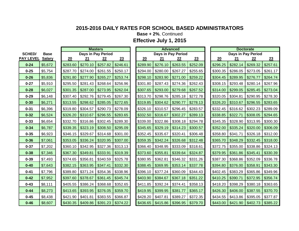**Base + 2%**, Continued

**Effective July 1, 2015**

|          | <b>Base</b>   |                  |          |          |          |          |                    |          |          |          |          |                    |          |          |          |                                        |
|----------|---------------|------------------|----------|----------|----------|----------|--------------------|----------|----------|----------|----------|--------------------|----------|----------|----------|----------------------------------------|
|          | <b>Salary</b> |                  | 20       | 21       | 22       | 23       |                    | 20       | 21       | 22       | 23       |                    | 20       | 21       | 22       | 23                                     |
| $0 - 24$ | \$5,672       |                  | \$283.60 | \$270.10 | \$257.82 | \$246.61 |                    | \$289.90 | \$276.10 | \$263.55 | \$252.09 |                    | \$296.25 | \$282.14 | \$269.32 | \$257.61                               |
| $0 - 25$ | \$5,754       |                  | \$287.70 | \$274.00 | \$261.55 | \$250.17 |                    | \$294.00 | \$280.00 | \$267.27 | \$255.65 |                    | \$300.35 | \$286.05 | \$273.05 | \$261.17                               |
| $0 - 26$ | \$5,836       |                  | \$291.80 | \$277.90 | \$265.27 | \$253.74 |                    | \$298.10 | \$283.90 | \$271.00 | \$259.22 |                    | \$304.45 | \$289.95 | \$276.77 | \$264.74                               |
| $0 - 27$ | \$5,910       |                  | \$295.50 | \$281.43 | \$268.64 | \$256.96 |                    | \$301.80 | \$287.43 | \$274.36 | \$262.43 |                    | \$308.15 | \$293.48 | \$280.14 | \$267.96                               |
| $0 - 28$ | \$6,027       |                  | \$301.35 | \$287.00 | \$273.95 | \$262.04 |                    | \$307.65 | \$293.00 | \$279.68 | \$267.52 |                    | \$314.00 | \$299.05 | \$285.45 | \$273.04                               |
| $0 - 29$ | \$6,148       |                  | \$307.40 | \$292.76 | \$279.45 | \$267.30 |                    | \$313.70 | \$298.76 | \$285.18 | \$272.78 |                    | \$320.05 | \$304.81 | \$290.95 | \$278.30                               |
| $0 - 30$ | \$6,271       |                  | \$313.55 | \$298.62 | \$285.05 | \$272.65 |                    | \$319.85 | \$304.62 | \$290.77 | \$278.13 |                    | \$326.20 | \$310.67 | \$296.55 | \$283.65                               |
| $0 - 31$ | \$6,396       |                  | \$319.80 | \$304.57 | \$290.73 | \$278.09 |                    | \$326.10 | \$310.57 | \$296.45 | \$283.57 |                    | \$332.45 | \$316.62 | \$302.23 | \$289.09                               |
| $0 - 32$ | \$6,524       |                  | \$326.20 | \$310.67 | \$296.55 | \$283.65 |                    | \$332.50 | \$316.67 | \$302.27 | \$289.13 |                    | \$338.85 | \$322.71 | \$308.05 | \$294.65                               |
| $0 - 33$ | \$6,654       |                  | \$332.70 | \$316.86 | \$302.45 | \$289.30 |                    | \$339.00 | \$322.86 | \$308.18 | \$294.78 |                    | \$345.35 | \$328.90 | \$313.95 | \$300.30                               |
| $0 - 34$ | \$6,787       |                  | \$339.35 | \$323.19 | \$308.50 | \$295.09 |                    | \$345.65 | \$329.19 | \$314.23 | \$300.57 |                    | \$352.00 | \$335.24 | \$320.00 | \$306.09                               |
| $0 - 35$ | \$6,923       |                  | \$346.15 | \$329.67 | \$314.68 | \$301.00 |                    | \$352.45 | \$335.67 | \$320.41 | \$306.48 |                    | \$358.80 | \$341.71 | \$326.18 | \$312.00                               |
| $0 - 36$ | \$7,061       |                  | \$353.05 | \$336.24 | \$320.95 | \$307.00 |                    | \$359.35 | \$342.24 | \$326.68 | \$312.48 |                    | \$365.70 | \$348.29 | \$332.45 | \$318.00                               |
| $0 - 37$ | \$7,202       |                  | \$360.10 | \$342.95 | \$327.36 | \$313.13 |                    | \$366.40 | \$348.95 | \$333.09 | \$318.61 |                    | \$372.75 | \$355.00 | \$338.86 | \$324.13                               |
| $0 - 38$ | \$7,346       |                  | \$367.30 | \$349.81 | \$333.91 | \$319.39 |                    | \$373.60 | \$355.81 | \$339.64 | \$324.87 |                    | \$379.95 | \$361.86 | \$345.41 | \$330.39                               |
| $0 - 39$ | \$7,493       |                  | \$374.65 | \$356.81 | \$340.59 | \$325.78 |                    | \$380.95 | \$362.81 | \$346.32 | \$331.26 |                    | \$387.30 | \$368.86 | \$352.09 | \$336.78                               |
| $0 - 40$ | \$7,643       |                  | \$382.15 | \$363.95 | \$347.41 | \$332.30 |                    | \$388.45 | \$369.95 | \$353.14 | \$337.78 |                    | \$394.80 | \$376.00 | \$358.91 | \$343.30                               |
| $0 - 41$ | \$7,796       |                  | \$389.80 | \$371.24 | \$354.36 | \$338.96 |                    | \$396.10 | \$377.24 | \$360.09 | \$344.43 |                    | \$402.45 | \$383.29 | \$365.86 | \$349.96                               |
| $0 - 42$ | \$7,952       |                  | \$397.60 | \$378.67 | \$361.45 | \$345.74 |                    | \$403.90 | \$384.67 | \$367.18 | \$351.22 |                    | \$410.25 | \$390.71 | \$372.95 | \$356.74                               |
| $0 - 43$ | \$8,111       |                  | \$405.55 | \$386.24 | \$368.68 | \$352.65 |                    | \$411.85 | \$392.24 | \$374.41 | \$358.13 |                    | \$418.20 | \$398.29 | \$380.18 | \$363.65                               |
| $0 - 44$ | \$8,273       |                  | \$413.65 | \$393.95 | \$376.05 | \$359.70 |                    | \$419.95 | \$399.95 | \$381.77 | \$365.17 |                    | \$426.30 | \$406.00 | \$387.55 | \$370.70                               |
| $0 - 45$ | \$8,438       |                  | \$421.90 | \$401.81 | \$383.55 | \$366.87 |                    | \$428.20 | \$407.81 | \$389.27 | \$372.35 |                    | \$434.55 | \$413.86 | \$395.05 | \$377.87                               |
| $0 - 46$ | \$8,607       |                  | \$430.35 | \$409.86 | \$391.23 | \$374.22 |                    | \$436.65 | \$415.86 | \$396.95 | \$379.70 |                    | \$443.00 | \$421.90 | \$402.73 | \$385.22                               |
|          | <b>SCHED/</b> | <b>PAY LEVEL</b> |          |          |          | masters  | Days in Pay Period |          |          |          | Advanced | Days in Pay Period |          |          |          | <b>Doctorate</b><br>Days in Pay Period |

|          | <b>Advanced</b>    |          |          |          | <b>Doctorate</b>   |          |
|----------|--------------------|----------|----------|----------|--------------------|----------|
|          | Days in Pay Period |          |          |          | Days in Pay Period |          |
| 21       | 22                 | 23       | 20       | 21       | 22                 | 23       |
| \$276.10 | \$263.55           | \$252.09 | \$296.25 | \$282.14 | \$269.32           | \$257.61 |
| \$280.00 | \$267.27           | \$255.65 | \$300.35 | \$286.05 | \$273.05           | \$261.17 |
| \$283.90 | \$271.00           | \$259.22 | \$304.45 | \$289.95 | \$276.77           | \$264.74 |
| \$287.43 | \$274.36           | \$262.43 | \$308.15 | \$293.48 | \$280.14           | \$267.96 |
| \$293.00 | \$279.68           | \$267.52 | \$314.00 | \$299.05 | \$285.45           | \$273.04 |
| \$298.76 | \$285.18           | \$272.78 | \$320.05 | \$304.81 | \$290.95           | \$278.30 |
| \$304.62 | \$290.77           | \$278.13 | \$326.20 | \$310.67 | \$296.55           | \$283.65 |
| \$310.57 | \$296.45           | \$283.57 | \$332.45 | \$316.62 | \$302.23           | \$289.09 |
| \$316.67 | \$302.27           | \$289.13 | \$338.85 | \$322.71 | \$308.05           | \$294.65 |
| \$322.86 | \$308.18           | \$294.78 | \$345.35 | \$328.90 | \$313.95           | \$300.30 |
| \$329.19 | \$314.23           | \$300.57 | \$352.00 | \$335.24 | \$320.00           | \$306.09 |
| \$335.67 | \$320.41           | \$306.48 | \$358.80 | \$341.71 | \$326.18           | \$312.00 |
| \$342.24 | \$326.68           | \$312.48 | \$365.70 | \$348.29 | \$332.45           | \$318.00 |
| \$348.95 | \$333.09           | \$318.61 | \$372.75 | \$355.00 | \$338.86           | \$324.13 |
| \$355.81 | \$339.64           | \$324.87 | \$379.95 | \$361.86 | \$345.41           | \$330.39 |
| \$362.81 | \$346.32           | \$331.26 | \$387.30 | \$368.86 | \$352.09           | \$336.78 |
| \$369.95 | \$353.14           | \$337.78 | \$394.80 | \$376.00 | \$358.91           | \$343.30 |
| \$377.24 | \$360.09           | \$344.43 | \$402.45 | \$383.29 | \$365.86           | \$349.96 |
| \$384.67 | \$367.18           | \$351.22 | \$410.25 | \$390.71 | \$372.95           | \$356.74 |
| \$392.24 | \$374.41           | \$358.13 | \$418.20 | \$398.29 | \$380.18           | \$363.65 |
| \$399.95 | \$381.77           | \$365.17 | \$426.30 | \$406.00 | \$387.55           | \$370.70 |
| \$407.81 | \$389.27           | \$372.35 | \$434.55 | \$413.86 | \$395.05           | \$377.87 |
| \$415.86 | \$396.95           | \$379.70 | \$443.00 | \$421.90 | \$402.73           | \$385.22 |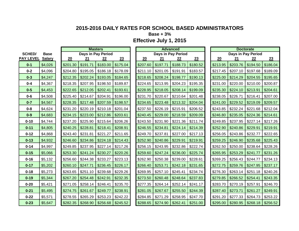**Base + 3%**

|                  |               |          |          | <b>Masters</b>     |          |          |          | <b>Advanced</b>    |          |          | <b>Doctorate</b>   |          |          |
|------------------|---------------|----------|----------|--------------------|----------|----------|----------|--------------------|----------|----------|--------------------|----------|----------|
| <b>SCHED/</b>    | <b>Base</b>   |          |          | Days in Pay Period |          |          |          | Days in Pay Period |          |          | Days in Pay Period |          |          |
| <b>PAY LEVEL</b> | <b>Salary</b> | 20       | 21       | 22                 | 23       | 20       | 21       | 22                 | 23       | 20       | 21                 | 22       | 23       |
| $0 - 1$          | \$4,026       | \$201.30 | \$191.71 | \$183.00           | \$175.04 | \$207.60 | \$197.71 | \$188.73           | \$180.52 | \$213.95 | \$203.76           | \$194.50 | \$186.04 |
| $0 - 2$          | \$4,096       | \$204.80 | \$195.05 | \$186.18           | \$178.09 | \$211.10 | \$201.05 | \$191.91           | \$183.57 | \$217.45 | \$207.10           | \$197.68 | \$189.09 |
| $0 - 3$          | \$4,247       | \$212.35 | \$202.24 | \$193.05           | \$184.65 | \$218.65 | \$208.24 | \$198.77           | \$190.13 | \$225.00 | \$214.29           | \$204.55 | \$195.65 |
| $0 - 4$          | \$4,367       | \$218.35 | \$207.95 | \$198.50           | \$189.87 | \$224.65 | \$213.95 | \$204.23           | \$195.35 | \$231.00 | \$220.00           | \$210.00 | \$200.87 |
| $0 - 5$          | \$4,453       | \$222.65 | \$212.05 | \$202.41           | \$193.61 | \$228.95 | \$218.05 | \$208.14           | \$199.09 | \$235.30 | \$224.10           | \$213.91 | \$204.61 |
| $0 - 6$          | \$4,508       | \$225.40 | \$214.67 | \$204.91           | \$196.00 | \$231.70 | \$220.67 | \$210.64           | \$201.48 | \$238.05 | \$226.71           | \$216.41 | \$207.00 |
| $0 - 7$          | \$4,567       | \$228.35 | \$217.48 | \$207.59           | \$198.57 | \$234.65 | \$223.48 | \$213.32           | \$204.04 | \$241.00 | \$229.52           | \$219.09 | \$209.57 |
| $0 - 8$          | \$4,624       | \$231.20 | \$220.19 | \$210.18           | \$201.04 | \$237.50 | \$226.19 | \$215.91           | \$206.52 | \$243.85 | \$232.24           | \$221.68 | \$212.04 |
| $0-9$            | \$4,683       | \$234.15 | \$223.00 | \$212.86           | \$203.61 | \$240.45 | \$229.00 | \$218.59           | \$209.09 | \$246.80 | \$235.05           | \$224.36 | \$214.61 |
| $0 - 10$         | \$4,744       | \$237.20 | \$225.90 | \$215.64           | \$206.26 | \$243.50 | \$231.90 | \$221.36           | \$211.74 | \$249.85 | \$237.95           | \$227.14 | \$217.26 |
| $0 - 11$         | \$4,805       | \$240.25 | \$228.81 | \$218.41           | \$208.91 | \$246.55 | \$234.81 | \$224.14           | \$214.39 | \$252.90 | \$240.86           | \$229.91 | \$219.91 |
| $0 - 12$         | \$4,868       | \$243.40 | \$231.81 | \$221.27           | \$211.65 | \$249.70 | \$237.81 | \$227.00           | \$217.13 | \$256.05 | \$243.86           | \$232.77 | \$222.65 |
| $0 - 13$         | \$4,932       | \$246.60 | \$234.86 | \$224.18           | \$214.43 | \$252.90 | \$240.86 | \$229.91           | \$219.91 | \$259.25 | \$246.90           | \$235.68 | \$225.43 |
| $0 - 14$         | \$4,997       | \$249.85 | \$237.95 | \$227.14           | \$217.26 | \$256.15 | \$243.95 | \$232.86           | \$222.74 | \$262.50 | \$250.00           | \$238.64 | \$228.26 |
| $0 - 15$         | \$5,066       | \$253.30 | \$241.24 | \$230.27           | \$220.26 | \$259.60 | \$247.24 | \$236.00           | \$225.74 | \$265.95 | \$253.29           | \$241.77 | \$231.26 |
| $0 - 16$         | \$5,132       | \$256.60 | \$244.38 | \$233.27           | \$223.13 | \$262.90 | \$250.38 | \$239.00           | \$228.61 | \$269.25 | \$256.43           | \$244.77 | \$234.13 |
| $0 - 17$         | \$5,202       | \$260.10 | \$247.71 | \$236.45           | \$226.17 | \$266.40 | \$253.71 | \$242.18           | \$231.65 | \$272.75 | \$259.76           | \$247.95 | \$237.17 |
| $0 - 18$         | \$5,273       | \$263.65 | \$251.10 | \$239.68           | \$229.26 | \$269.95 | \$257.10 | \$245.41           | \$234.74 | \$276.30 | \$263.14           | \$251.18 | \$240.26 |
| $0 - 19$         | \$5,344       | \$267.20 | \$254.48 | \$242.91           | \$232.35 | \$273.50 | \$260.48 | \$248.64           | \$237.83 | \$279.85 | \$266.52           | \$254.41 | \$243.35 |
| $0 - 20$         | \$5,421       | \$271.05 | \$258.14 | \$246.41           | \$235.70 | \$277.35 | \$264.14 | \$252.14           | \$241.17 | \$283.70 | \$270.19           | \$257.91 | \$246.70 |
| $0 - 21$         | \$5,495       | \$274.75 | \$261.67 | \$249.77           | \$238.91 | \$281.05 | \$267.67 | \$255.50           | \$244.39 | \$287.40 | \$273.71           | \$261.27 | \$249.91 |
| $0 - 22$         | \$5,571       | \$278.55 | \$265.29 | \$253.23           | \$242.22 | \$284.85 | \$271.29 | \$258.95           | \$247.70 | \$291.20 | \$277.33           | \$264.73 | \$253.22 |
| $0 - 23$         | \$5,647       | \$282.35 | \$268.90 | \$256.68           | \$245.52 | \$288.65 | \$274.90 | \$262.41           | \$251.00 | \$295.00 | \$280.95           | \$268.18 | \$256.52 |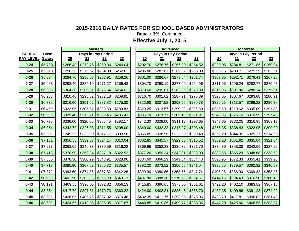**Base + 3%**, Continued

|                  |               |          |          | <b>Masters</b>     |          |          |          | Advanced           |          |          |          | <b>Doctorate</b>   |        |
|------------------|---------------|----------|----------|--------------------|----------|----------|----------|--------------------|----------|----------|----------|--------------------|--------|
| <b>SCHED/</b>    | <b>Base</b>   |          |          | Days in Pay Period |          |          |          | Days in Pay Period |          |          |          | Days in Pay Period |        |
| <b>PAY LEVEL</b> | <b>Salary</b> | 20       | 21       | 22                 | 23       | 20       | 21       | 22                 | 23       | 20       | 21       | 22                 | 23     |
| $0 - 24$         | \$5,728       | \$286.40 | \$272.76 | \$260.36           | \$249.04 | \$292.70 | \$278.76 | \$266.09           | \$254.52 | \$299.05 | \$284.81 | \$271.86           | \$260. |
| $0 - 25$         | \$5,810       | \$290.50 | \$276.67 | \$264.09           | \$252.61 | \$296.80 | \$282.67 | \$269.82           | \$258.09 | \$303.15 | \$288.71 | \$275.59           | \$263. |
| $0 - 26$         | \$5,894       | \$294.70 | \$280.67 | \$267.91           | \$256.26 | \$301.00 | \$286.67 | \$273.64           | \$261.74 | \$307.35 | \$292.71 | \$279.41           | \$267. |
| $0 - 27$         | \$5,968       | \$298.40 | \$284.19 | \$271.27           | \$259.48 | \$304.70 | \$290.19 | \$277.00           | \$264.96 | \$311.05 | \$296.24 | \$282.77           | \$270. |
| $0 - 28$         | \$6,086       | \$304.30 | \$289.81 | \$276.64           | \$264.61 | \$310.60 | \$295.81 | \$282.36           | \$270.09 | \$316.95 | \$301.86 | \$288.14           | \$275  |
| $0 - 29$         | \$6,208       | \$310.40 | \$295.62 | \$282.18           | \$269.91 | \$316.70 | \$301.62 | \$287.91           | \$275.39 | \$323.05 | \$307.67 | \$293.68           | \$280. |
| $0 - 30$         | \$6,332       | \$316.60 | \$301.52 | \$287.82           | \$275.30 | \$322.90 | \$307.52 | \$293.55           | \$280.78 | \$329.25 | \$313.57 | \$299.32           | \$286  |
| $0 - 31$         | \$6,459       | \$322.95 | \$307.57 | \$293.59           | \$280.83 | \$329.25 | \$313.57 | \$299.32           | \$286.30 | \$335.60 | \$319.62 | \$305.09           | \$291. |
| $0 - 32$         | \$6,588       | \$329.40 | \$313.71 | \$299.45           | \$286.43 | \$335.70 | \$319.71 | \$305.18           | \$291.91 | \$342.05 | \$325.76 | \$310.95           | \$297. |
| $0 - 33$         | \$6,720       | \$336.00 | \$320.00 | \$305.45           | \$292.17 | \$342.30 | \$326.00 | \$311.18           | \$297.65 | \$348.65 | \$332.05 | \$316.95           | \$303. |
| $0 - 34$         | \$6,854       | \$342.70 | \$326.38 | \$311.55           | \$298.00 | \$349.00 | \$332.38 | \$317.27           | \$303.48 | \$355.35 | \$338.43 | \$323.05           | \$309  |
| $0 - 35$         | \$6,991       | \$349.55 | \$332.90 | \$317.77           | \$303.96 | \$355.85 | \$338.90 | \$323.50           | \$309.43 | \$362.20 | \$344.95 | \$329.27           | \$314. |
| $0 - 36$         | \$7,131       | \$356.55 | \$339.57 | \$324.14           | \$310.04 | \$362.85 | \$345.57 | \$329.86           | \$315.52 | \$369.20 | \$351.62 | \$335.64           | \$321. |
| $0 - 37$         | \$7,273       | \$363.65 | \$346.33 | \$330.59           | \$316.22 | \$369.95 | \$352.33 | \$336.32           | \$321.70 | \$376.30 | \$358.38 | \$342.09           | \$327. |
| $0 - 38$         | \$7,418       | \$370.90 | \$353.24 | \$337.18           | \$322.52 | \$377.20 | \$359.24 | \$342.91           | \$328.00 | \$383.55 | \$365.29 | \$348.68           | \$333. |
| $0 - 39$         | \$7,566       | \$378.30 | \$360.29 | \$343.91           | \$328.96 | \$384.60 | \$366.29 | \$349.64           | \$334.43 | \$390.95 | \$372.33 | \$355.41           | \$339  |
| $0 - 40$         | \$7,718       | \$385.90 | \$367.52 | \$350.82           | \$335.57 | \$392.20 | \$373.52 | \$356.55           | \$341.04 | \$398.55 | \$379.57 | \$362.32           | \$346  |
| $0 - 41$         | \$7,872       | \$393.60 | \$374.86 | \$357.82           | \$342.26 | \$399.90 | \$380.86 | \$363.55           | \$347.74 | \$406.25 | \$386.90 | \$369.32           | \$353. |
| $0 - 42$         | \$8,030       | \$401.50 | \$382.38 | \$365.00           | \$349.13 | \$407.80 | \$388.38 | \$370.73           | \$354.61 | \$414.15 | \$394.43 | \$376.50           | \$360. |
| $0 - 43$         | \$8,191       | \$409.55 | \$390.05 | \$372.32           | \$356.13 | \$415.85 | \$396.05 | \$378.05           | \$361.61 | \$422.20 | \$402.10 | \$383.82           | \$367. |
| $0 - 44$         | \$8,354       | \$417.70 | \$397.81 | \$379.73           | \$363.22 | \$424.00 | \$403.81 | \$385.45           | \$368.70 | \$430.35 | \$409.86 | \$391.23           | \$374. |
| $0 - 45$         | \$8,521       | \$426.05 | \$405.76 | \$387.32           | \$370.48 | \$432.35 | \$411.76 | \$393.05           | \$375.96 | \$438.70 | \$417.81 | \$398.82           | \$381. |
| $0 - 46$         | \$8,691       | \$434.55 | \$413.86 | \$395.05           | \$377.87 | \$440.85 | \$419.86 | \$400.77           | \$383.35 | \$447.20 | \$425.90 | \$406.55           | \$388. |

|                 |               |          |          | <b>Masters</b>     |          |          |          | <b>Advanced</b>    |          |          |          | <b>Doctorate</b>          |          |
|-----------------|---------------|----------|----------|--------------------|----------|----------|----------|--------------------|----------|----------|----------|---------------------------|----------|
| <b>SCHED/</b>   | <b>Base</b>   |          |          | Days in Pay Period |          |          |          | Days in Pay Period |          |          |          | <b>Days in Pay Period</b> |          |
| <b>AY LEVEL</b> | <b>Salary</b> | 20       | 21       | 22                 | 23       | 20       | 21       | 22                 | 23       | 20       | 21       | 22                        | 23       |
| $0 - 24$        | \$5,728       | \$286.40 | \$272.76 | \$260.36           | \$249.04 | \$292.70 | \$278.76 | \$266.09           | \$254.52 | \$299.05 | \$284.81 | \$271.86                  | \$260.04 |
| $0 - 25$        | \$5,810       | \$290.50 | \$276.67 | \$264.09           | \$252.61 | \$296.80 | \$282.67 | \$269.82           | \$258.09 | \$303.15 | \$288.71 | \$275.59                  | \$263.61 |
| $0 - 26$        | \$5,894       | \$294.70 | \$280.67 | \$267.91           | \$256.26 | \$301.00 | \$286.67 | \$273.64           | \$261.74 | \$307.35 | \$292.71 | \$279.41                  | \$267.26 |
| $0 - 27$        | \$5,968       | \$298.40 | \$284.19 | \$271.27           | \$259.48 | \$304.70 | \$290.19 | \$277.00           | \$264.96 | \$311.05 | \$296.24 | \$282.77                  | \$270.48 |
| $0 - 28$        | \$6,086       | \$304.30 | \$289.81 | \$276.64           | \$264.61 | \$310.60 | \$295.81 | \$282.36           | \$270.09 | \$316.95 | \$301.86 | \$288.14                  | \$275.61 |
| $0 - 29$        | \$6,208       | \$310.40 | \$295.62 | \$282.18           | \$269.91 | \$316.70 | \$301.62 | \$287.91           | \$275.39 | \$323.05 | \$307.67 | \$293.68                  | \$280.91 |
| $0 - 30$        | \$6,332       | \$316.60 | \$301.52 | \$287.82           | \$275.30 | \$322.90 | \$307.52 | \$293.55           | \$280.78 | \$329.25 | \$313.57 | \$299.32                  | \$286.30 |
| $0 - 31$        | \$6,459       | \$322.95 | \$307.57 | \$293.59           | \$280.83 | \$329.25 | \$313.57 | \$299.32           | \$286.30 | \$335.60 | \$319.62 | \$305.09                  | \$291.83 |
| $0 - 32$        | \$6,588       | \$329.40 | \$313.71 | \$299.45           | \$286.43 | \$335.70 | \$319.71 | \$305.18           | \$291.91 | \$342.05 | \$325.76 | \$310.95                  | \$297.43 |
| $0 - 33$        | \$6,720       | \$336.00 | \$320.00 | \$305.45           | \$292.17 | \$342.30 | \$326.00 | \$311.18           | \$297.65 | \$348.65 | \$332.05 | \$316.95                  | \$303.17 |
| $0 - 34$        | \$6,854       | \$342.70 | \$326.38 | \$311.55           | \$298.00 | \$349.00 | \$332.38 | \$317.27           | \$303.48 | \$355.35 | \$338.43 | \$323.05                  | \$309.00 |
| $0 - 35$        | \$6,991       | \$349.55 | \$332.90 | \$317.77           | \$303.96 | \$355.85 | \$338.90 | \$323.50           | \$309.43 | \$362.20 | \$344.95 | \$329.27                  | \$314.96 |
| $0 - 36$        | \$7,131       | \$356.55 | \$339.57 | \$324.14           | \$310.04 | \$362.85 | \$345.57 | \$329.86           | \$315.52 | \$369.20 | \$351.62 | \$335.64                  | \$321.04 |
| $0 - 37$        | \$7,273       | \$363.65 | \$346.33 | \$330.59           | \$316.22 | \$369.95 | \$352.33 | \$336.32           | \$321.70 | \$376.30 | \$358.38 | \$342.09                  | \$327.22 |
| $0 - 38$        | \$7,418       | \$370.90 | \$353.24 | \$337.18           | \$322.52 | \$377.20 | \$359.24 | \$342.91           | \$328.00 | \$383.55 | \$365.29 | \$348.68                  | \$333.52 |
| $0 - 39$        | \$7,566       | \$378.30 | \$360.29 | \$343.91           | \$328.96 | \$384.60 | \$366.29 | \$349.64           | \$334.43 | \$390.95 | \$372.33 | \$355.41                  | \$339.96 |
| $0 - 40$        | \$7,718       | \$385.90 | \$367.52 | \$350.82           | \$335.57 | \$392.20 | \$373.52 | \$356.55           | \$341.04 | \$398.55 | \$379.57 | \$362.32                  | \$346.57 |
| $0 - 41$        | \$7,872       | \$393.60 | \$374.86 | \$357.82           | \$342.26 | \$399.90 | \$380.86 | \$363.55           | \$347.74 | \$406.25 | \$386.90 | \$369.32                  | \$353.26 |
| $0 - 42$        | \$8,030       | \$401.50 | \$382.38 | \$365.00           | \$349.13 | \$407.80 | \$388.38 | \$370.73           | \$354.61 | \$414.15 | \$394.43 | \$376.50                  | \$360.13 |
| $0 - 43$        | \$8,191       | \$409.55 | \$390.05 | \$372.32           | \$356.13 | \$415.85 | \$396.05 | \$378.05           | \$361.61 | \$422.20 | \$402.10 | \$383.82                  | \$367.13 |
| $0 - 44$        | \$8,354       | \$417.70 | \$397.81 | \$379.73           | \$363.22 | \$424.00 | \$403.81 | \$385.45           | \$368.70 | \$430.35 | \$409.86 | \$391.23                  | \$374.22 |
| $0 - 45$        | \$8,521       | \$426.05 | \$405.76 | \$387.32           | \$370.48 | \$432.35 | \$411.76 | \$393.05           | \$375.96 | \$438.70 | \$417.81 | \$398.82                  | \$381.48 |
| $0 - 46$        | \$8,691       | \$434.55 | \$413.86 | \$395.05           | \$377.87 | \$440.85 | \$419.86 | \$400.77           | \$383.35 | \$447.20 | \$425.90 | \$406.55                  | \$388.87 |

|        |          | <b>Doctorate</b>   |          |
|--------|----------|--------------------|----------|
|        |          | Days in Pay Period |          |
| 20     | 21       | 22                 | 23       |
| 299.05 | \$284.81 | \$271.86           | \$260.04 |
| 303.15 | \$288.71 | \$275.59           | \$263.61 |
| 307.35 | \$292.71 | \$279.41           | \$267.26 |
| 311.05 | \$296.24 | \$282.77           | \$270.48 |
| 316.95 | \$301.86 | \$288.14           | \$275.61 |
| 323.05 | \$307.67 | \$293.68           | \$280.91 |
| 329.25 | \$313.57 | \$299.32           | \$286.30 |
| 335.60 | \$319.62 | \$305.09           | \$291.83 |
| 342.05 | \$325.76 | \$310.95           | \$297.43 |
| 348.65 | \$332.05 | \$316.95           | \$303.17 |
| 355.35 | \$338.43 | \$323.05           | \$309.00 |
| 362.20 | \$344.95 | \$329.27           | \$314.96 |
| 369.20 | \$351.62 | \$335.64           | \$321.04 |
| 376.30 | \$358.38 | \$342.09           | \$327.22 |
| 383.55 | \$365.29 | \$348.68           | \$333.52 |
| 390.95 | \$372.33 | \$355.41           | \$339.96 |
| 398.55 | \$379.57 | \$362.32           | \$346.57 |
| 406.25 | \$386.90 | \$369.32           | \$353.26 |
| 414.15 | \$394.43 | \$376.50           | \$360.13 |
| 422.20 | \$402.10 | \$383.82           | \$367.13 |
| 430.35 | \$409.86 | \$391.23           | \$374.22 |
| 438.70 | \$417.81 | \$398.82           | \$381.48 |
| 447.20 | \$425.90 | \$406.55           | \$388.87 |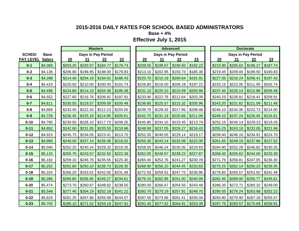**Base + 4%**

|                  |               |          |          | <b>Masters</b>      |          |          |          | <b>Advanced</b>    |          |          |                    | <b>Doctorate</b> |          |
|------------------|---------------|----------|----------|---------------------|----------|----------|----------|--------------------|----------|----------|--------------------|------------------|----------|
| <b>SCHED/</b>    | <b>Base</b>   |          |          | Days in Pay Period  |          |          |          | Days in Pay Period |          |          | Days in Pay Period |                  |          |
| <b>PAY LEVEL</b> | <b>Salary</b> | 20       | 21       | 22                  | 23       | 20       | 21       | 22                 | 23       | 20       | 21                 | 22               | 23       |
| $0 - 1$          | \$4,065       | \$203.25 | \$193.57 | \$184.77            | \$176.74 | \$209.55 | \$199.57 | \$190.50           | \$182.22 | \$215.90 | \$205.62           | \$196.27         | \$187.74 |
| $0 - 2$          | \$4,136       | \$206.80 | \$196.95 | \$188.00            | \$179.83 | \$213.10 | \$202.95 | \$193.73           | \$185.30 | \$219.45 | \$209.00           | \$199.50         | \$190.83 |
| $0 - 3$          | \$4,288       | \$214.40 | \$204.19 | \$194.91            | \$186.43 | \$220.70 | \$210.19 | \$200.64           | \$191.91 | \$227.05 | \$216.24           | \$206.41         | \$197.43 |
| $0 - 4$          | \$4,410       | \$220.50 | \$210.00 | \$200.45            | \$191.74 | \$226.80 | \$216.00 | \$206.18           | \$197.22 | \$233.15 | \$222.05           | \$211.95         | \$202.74 |
| $0-5$            | \$4,496       | \$224.80 | \$214.10 | \$204.36            | \$195.48 | \$231.10 | \$220.10 | \$210.09           | \$200.96 | \$237.45 | \$226.14           | \$215.86         | \$206.48 |
| $0 - 6$          | \$4,552       | \$227.60 | \$216.76 | \$206.91            | \$197.91 | \$233.90 | \$222.76 | \$212.64           | \$203.39 | \$240.25 | \$228.81           | \$218.41         | \$208.91 |
| $0 - 7$          | \$4,611       | \$230.55 | \$219.57 | \$209.59            | \$200.48 | \$236.85 | \$225.57 | \$215.32           | \$205.96 | \$243.20 | \$231.62           | \$221.09         | \$211.48 |
| $0-8$            | \$4,669       | \$233.45 | \$222.33 | \$212.23            | \$203.00 | \$239.75 | \$228.33 | \$217.95           | \$208.48 | \$246.10 | \$234.38           | \$223.73         | \$214.00 |
| $0-9$            | \$4,729       | \$236.45 | \$225.19 | \$214.95            | \$205.61 | \$242.75 | \$231.19 | \$220.68           | \$211.09 | \$249.10 | \$237.24           | \$226.45         | \$216.61 |
| $0 - 10$         | \$4,790       | \$239.50 | \$228.10 | \$217.73            | \$208.26 | \$245.80 | \$234.10 | \$223.45           | \$213.74 | \$252.15 | \$240.14           | \$229.23         | \$219.26 |
| $0 - 11$         | \$4,852       | \$242.60 | \$231.05 | \$220.55            | \$210.96 | \$248.90 | \$237.05 | \$226.27           | \$216.43 | \$255.25 | \$243.10           | \$232.05         | \$221.96 |
| $0 - 12$         | \$4,915       | \$245.75 | \$234.05 | \$223.41            | \$213.70 | \$252.05 | \$240.05 | \$229.14           | \$219.17 | \$258.40 | \$246.10           | \$234.91         | \$224.70 |
| $0 - 13$         | \$4,980       | \$249.00 | \$237.14 | \$226.36            | \$216.52 | \$255.30 | \$243.14 | \$232.09           | \$222.00 | \$261.65 | \$249.19           | \$237.86         | \$227.52 |
| $0 - 14$         | \$5,045       | \$252.25 | \$240.24 | \$229.32            | \$219.35 | \$258.55 | \$246.24 | \$235.05           | \$224.83 | \$264.90 | \$252.29           | \$240.82         | \$230.35 |
| $0 - 15$         | \$5,115       | \$255.75 | \$243.57 | \$232.50            | \$222.39 | \$262.05 | \$249.57 | \$238.23           | \$227.87 | \$268.40 | \$255.62           | \$244.00         | \$233.39 |
| $0 - 16$         | \$5,182       | \$259.10 | \$246.76 | \$235.55            | \$225.30 | \$265.40 | \$252.76 | \$241.27           | \$230.78 | \$271.75 | \$258.81           | \$247.05         | \$236.30 |
| $0 - 17$         | \$5,252       | \$262.60 | \$250.10 | \$238.73            | \$228.35 | \$268.90 | \$256.10 | \$244.45           | \$233.83 | \$275.25 | \$262.14           | \$250.23         | \$239.35 |
| $0 - 18$         | \$5,324       | \$266.20 | \$253.52 | \$242.00            | \$231.48 | \$272.50 | \$259.52 | \$247.73           | \$236.96 | \$278.85 | \$265.57           | \$253.50         | \$242.48 |
| $0 - 19$         | \$5,396       | \$269.80 | \$256.95 | \$245.27            | \$234.61 | \$276.10 | \$262.95 | \$251.00           | \$240.09 | \$282.45 | \$269.00           | \$256.77         | \$245.61 |
| $0 - 20$         | \$5,474       | \$273.70 | \$260.67 | \$248.82            | \$238.00 | \$280.00 | \$266.67 | \$254.55           | \$243.48 | \$286.35 | \$272.71           | \$260.32         | \$249.00 |
| $0 - 21$         | \$5,548       | \$277.40 | \$264.19 | \$252.18            | \$241.22 | \$283.70 | \$270.19 | \$257.91           | \$246.70 | \$290.05 | \$276.24           | \$263.68         | \$252.22 |
| $0 - 22$         | \$5,625       | \$281.25 | \$267.86 | \$255.68            | \$244.57 | \$287.55 | \$273.86 | \$261.41           | \$250.04 | \$293.90 | \$279.90           | \$267.18         | \$255.57 |
| $0 - 23$         | \$5,702       | \$285.10 |          | $$271.52$ $$259.18$ | \$247.91 | \$291.40 | \$277.52 | \$264.91           | \$253.39 | \$297.75 | \$283.57           | \$270.68         | \$258.91 |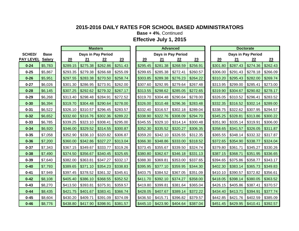**Base + 4%**, Continued

|                  |               |          |          | <b>Masters</b>      |          |          |          | <b>Advanced</b>    |          |          |          | <b>Doctorate</b>   |          |
|------------------|---------------|----------|----------|---------------------|----------|----------|----------|--------------------|----------|----------|----------|--------------------|----------|
| <b>SCHED/</b>    | <b>Base</b>   |          |          | Days in Pay Period  |          |          |          | Days in Pay Period |          |          |          | Days in Pay Period |          |
| <b>PAY LEVEL</b> | <b>Salary</b> | 20       | 21       | 22                  | 23       | 20       | 21       | $\frac{22}{2}$     | 23       | 20       | 21       | 22                 | 23       |
| $0 - 24$         | \$5,783       | \$289.15 | \$275.38 | \$262.86            | \$251.43 | \$295.45 | \$281.38 | \$268.59           | \$256.91 | \$301.80 | \$287.43 | \$274.36           | \$262.43 |
| $0 - 25$         | \$5,867       | \$293.35 | \$279.38 | \$266.68            | \$255.09 | \$299.65 | \$285.38 | \$272.41           | \$260.57 | \$306.00 | \$291.43 | \$278.18           | \$266.09 |
| $0 - 26$         | \$5,951       | \$297.55 | \$283.38 | \$270.50            | \$258.74 | \$303.85 | \$289.38 | \$276.23           | \$264.22 | \$310.20 | \$295.43 | \$282.00           | \$269.74 |
| $0 - 27$         | \$6,026       | \$301.30 | \$286.95 | \$273.91            | \$262.00 | \$307.60 | \$292.95 | \$279.64           | \$267.48 | \$313.95 | \$299.00 | \$285.41           | \$273.00 |
| $0 - 28$         | \$6,145       | \$307.25 | \$292.62 | \$279.32            | \$267.17 | \$313.55 | \$298.62 | \$285.05           | \$272.65 | \$319.90 | \$304.67 | \$290.82           | \$278.17 |
| $0 - 29$         | \$6,268       | \$313.40 | \$298.48 | \$284.91            | \$272.52 | \$319.70 | \$304.48 | \$290.64           | \$278.00 | \$326.05 | \$310.52 | \$296.41           | \$283.52 |
| $0 - 30$         | \$6,394       | \$319.70 | \$304.48 | \$290.64            | \$278.00 | \$326.00 | \$310.48 | \$296.36           | \$283.48 | \$332.35 | \$316.52 | \$302.14           | \$289.00 |
| $0 - 31$         | \$6,522       | \$326.10 | \$310.57 | \$296.45            | \$283.57 | \$332.40 | \$316.57 | \$302.18           | \$289.04 | \$338.75 | \$322.62 | \$307.95           | \$294.57 |
| $0 - 32$         | \$6,652       | \$332.60 | \$316.76 | \$302.36            | \$289.22 | \$338.90 | \$322.76 | \$308.09           | \$294.70 | \$345.25 | \$328.81 | \$313.86           | \$300.22 |
| $0 - 33$         | \$6,785       | \$339.25 | \$323.10 | \$308.41            | \$295.00 | \$345.55 | \$329.10 | \$314.14           | \$300.48 | \$351.90 | \$335.14 | \$319.91           | \$306.00 |
| $0 - 34$         | \$6,920       | \$346.00 | \$329.52 | \$314.55            | \$300.87 | \$352.30 | \$335.52 | \$320.27           | \$306.35 | \$358.65 | \$341.57 | \$326.05           | \$311.87 |
| $0 - 35$         | \$7,058       | \$352.90 | \$336.10 | \$320.82            | \$306.87 | \$359.20 | \$342.10 | \$326.55           | \$312.35 | \$365.55 | \$348.14 | \$332.32           | \$317.87 |
| $0 - 36$         | \$7,200       | \$360.00 | \$342.86 | \$327.27            | \$313.04 | \$366.30 | \$348.86 | \$333.00           | \$318.52 | \$372.65 | \$354.90 | \$338.77           | \$324.04 |
| $0 - 37$         | \$7,343       | \$367.15 | \$349.67 | \$333.77            | \$319.26 | \$373.45 | \$355.67 | \$339.50           | \$324.74 | \$379.80 | \$361.71 | \$345.27           | \$330.26 |
| $0 - 38$         | \$7,490       | \$374.50 | \$356.67 | \$340.45            | \$325.65 | \$380.80 | \$362.67 | \$346.18           | \$331.13 | \$387.15 | \$368.71 | \$351.95           | \$336.65 |
| $0 - 39$         | \$7,640       | \$382.00 | \$363.81 | \$347.27            | \$332.17 | \$388.30 | \$369.81 | \$353.00           | \$337.65 | \$394.65 | \$375.86 | \$358.77           | \$343.17 |
| $0 - 40$         | \$7,793       | \$389.65 | \$371.10 | \$354.23            | \$338.83 | \$395.95 | \$377.10 | \$359.95           | \$344.30 | \$402.30 | \$383.14 | \$365.73           | \$349.83 |
| $0 - 41$         | \$7,949       | \$397.45 | \$378.52 | \$361.32            | \$345.61 | \$403.75 | \$384.52 | \$367.05           | \$351.09 | \$410.10 | \$390.57 | \$372.82           | \$356.61 |
| $0 - 42$         | \$8,108       | \$405.40 | \$386.10 | \$368.55            | \$352.52 | \$411.70 | \$392.10 | \$374.27           | \$358.00 | \$418.05 | \$398.14 | \$380.05           | \$363.52 |
| $0 - 43$         | \$8,270       | \$413.50 | \$393.81 | \$375.91            | \$359.57 | \$419.80 | \$399.81 | \$381.64           | \$365.04 | \$426.15 | \$405.86 | \$387.41           | \$370.57 |
| $0 - 44$         | \$8,435       | \$421.75 | \$401.67 | \$383.41            | \$366.74 | \$428.05 | \$407.67 | \$389.14           | \$372.22 | \$434.40 | \$413.71 | \$394.91           | \$377.74 |
| $0 - 45$         | \$8,604       | \$430.20 | \$409.71 | \$391.09            | \$374.09 | \$436.50 | \$415.71 | \$396.82           | \$379.57 | \$442.85 | \$421.76 | \$402.59           | \$385.09 |
| $0 - 46$         | \$8,776       | \$438.80 |          | $$417.90$ $$398.91$ | \$381.57 | \$445.10 | \$423.90 | \$404.64           | \$387.04 | \$451.45 | \$429.95 | \$410.41           | \$392.57 |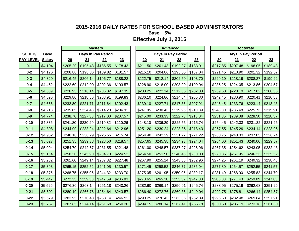**Base + 5%**

|                  |               |          |                     | <b>Masters</b>     |          |          |                     | <b>Advanced</b>    |          |          |          | <b>Doctorate</b>    |          |
|------------------|---------------|----------|---------------------|--------------------|----------|----------|---------------------|--------------------|----------|----------|----------|---------------------|----------|
| <b>SCHED/</b>    | <b>Base</b>   |          |                     | Days in Pay Period |          |          |                     | Days in Pay Period |          |          |          | Days in Pay Period  |          |
| <b>PAY LEVEL</b> | <b>Salary</b> | 20       | 21                  | 22                 | 23       | 20       | 21                  | 22                 | 23       | 20       | 21       | 22                  | 23       |
| $0 - 1$          | \$4,104       | \$205.20 | \$195.43            | \$186.55           | \$178.43 | \$211.50 | \$201.43            | \$192.27           | \$183.91 | \$217.85 | \$207.48 | \$198.05            | \$189.43 |
| $0 - 2$          | \$4,176       | \$208.80 | \$198.86            | \$189.82           | \$181.57 | \$215.10 | \$204.86            | \$195.55           | \$187.04 | \$221.45 | \$210.90 | \$201.32            | \$192.57 |
| $0 - 3$          | \$4,329       | \$216.45 | \$206.14            | \$196.77           | \$188.22 | \$222.75 | \$212.14            | \$202.50           | \$193.70 | \$229.10 | \$218.19 | \$208.27            | \$199.22 |
| $0 - 4$          | \$4,452       | \$222.60 | \$212.00            | \$202.36           | \$193.57 | \$228.90 | \$218.00            | \$208.09           | \$199.04 | \$235.25 | \$224.05 | \$213.86            | \$204.57 |
| $0-5$            | \$4,539       | \$226.95 | \$216.14            | \$206.32           | \$197.35 | \$233.25 | \$222.14            | \$212.05           | \$202.83 | \$239.60 | \$228.19 | \$217.82            | \$208.35 |
| $0 - 6$          | \$4,596       | \$229.80 | \$218.86            | \$208.91           | \$199.83 | \$236.10 | \$224.86            | \$214.64           | \$205.30 | \$242.45 | \$230.90 | \$220.41            | \$210.83 |
| $0 - 7$          | \$4,656       | \$232.80 | \$221.71            | \$211.64           | \$202.43 | \$239.10 | \$227.71            | \$217.36           | \$207.91 | \$245.45 | \$233.76 | \$223.14            | \$213.43 |
| $0 - 8$          | \$4,713       | \$235.65 | \$224.43            | \$214.23           | \$204.91 | \$241.95 | \$230.43            | \$219.95           | \$210.39 | \$248.30 | \$236.48 | \$225.73            | \$215.91 |
| $0-9$            | \$4,774       | \$238.70 | \$227.33            | \$217.00           | \$207.57 | \$245.00 | \$233.33            | \$222.73           | \$213.04 | \$251.35 | \$239.38 | \$228.50            | \$218.57 |
| $0 - 10$         | \$4,836       | \$241.80 | \$230.29            | \$219.82           | \$210.26 | \$248.10 | \$236.29            | \$225.55           | \$215.74 | \$254.45 | \$242.33 | \$231.32            | \$221.26 |
| $0 - 11$         | \$4,898       | \$244.90 | \$233.24            | \$222.64           | \$212.96 | \$251.20 | \$239.24            | \$228.36           | \$218.43 | \$257.55 | \$245.29 | \$234.14            | \$223.96 |
| $0 - 12$         | \$4,962       | \$248.10 | \$236.29            | \$225.55           | \$215.74 | \$254.40 | \$242.29            | \$231.27           | \$221.22 | \$260.75 | \$248.33 | \$237.05            | \$226.74 |
| $0 - 13$         | \$5,027       | \$251.35 | \$239.38            | \$228.50           | \$218.57 | \$257.65 | \$245.38            | \$234.23           | \$224.04 | \$264.00 | \$251.43 | \$240.00            | \$229.57 |
| $0 - 14$         | \$5,094       | \$254.70 | \$242.57            | \$231.55           | \$221.48 | \$261.00 | \$248.57            | \$237.27           | \$226.96 | \$267.35 | \$254.62 | \$243.05            | \$232.48 |
| $0 - 15$         | \$5,164       | \$258.20 | \$245.90            | \$234.73           | \$224.52 | \$264.50 | \$251.90            | \$240.45           | \$230.00 | \$270.85 | \$257.95 | \$246.23            | \$235.52 |
| $0 - 16$         | \$5,232       | \$261.60 | \$249.14            | \$237.82           | \$227.48 | \$267.90 | \$255.14            | \$243.55           | \$232.96 | \$274.25 | \$261.19 | \$249.32            | \$238.48 |
| $0 - 17$         | \$5,303       | \$265.15 | \$252.52            | \$241.05           | \$230.57 | \$271.45 | \$258.52            | \$246.77           | \$236.04 | \$277.80 | \$264.57 | \$252.55            | \$241.57 |
| $0 - 18$         | \$5,375       | \$268.75 | \$255.95            | \$244.32           | \$233.70 | \$275.05 | \$261.95            | \$250.05           | \$239.17 | \$281.40 | \$268.00 | \$255.82            | \$244.70 |
| $0 - 19$         | \$5,447       | \$272.35 | \$259.38            | \$247.59           | \$236.83 | \$278.65 | \$265.38            | \$253.32           | \$242.30 | \$285.00 | \$271.43 | \$259.09            | \$247.83 |
| $0 - 20$         | \$5,526       | \$276.30 | \$263.14            | \$251.18           | \$240.26 | \$282.60 | \$269.14            | \$256.91           | \$245.74 | \$288.95 | \$275.19 | \$262.68            | \$251.26 |
| $0 - 21$         | \$5,602       | \$280.10 | \$266.76            | \$254.64           | \$243.57 | \$286.40 | \$272.76            | \$260.36           | \$249.04 | \$292.75 | \$278.81 | \$266.14            | \$254.57 |
| $0 - 22$         | \$5,679       | \$283.95 | \$270.43            | \$258.14           | \$246.91 | \$290.25 | \$276.43            | \$263.86           | \$252.39 | \$296.60 | \$282.48 | \$269.64            | \$257.91 |
| $0 - 23$         | \$5,757       |          | $$287.85$ $$274.14$ | \$261.68           | \$250.30 | \$294.15 | $$280.14$ $$267.41$ |                    | \$255.78 | \$300.50 | \$286.19 | $$273.18$ $$261.30$ |          |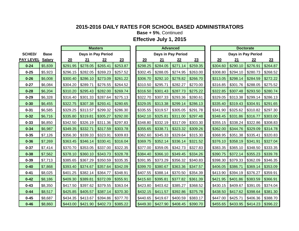**Base + 5%**, Continued

|                  |               |          |          | <b>Masters</b>     |          |          |                     | <b>Advanced</b> |          |          |                    | <b>Doctorate</b> |          |
|------------------|---------------|----------|----------|--------------------|----------|----------|---------------------|-----------------|----------|----------|--------------------|------------------|----------|
| <b>SCHED/</b>    | <b>Base</b>   |          |          | Days in Pay Period |          |          | Days in Pay Period  |                 |          |          | Days in Pay Period |                  |          |
| <b>PAY LEVEL</b> | <b>Salary</b> | 20       | 21       | 22                 | 23       | 20       | 21                  | 22              | 23       | 20       | 21                 | 22               | 23       |
| $0 - 24$         | \$5,839       | \$291.95 | \$278.05 | \$265.41           | \$253.87 | \$298.25 | \$284.05            | \$271.14        | \$259.35 | \$304.60 | \$290.10           | \$276.91         | \$264.87 |
| $0 - 25$         | \$5,923       | \$296.15 | \$282.05 | \$269.23           | \$257.52 | \$302.45 | \$288.05            | \$274.95        | \$263.00 | \$308.80 | \$294.10           | \$280.73         | \$268.52 |
| $0 - 26$         | \$6,008       | \$300.40 | \$286.10 | \$273.09           | \$261.22 | \$306.70 | \$292.10            | \$278.82        | \$266.70 | \$313.05 | \$298.14           | \$284.59         | \$272.22 |
| $0 - 27$         | \$6,084       | \$304.20 | \$289.71 | \$276.55           | \$264.52 | \$310.50 | \$295.71            | \$282.27        | \$270.00 | \$316.85 | \$301.76           | \$288.05         | \$275.52 |
| $0 - 28$         | \$6,204       | \$310.20 | \$295.43 | \$282.00           | \$269.74 | \$316.50 | \$301.43            | \$287.73        | \$275.22 | \$322.85 | \$307.48           | \$293.50         | \$280.74 |
| $0 - 29$         | \$6,328       | \$316.40 | \$301.33 | \$287.64           | \$275.13 | \$322.70 | \$307.33            | \$293.36        | \$280.61 | \$329.05 | \$313.38           | \$299.14         | \$286.13 |
| $0 - 30$         | \$6,455       | \$322.75 | \$307.38 | \$293.41           | \$280.65 | \$329.05 | \$313.38            | \$299.14        | \$286.13 | \$335.40 | \$319.43           | \$304.91         | \$291.65 |
| $0 - 31$         | \$6,585       | \$329.25 | \$313.57 | \$299.32           | \$286.30 | \$335.55 | \$319.57            | \$305.05        | \$291.78 | \$341.90 | \$325.62           | \$310.82         | \$297.30 |
| $0 - 32$         | \$6,716       | \$335.80 | \$319.81 | \$305.27           | \$292.00 | \$342.10 | \$325.81            | \$311.00        | \$297.48 | \$348.45 | \$331.86           | \$316.77         | \$303.00 |
| $0 - 33$         | \$6,850       | \$342.50 | \$326.19 | \$311.36           | \$297.83 | \$348.80 | \$332.19            | \$317.09        | \$303.30 | \$355.15 | \$338.24           | \$322.86         | \$308.83 |
| $0 - 34$         | \$6,987       | \$349.35 | \$332.71 | \$317.59           | \$303.78 | \$355.65 | \$338.71            | \$323.32        | \$309.26 | \$362.00 | \$344.76           | \$329.09         | \$314.78 |
| $0 - 35$         | \$7,126       | \$356.30 | \$339.33 | \$323.91           | \$309.83 | \$362.60 | \$345.33            | \$329.64        | \$315.30 | \$368.95 | \$351.38           | \$335.41         | \$320.83 |
| $0 - 36$         | \$7,269       | \$363.45 | \$346.14 | \$330.41           | \$316.04 | \$369.75 | \$352.14            | \$336.14        | \$321.52 | \$376.10 | \$358.19           | \$341.91         | \$327.04 |
| $0 - 37$         | \$7,414       | \$370.70 | \$353.05 | \$337.00           | \$322.35 | \$377.00 | \$359.05            | \$342.73        | \$327.83 | \$383.35 | \$365.10           | \$348.50         | \$333.35 |
| $0 - 38$         | \$7,562       | \$378.10 | \$360.10 | \$343.73           | \$328.78 | \$384.40 | \$366.10            | \$349.45        | \$334.26 | \$390.75 | \$372.14           | \$355.23         | \$339.78 |
| $0 - 39$         | \$7,713       | \$385.65 | \$367.29 | \$350.59           | \$335.35 | \$391.95 | $$373.29$ \\$356.32 |                 | \$340.83 | \$398.30 | \$379.33           | \$362.09         | \$346.35 |
| $0 - 40$         | \$7,868       | \$393.40 | \$374.67 | \$357.64           | \$342.09 | \$399.70 | \$380.67            | \$363.36        | \$347.57 | \$406.05 | \$386.71           | \$369.14         | \$353.09 |
| $0 - 41$         | \$8,025       | \$401.25 | \$382.14 | \$364.77           | \$348.91 | \$407.55 | \$388.14            | \$370.50        | \$354.39 | \$413.90 | \$394.19           | \$376.27         | \$359.91 |
| $0 - 42$         | \$8,186       | \$409.30 | \$389.81 | \$372.09           | \$355.91 | \$415.60 | \$395.81            | \$377.82        | \$361.39 | \$421.95 | \$401.86           | \$383.59         | \$366.91 |
| $0 - 43$         | \$8,350       | \$417.50 | \$397.62 | \$379.55           | \$363.04 | \$423.80 | \$403.62            | \$385.27        | \$368.52 | \$430.15 | \$409.67           | \$391.05         | \$374.04 |
| $0 - 44$         | \$8,517       | \$425.85 | \$405.57 | \$387.14           | \$370.30 | \$432.15 | \$411.57            | \$392.86        | \$375.78 | \$438.50 | \$417.62           | \$398.64         | \$381.30 |
| $0 - 45$         | \$8,687       | \$434.35 | \$413.67 | \$394.86           | \$377.70 | \$440.65 | \$419.67            | \$400.59        | \$383.17 | \$447.00 | \$425.71           | \$406.36         | \$388.70 |
| $0 - 46$         | \$8,860       | \$443.00 | \$421.90 | \$402.73           | \$385.22 | \$449.30 | $$427.90$ $$408.45$ |                 | \$390.70 | \$455.65 | \$433.95           | \$414.23         | \$396.22 |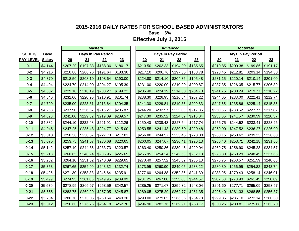**Base + 6%**

|                  |               |          |          | <b>Masters</b>     |          |          |                     | <b>Advanced</b>     |          |          |          | <b>Doctorate</b>   |          |
|------------------|---------------|----------|----------|--------------------|----------|----------|---------------------|---------------------|----------|----------|----------|--------------------|----------|
| <b>SCHED/</b>    | <b>Base</b>   |          |          | Days in Pay Period |          |          |                     | Days in Pay Period  |          |          |          | Days in Pay Period |          |
| <b>PAY LEVEL</b> | <b>Salary</b> | 20       | 21       | 22                 | 23       | 20       | 21                  | 22                  | 23       | 20       | 21       | 22                 | 23       |
| $0 - 1$          | \$4,144       | \$207.20 | \$197.33 | \$188.36           | \$180.17 | \$213.50 | \$203.33            | \$194.09            | \$185.65 | \$219.85 | \$209.38 | \$199.86           | \$191.17 |
| $0 - 2$          | \$4,216       | \$210.80 | \$200.76 | \$191.64           | \$183.30 | \$217.10 | \$206.76            | \$197.36            | \$188.78 | \$223.45 | \$212.81 | \$203.14           | \$194.30 |
| $0 - 3$          | \$4,370       | \$218.50 | \$208.10 | \$198.64           | \$190.00 | \$224.80 | \$214.10            | \$204.36            | \$195.48 | \$231.15 | \$220.14 | \$210.14           | \$201.00 |
| $0 - 4$          | \$4,494       | \$224.70 | \$214.00 | \$204.27           | \$195.39 | \$231.00 | \$220.00            | \$210.00            | \$200.87 | \$237.35 | \$226.05 | \$215.77           | \$206.39 |
| $0-5$            | \$4,582       | \$229.10 | \$218.19 | \$208.27           | \$199.22 | \$235.40 | \$224.19            | \$214.00            | \$204.70 | \$241.75 | \$230.24 | \$219.77           | \$210.22 |
| $0 - 6$          | \$4,640       | \$232.00 | \$220.95 | \$210.91           | \$201.74 | \$238.30 | \$226.95            | \$216.64            | \$207.22 | \$244.65 | \$233.00 | \$222.41           | \$212.74 |
| $0 - 7$          | \$4,700       | \$235.00 | \$223.81 | \$213.64           | \$204.35 | \$241.30 | \$229.81            | \$219.36            | \$209.83 | \$247.65 | \$235.86 | \$225.14           | \$215.35 |
| $0 - 8$          | \$4,758       | \$237.90 | \$226.57 | \$216.27           | \$206.87 | \$244.20 | \$232.57            | \$222.00            | \$212.35 | \$250.55 | \$238.62 | \$227.77           | \$217.87 |
| $0-9$            | \$4,820       | \$241.00 | \$229.52 | \$219.09           | \$209.57 | \$247.30 | \$235.52            | \$224.82            | \$215.04 | \$253.65 | \$241.57 | \$230.59           | \$220.57 |
| $0 - 10$         | \$4,882       | \$244.10 | \$232.48 | \$221.91           | \$212.26 | \$250.40 |                     | $$238.48$ $$227.64$ | \$217.74 | \$256.75 | \$244.52 | \$233.41           | \$223.26 |
| $0 - 11$         | \$4,945       | \$247.25 | \$235.48 | \$224.77           | \$215.00 | \$253.55 | $$241.48$ $$230.50$ |                     | \$220.48 | \$259.90 | \$247.52 | \$236.27           | \$226.00 |
| $0 - 12$         | \$5,010       | \$250.50 | \$238.57 | \$227.73           | \$217.83 | \$256.80 | \$244.57            | \$233.45            | \$223.30 | \$263.15 | \$250.62 | \$239.23           | \$228.83 |
| $0 - 13$         | \$5,075       | \$253.75 | \$241.67 | \$230.68           | \$220.65 | \$260.05 | \$247.67            | \$236.41            | \$226.13 | \$266.40 | \$253.71 | \$242.18           | \$231.65 |
| $0 - 14$         | \$5,142       | \$257.10 | \$244.86 | \$233.73           | \$223.57 | \$263.40 | \$250.86            | \$239.45            | \$229.04 | \$269.75 | \$256.90 | \$245.23           | \$234.57 |
| $0 - 15$         | \$5,213       | \$260.65 | \$248.24 | \$236.95           | \$226.65 | \$266.95 | \$254.24            | \$242.68            | \$232.13 | \$273.30 | \$260.29 | \$248.45           | \$237.65 |
| $0 - 16$         | \$5,282       | \$264.10 | \$251.52 | \$240.09           | \$229.65 | \$270.40 | \$257.52            | \$245.82            | \$235.13 | \$276.75 | \$263.57 | \$251.59           | \$240.65 |
| $0 - 17$         | \$5,353       | \$267.65 | \$254.90 | \$243.32           | \$232.74 | \$273.95 | \$260.90            | \$249.05            | \$238.22 | \$280.30 | \$266.95 | \$254.82           | \$243.74 |
| $0 - 18$         | \$5,426       | \$271.30 | \$258.38 | \$246.64           | \$235.91 | \$277.60 | \$264.38            | \$252.36            | \$241.39 | \$283.95 | \$270.43 | \$258.14           | \$246.91 |
| $0 - 19$         | \$5,499       | \$274.95 | \$261.86 | \$249.95           | \$239.09 | \$281.25 | \$267.86            | \$255.68            | \$244.57 | \$287.60 | \$273.90 | \$261.45           | \$250.09 |
| $0 - 20$         | \$5,579       | \$278.95 | \$265.67 | \$253.59           | \$242.57 | \$285.25 | \$271.67            | \$259.32            | \$248.04 | \$291.60 | \$277.71 | \$265.09           | \$253.57 |
| $0 - 21$         | \$5,655       | \$282.75 | \$269.29 | \$257.05           | \$245.87 | \$289.05 | \$275.29            | \$262.77            | \$251.35 | \$295.40 | \$281.33 | \$268.55           | \$256.87 |
| $0 - 22$         | \$5,734       | \$286.70 | \$273.05 | \$260.64           | \$249.30 | \$293.00 | \$279.05            | \$266.36            | \$254.78 | \$299.35 | \$285.10 | \$272.14           | \$260.30 |
| $0 - 23$         | \$5,812       | \$290.60 | \$276.76 | \$264.18           | \$252.70 | \$296.90 | $$282.76$ $$269.91$ |                     | \$258.17 | \$303.25 | \$288.81 | \$275.68           | \$263.70 |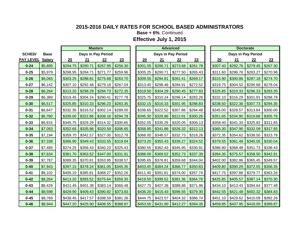**Base + 6%**, Continued

|                  |               |          |          | <b>Masters</b>     |          |          |                     | <b>Advanced</b>    |          |          |                    | <b>Doctorate</b> |          |
|------------------|---------------|----------|----------|--------------------|----------|----------|---------------------|--------------------|----------|----------|--------------------|------------------|----------|
| <b>SCHED/</b>    | <b>Base</b>   |          |          | Days in Pay Period |          |          |                     | Days in Pay Period |          |          | Days in Pay Period |                  |          |
| <b>PAY LEVEL</b> | <b>Salary</b> | 20       | 21       | 22                 | 23       | 20       | 21                  | 22                 | 23       | 20       | 21                 | 22               | 23       |
| $0 - 24$         | \$5,895       | \$294.75 | \$280.71 | \$267.95           | \$256.30 | \$301.05 | \$286.71            | \$273.68           | \$261.78 | \$307.40 | \$292.76           | \$279.45         | \$267.30 |
| $0 - 25$         | \$5,979       | \$298.95 | \$284.71 | \$271.77           | \$259.96 | \$305.25 | \$290.71            | \$277.50           | \$265.43 | \$311.60 | \$296.76           | \$283.27         | \$270.96 |
| $0 - 26$         | \$6,065       | \$303.25 | \$288.81 | \$275.68           | \$263.70 | \$309.55 | \$294.81            | \$281.41           | \$269.17 | \$315.90 | \$300.86           | \$287.18         | \$274.70 |
| $0 - 27$         | \$6,142       | \$307.10 | \$292.48 | \$279.18           | \$267.04 | \$313.40 | \$298.48            | \$284.91           | \$272.52 | \$319.75 | \$304.52           | \$290.68         | \$278.04 |
| $0 - 28$         | \$6,264       | \$313.20 | \$298.29 | \$284.73           | \$272.35 | \$319.50 | \$304.29            | \$290.45           | \$277.83 | \$325.85 | \$310.33           | \$296.23         | \$283.35 |
| $0 - 29$         | \$6,389       | \$319.45 | \$304.24 | \$290.41           | \$277.78 | \$325.75 | \$310.24            | \$296.14           | \$283.26 | \$332.10 | \$316.29           | \$301.91         | \$288.78 |
| $0 - 30$         | \$6,517       | \$325.85 | \$310.33 | \$296.23           | \$283.35 | \$332.15 | \$316.33            | \$301.95           | \$288.83 | \$338.50 | \$322.38           | \$307.73         | \$294.35 |
| $0 - 31$         | \$6,647       | \$332.35 | \$316.52 | \$302.14           | \$289.00 | \$338.65 | $$322.52$ $$307.86$ |                    | \$294.48 | \$345.00 | \$328.57           | \$313.64         | \$300.00 |
| $0 - 32$         | \$6,780       | \$339.00 | \$322.86 | \$308.18           | \$294.78 | \$345.30 | $$328.86$ $$313.91$ |                    | \$300.26 | \$351.65 | \$334.90           | \$319.68         | \$305.78 |
| $0 - 33$         | \$6,915       | \$345.75 | \$329.29 | \$314.32           | \$300.65 | \$352.05 | \$335.29            | \$320.05           | \$306.13 | \$358.40 | \$341.33           | \$325.82         | \$311.65 |
| $0 - 34$         | \$7,053       | \$352.65 | \$335.86 | \$320.59           | \$306.65 | \$358.95 | \$341.86            | \$326.32           | \$312.13 | \$365.30 | \$347.90           | \$332.09         | \$317.65 |
| $0 - 35$         | \$7,194       | \$359.70 | \$342.57 | \$327.00           | \$312.78 | \$366.00 | \$348.57            | \$332.73           | \$318.26 | \$372.35 | \$354.62           | \$338.50         | \$323.78 |
| $0 - 36$         | \$7,338       | \$366.90 | \$349.43 | \$333.55           | \$319.04 | \$373.20 | \$355.43            | \$339.27           | \$324.52 | \$379.55 | \$361.48           | \$345.05         | \$330.04 |
| $0 - 37$         | \$7,485       | \$374.25 | \$356.43 | \$340.23           | \$325.43 | \$380.55 | \$362.43            | \$345.95           | \$330.91 | \$386.90 | \$368.48           | \$351.73         | \$336.43 |
| $0 - 38$         | \$7,634       | \$381.70 | \$363.52 | \$347.00           | \$331.91 | \$388.00 | \$369.52            | \$352.73           | \$337.39 | \$394.35 | \$375.57           | \$358.50         | \$342.91 |
| $0 - 39$         | \$7,787       | \$389.35 | \$370.81 | \$353.95           | \$338.57 | \$395.65 | \$376.81            | \$359.68           | \$344.04 | \$402.00 | \$382.86           | \$365.45         | \$349.57 |
| $0 - 40$         | \$7,943       | \$397.15 | \$378.24 | \$361.05           | \$345.35 | \$403.45 | \$384.24            | \$366.77           | \$350.83 | \$409.80 | \$390.29           | \$372.55         | \$356.35 |
| $0 - 41$         | \$8,102       | \$405.10 | \$385.81 | \$368.27           | \$352.26 | \$411.40 | \$391.81            | \$374.00           | \$357.74 | \$417.75 | \$397.86           | \$379.77         | \$363.26 |
| $0 - 42$         | \$8,264       | \$413.20 | \$393.52 | \$375.64           | \$359.30 | \$419.50 | \$399.52            | \$381.36           | \$364.78 | \$425.85 | \$405.57           | \$387.14         | \$370.30 |
| $0 - 43$         | \$8,429       | \$421.45 | \$401.38 | \$383.14           | \$366.48 | \$427.75 | \$407.38            | \$388.86           | \$371.96 | \$434.10 | \$413.43           | \$394.64         | \$377.48 |
| $0 - 44$         | \$8,598       | \$429.90 | \$409.43 | \$390.82           | \$373.83 | \$436.20 | \$415.43            | \$396.55           | \$379.30 | \$442.55 | \$421.48           | \$402.32         | \$384.83 |
| $0 - 45$         | \$8,769       | \$438.45 | \$417.57 | \$398.59           | \$381.26 | \$444.75 | \$423.57            | \$404.32           | \$386.74 | \$451.10 | \$429.62           | \$410.09         | \$392.26 |
| $0 - 46$         | \$8,944       | \$447.20 | \$425.90 | \$406.55           | \$388.87 | \$453.50 | $$431.90$ $$412.27$ |                    | \$394.35 | \$459.85 | \$437.95           | \$418.05         | \$399.87 |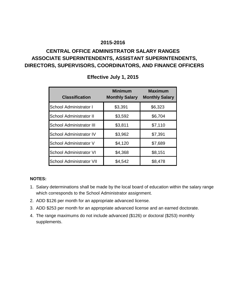## **CENTRAL OFFICE ADMINISTRATOR SALARY RANGES ASSOCIATE SUPERINTENDENTS, ASSISTANT SUPERINTENDENTS, DIRECTORS, SUPERVISORS, COORDINATORS, AND FINANCE OFFICERS**

| <b>Classification</b>           | <b>Minimum</b><br><b>Monthly Salary</b> | <b>Maximum</b><br><b>Monthly Salary</b> |
|---------------------------------|-----------------------------------------|-----------------------------------------|
| School Administrator I          | \$3,391                                 | \$6,323                                 |
| School Administrator II         | \$3,592                                 | \$6,704                                 |
| <b>School Administrator III</b> | \$3,811                                 | \$7,110                                 |
| <b>School Administrator IV</b>  | \$3,962                                 | \$7,391                                 |
| School Administrator V          | \$4,120                                 | \$7,689                                 |
| <b>School Administrator VI</b>  | \$4,368                                 | \$8,151                                 |
| <b>School Administrator VII</b> | \$4,542                                 | \$8,478                                 |

## **Effective July 1, 2015**

### **NOTES:**

- 1. Salary determinations shall be made by the local board of education within the salary range which corresponds to the School Administrator assignment.
- 2. ADD \$126 per month for an appropriate advanced license.
- 3. ADD \$253 per month for an appropriate advanced license and an earned doctorate.
- 4. The range maximums do not include advanced (\$126) or doctoral (\$253) monthly supplements.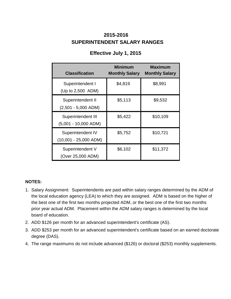## **SUPERINTENDENT SALARY RANGES 2015-2016**

| <b>Classification</b>                        | <b>Minimum</b><br><b>Monthly Salary</b> | <b>Maximum</b><br><b>Monthly Salary</b> |
|----------------------------------------------|-----------------------------------------|-----------------------------------------|
| Superintendent I<br>(Up to 2,500 ADM)        | \$4,819                                 | \$8,991                                 |
| Superintendent II<br>$(2,501 - 5,000$ ADM)   | \$5,113                                 | \$9,532                                 |
| Superintendent III<br>$(5,001 - 10,000$ ADM) | \$5,422                                 | \$10,109                                |
| Superintendent IV<br>$(10,001 - 25,000$ ADM) | \$5,752                                 | \$10,721                                |
| Superintendent V<br>(Over 25,000 ADM)        | \$6,102                                 | \$11,372                                |

## **Effective July 1, 2015**

### **NOTES:**

- 1. Salary Assignment: Superintendents are paid within salary ranges determined by the ADM of the local education agency (LEA) to which they are assigned. ADM is based on the higher of the best one of the first two months projected ADM, or the best one of the first two months prior year actual ADM. Placement within the ADM salary ranges is determined by the local board of education.
- 2. ADD \$126 per month for an advanced superintendent's certificate (AS).
- 3. ADD \$253 per month for an advanced superintendent's certificate based on an earned doctorate degree (DAS).
- 4. The range maximums do not include advanced (\$126) or doctoral (\$253) monthly supplements.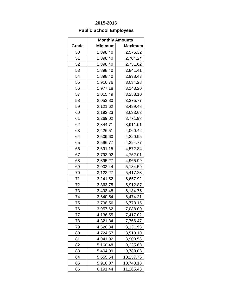## **Public School Employees**

|              |                | <b>Monthly Amounts</b> |
|--------------|----------------|------------------------|
| <u>Grade</u> | <u>Minimum</u> | <u>Maximum</u>         |
| 50           | 1,898.40       | 2,576.32               |
| 51           | 1,898.40       | 2,704.24               |
| 52           | 1,898.40       | 2,751.62               |
| 53           | 1,898.40       | 2,841.41               |
| 54           | 1,898.40       | 2,938.43               |
| 55           | 1,916.76       | 3,034.28               |
| 56           | 1,977.18       | 3,143.20               |
| 57           | 2,015.49       | 3,258.10               |
| 58           | 2,053.80       | 3,375.77               |
| 59           | 2,121.62       | 3,499.48               |
| 60           | 2,192.23       | 3,633.63               |
| 61           | 2,269.02       | 3,771.93               |
| 62           | 2,344.71       | 3,911.91               |
| 63           | 2,426.51       | 4,060.42               |
| 64           | 2,509.60       | 4,220.95               |
| 65           | 2,596.77       | 4,394.77               |
| 66           | 2,691.15       | 4,572.84               |
| 67           | 2,793.02       | 4,752.01               |
| 68           | 2,895.27       | 4,965.99               |
| 69           | 3,003.44       | 5,184.59               |
| 70           | 3,123.27       | 5,417.28               |
| 71           | 3,241.52       | 5,657.92               |
| 72           | 3,363.75       | 5,912.87               |
| 73           | 3,493.48       | 6,184.75               |
| 74           | 3,640.54       | 6,474.21               |
| 75           | 3,798.56       | 6,773.15               |
| 76           | 3,957.62       | 7,088.00               |
| 77           | 4,136.55       | 7,417.02               |
| 78           | 4,321.34       | 7,766.47               |
| 79           | 4,520.34       | 8,131.93               |
| 80           | 4,724.57       | 8,510.10               |
| 81           | 4,941.02       | 8,908.58               |
| 82           | 5,160.48       | 9,335.63               |
| 83           | 5,404.09       | 9,788.08               |
| 84           | 5,655.54       | 10,257.76              |
| 85           | 5,918.07       | 10,748.13              |
| 86           | 6,191.44       | 11,265.48              |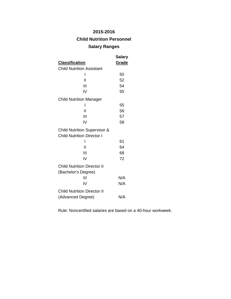## **Child Nutrition Personnel**

### **Salary Ranges**

|                                                                              | Salary |
|------------------------------------------------------------------------------|--------|
| <u>Classification</u>                                                        | Grade  |
| <b>Child Nutrition Assistant</b>                                             |        |
| I                                                                            | 50     |
| Н                                                                            | 52     |
| Ш                                                                            | 54     |
| IV                                                                           | 55     |
| <b>Child Nutrition Manager</b>                                               |        |
| ı                                                                            | 55     |
| Ш                                                                            | 56     |
| Ш                                                                            | 57     |
| IV                                                                           | 58     |
| <b>Child Nutrition Supervisor &amp;</b><br><b>Child Nutrition Director I</b> |        |
| ı                                                                            | 61     |
| Ш                                                                            | 64     |
| Ш                                                                            | 68     |
| IV                                                                           | 72     |
| <b>Child Nutrition Director II</b><br>(Bachelor's Degree)                    |        |
| Ш                                                                            | N/A    |
| IV                                                                           | N/A    |
| <b>Child Nutrition Director II</b>                                           |        |
| (Advanced Degree)                                                            | N/A    |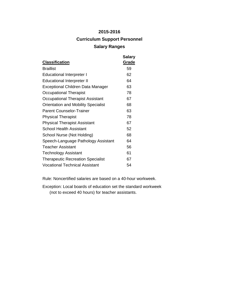## **2015-2016 Curriculum Support Personnel Salary Ranges**

| <b>Classification</b>                      | <b>Salary</b><br>Grade |
|--------------------------------------------|------------------------|
| <b>Braillist</b>                           | 59                     |
| <b>Educational Interpreter I</b>           | 62                     |
| <b>Educational Interpreter II</b>          | 64                     |
| Exceptional Children Data Manager          | 63                     |
| Occupational Therapist                     | 78                     |
| Occupational Therapist Assistant           | 67                     |
| <b>Orientation and Mobility Specialist</b> | 68                     |
| <b>Parent Counselor-Trainer</b>            | 63                     |
| <b>Physical Therapist</b>                  | 78                     |
| <b>Physical Therapist Assistant</b>        | 67                     |
| School Health Assistant                    | 52                     |
| School Nurse (Not Holding)                 | 68                     |
| Speech-Language Pathology Assistant        | 64                     |
| <b>Teacher Assistant</b>                   | 56                     |
| Technology Assistant                       | 61                     |
| <b>Therapeutic Recreation Specialist</b>   | 67                     |
| <b>Vocational Technical Assistant</b>      | 54                     |

Rule: Noncertified salaries are based on a 40-hour workweek.

Exception: Local boards of education set the standard workweek (not to exceed 40 hours) for teacher assistants.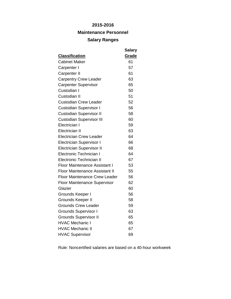## **Maintenance Personnel**

### **Salary Ranges**

|                                       | <b>Salary</b> |
|---------------------------------------|---------------|
| <b>Classification</b>                 | Grade         |
| <b>Cabinet Maker</b>                  | 61            |
| Carpenter I                           | 57            |
| <b>Carpenter II</b>                   | 61            |
| <b>Carpentry Crew Leader</b>          | 63            |
| <b>Carpenter Supervisor</b>           | 65            |
| Custodian I                           | 50            |
| Custodian II                          | 51            |
| <b>Custodian Crew Leader</b>          | 52            |
| <b>Custodian Supervisor I</b>         | 56            |
| <b>Custodian Supervisor II</b>        | 58            |
| <b>Custodian Supervisor III</b>       | 60            |
| Electrician I                         | 59            |
| <b>Electrician II</b>                 | 63            |
| <b>Electrician Crew Leader</b>        | 64            |
| <b>Electrician Supervisor I</b>       | 66            |
| <b>Electrician Supervisor II</b>      | 68            |
| Electronic Technician I               | 64            |
| <b>Electronic Technician II</b>       | 67            |
| <b>Floor Maintenance Assistant I</b>  | 53            |
| <b>Floor Maintenance Assistant II</b> | 55            |
| <b>Floor Maintenance Crew Leader</b>  | 56            |
| <b>Floor Maintenance Supervisor</b>   | 62            |
| Glazier                               | 60            |
| Grounds Keeper I                      | 56            |
| Grounds Keeper II                     | 58            |
| <b>Grounds Crew Leader</b>            | 59            |
| <b>Grounds Supervisor I</b>           | 63            |
| <b>Grounds Supervisor II</b>          | 65            |
| <b>HVAC Mechanic I</b>                | 65            |
| <b>HVAC Mechanic II</b>               | 67            |
| <b>HVAC Supervisor</b>                | 69            |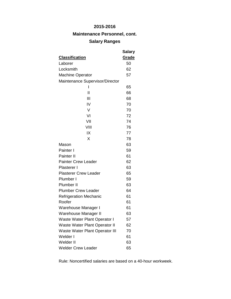## **Maintenance Personnel, cont.**

## **Salary Ranges**

|                                       | Salary |
|---------------------------------------|--------|
| <u>Classification</u>                 | Grade  |
| Laborer                               | 50     |
| Locksmith                             | 62     |
| <b>Machine Operator</b>               | 57     |
| Maintenance Supervisor/Director       |        |
| ı                                     | 65     |
| $\mathsf{I}$                          | 66     |
| Ш                                     | 68     |
| IV                                    | 70     |
| V                                     | 70     |
| VI                                    | 72     |
| VII                                   | 74     |
| VIII                                  | 76     |
| IX                                    | 77     |
| X                                     | 78     |
| Mason                                 | 63     |
| Painter I                             | 59     |
| Painter II                            | 61     |
| <b>Painter Crew Leader</b>            | 62     |
| Plasterer I                           | 63     |
| <b>Plasterer Crew Leader</b>          | 65     |
| Plumber I                             | 59     |
| Plumber II                            | 63     |
| <b>Plumber Crew Leader</b>            | 64     |
| <b>Refrigeration Mechanic</b>         | 61     |
| Roofer                                | 61     |
| Warehouse Manager I                   | 61     |
| Warehouse Manager II                  | 63     |
| Waste Water Plant Operator I          | 57     |
| <b>Waste Water Plant Operator II</b>  | 62     |
| <b>Waste Water Plant Operator III</b> | 70     |
| Welder I                              | 61     |
| Welder II                             | 63     |
| <b>Welder Crew Leader</b>             | 65     |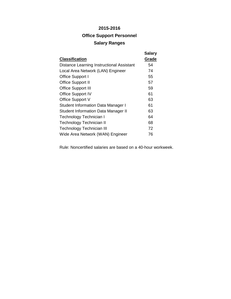## **2015-2016 Office Support Personnel Salary Ranges**

| <b>Classification</b>                            | <b>Salary</b><br>Grade |
|--------------------------------------------------|------------------------|
| <b>Distance Learning Instructional Assistant</b> | 54                     |
| Local Area Network (LAN) Engineer                | 74                     |
| Office Support I                                 | 55                     |
| <b>Office Support II</b>                         | 57                     |
| <b>Office Support III</b>                        | 59                     |
| <b>Office Support IV</b>                         | 61                     |
| Office Support V                                 | 63                     |
| <b>Student Information Data Manager I</b>        | 61                     |
| <b>Student Information Data Manager II</b>       | 63                     |
| Technology Technician I                          | 64                     |
| Technology Technician II                         | 68                     |
| <b>Technology Technician III</b>                 | 72                     |
| Wide Area Network (WAN) Engineer                 | 76                     |